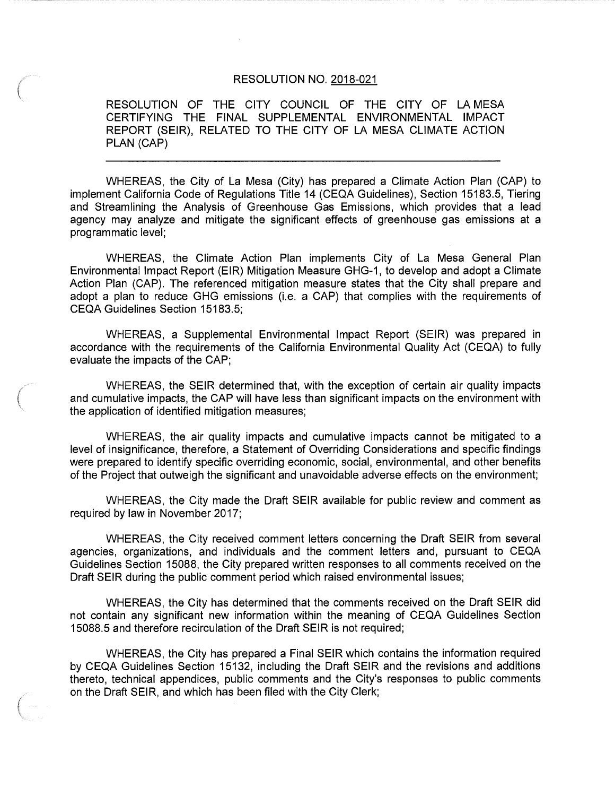#### RESOLUTION NO. 2018-021

RESOLUTION OF THE CITY COUNCIL OF THE CITY OF LAMESA CERTIFYING THE FINAL SUPPLEMENTAL ENVIRONMENTAL IMPACT REPORT (SEIR), RELATED TO THE CITY OF LA MESA CLIMATE ACTION PLAN (CAP)

WHEREAS, the City of La Mesa (City) has prepared a Climate Action Plan (CAP) to implement California Code of Regulations Title 14 (CEQA Guidelines), Section 15183.5, Tiering and Streamlining the Analysis of Greenhouse Gas Emissions, which provides that a lead agency may analyze and mitigate the significant effects of greenhouse gas emissions at a programmatic level;

WHEREAS, the Climate Action Plan implements City of La Mesa General Plan Environmental Impact Report (EIR) Mitigation Measure GHG-1, to develop and adopt a Climate Action Plan (CAP). The referenced mitigation measure states that the City shall prepare and adopt a plan to reduce GHG emissions (i.e. a CAP) that complies with the requirements of CEQA Guidelines Section 15183.5;

WHEREAS, a Supplemental Environmental Impact Report (SEIR) was prepared in accordance with the requirements of the California Environmental Quality Act (CEQA) to fully evaluate the impacts of the CAP;

WHEREAS, the SEIR determined that, with the exception of certain air quality impacts and cumulative impacts, the CAP will have less than significant impacts on the environment with the application of identified mitigation measures;

WHEREAS, the air quality impacts and cumulative impacts cannot be mitigated to a level of insignificance, therefore, a Statement of Overriding Considerations and specific findings were prepared to identify specific overriding economic, social, environmental, and other benefits of the Project that outweigh the significant and unavoidable adverse effects on the environment;

WHEREAS, the City made the Draft SEIR available for public review and comment as required by law in November 2017;

WHEREAS, the City received comment letters concerning the Draft SEIR from several agencies, organizations, and individuals and the comment letters and, pursuant to CEQA Guidelines Section 15088, the City prepared written responses to all comments received on the Draft SEIR during the public comment period which raised environmental issues;

WHEREAS, the City has determined that the comments received on the Draft SEIR did not contain any significant new information within the meaning of CEQA Guidelines Section 15088.5 and therefore recirculation of the Draft SEIR is not required;

WHEREAS, the City has prepared a Final SEIR which contains the information required by CEQA Guidelines Section 15132, including the Draft SEIR and the revisions and additions thereto, technical appendices, public comments and the City's responses to public comments on the Draft SEIR, and which has been filed with the City Clerk;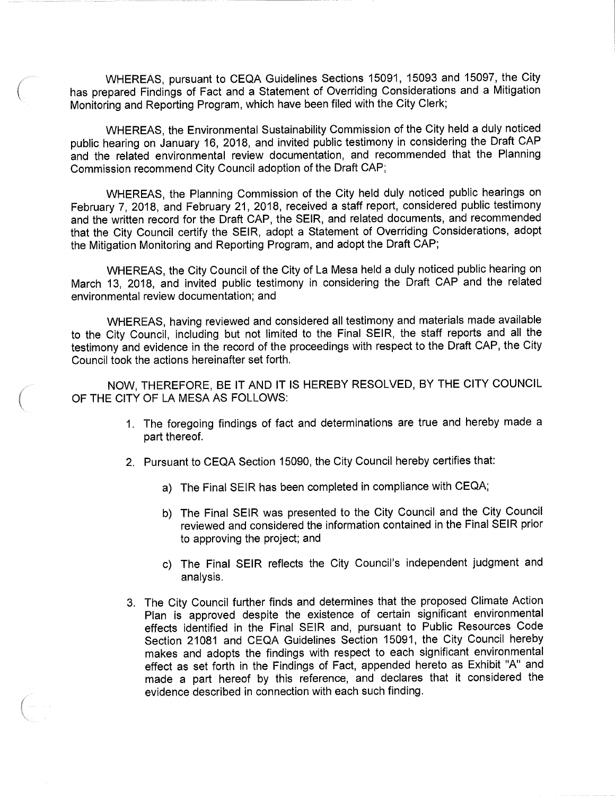WHEREAS, pursuant to CEQA Guidelines Sections 15091, 15093 and 15097, the City has prepared Findings of Fact and a Statement of Overriding Considerations and a Mitigation Monitoring and Reporting Program, which have been filed with the City Clerk;

WHEREAS, the Environmental Sustainability Commission of the City held a duly noticed public hearing on January 16, 2018, and invited public testimony in considering the Draft CAP and the related environmental review documentation, and recommended that the Planning Commission recommend City Council adoption of the Draft CAP;

WHEREAS, the Planning Commission of the City held duly noticed public hearings on February 7, 2018, and February 21, 2018, received a staff report, considered public testimony and the written record for the Draft CAP, the SEIR, and related documents, and recommended that the City Council certify the SEIR, adopt a Statement of Overriding Considerations, adopt the Mitigation Monitoring and Reporting Program, and adopt the Draft CAP;

WHEREAS, the City Council of the City of La Mesa held a duly noticed public hearing on March 13, 2018, and invited public testimony in considering the Draft CAP and the related environmental review documentation; and

WHEREAS, having reviewed and considered all testimony and materials made available to the City Council, including but not limited to the Final SEIR, the staff reports and all the testimony and evidence in the record of the proceedings with respect to the Draft CAP, the City Council took the actions hereinafter set forth.

NOW, THEREFORE, BE IT AND IT IS HEREBY RESOLVED, BY THE CITY COUNCIL OF THE CITY OF LA MESA AS FOLLOWS:

- 1. The foregoing findings of fact and determinations are true and hereby made a part thereof.
- 2. Pursuant to CEQA Section 15090, the City Council hereby certifies that:
	- a) The Final SEIR has been completed in compliance with CEQA;
	- b) The Final SEIR was presented to the City Council and the City Council reviewed and considered the information contained in the Final SEIR prior to approving the project; and
	- c) The Final SEIR reflects the City Council's independent judgment and analysis.
- 3. The City Council further finds and determines that the proposed Climate Action Plan is approved despite the existence of certain significant environmental effects identified in the Final SEIR and, pursuant to Public Resources Code Section 21081 and CEQA Guidelines Section 15091, the City Council hereby makes and adopts the findings with respect to each significant environmental effect as set forth in the Findings of Fact, appended hereto as Exhibit "A" and made a part hereof by this reference, and declares that it considered the evidence described in connection with each such finding.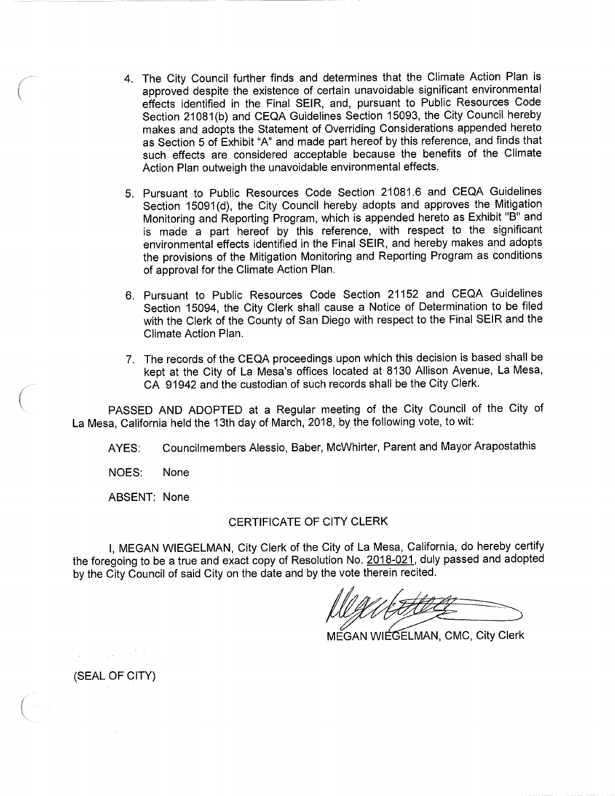- 4. The City Council further finds and determines that the Climate Action Plan is approved despite the existence of certain unavoidable significant environmental effects identified in the Final SEIR, and, pursuant to Public Resources Code Section 21081(b) and CEQA Guidelines Section 15093, the City Council hereby makes and adopts the Statement of Overriding Considerations appended hereto as Section 5 of Exhibit "A" and made part hereof by this reference, and finds that such effects are considered acceptable because the benefits of the Climate Action Plan outweigh the unavoidable environmental effects.
- 5. Pursuant to Public Resources Code Section 21081.6 and CEQA Guidelines Section 15091(d), the City Council hereby adopts and approves the Mitigation Monitoring and Reporting Program, which is appended hereto as Exhibit "B" and is made a part hereof by this reference, with respect to the significant environmental effects identified in the Final SEIR, and hereby makes and adopts the provisions of the Mitigation Monitoring and Reporting Program as conditions of approval for the Climate Action Plan.
- 6. Pursuant to Public Resources Code Section 21152 and CEQA Guidelines Section 15094, the City Clerk shall cause a Notice of Determination to be filed with the Clerk of the County of San Diego with respect to the Final SEIR and the Climate Action Plan.
- 7. The records of the CEQA proceedings upon which this decision is based shall be kept at the City of La Mesa's offices located at 8130 Allison Avenue, La Mesa, CA 91942 and the custodian of such records shall be the City Clerk.

PASSED AND ADOPTED at a Regular meeting of the City Council of the City of La Mesa, California held the 13th day of March, 2018, by the following vote, to wit:

- Councilmembers Alessio, Baber, McWhirter, Parent and Mayor Arapostathis AYES:
- **NOES: None**
- ABSENT: None

#### **CERTIFICATE OF CITY CLERK**

I, MEGAN WIEGELMAN, City Clerk of the City of La Mesa, California, do hereby certify the foregoing to be a true and exact copy of Resolution No. 2018-021, duly passed and adopted by the City Council of said City on the date and by the vote therein recited.

MEGAN WIEGELMAN, CMC, City Clerk

(SEAL OF CITY)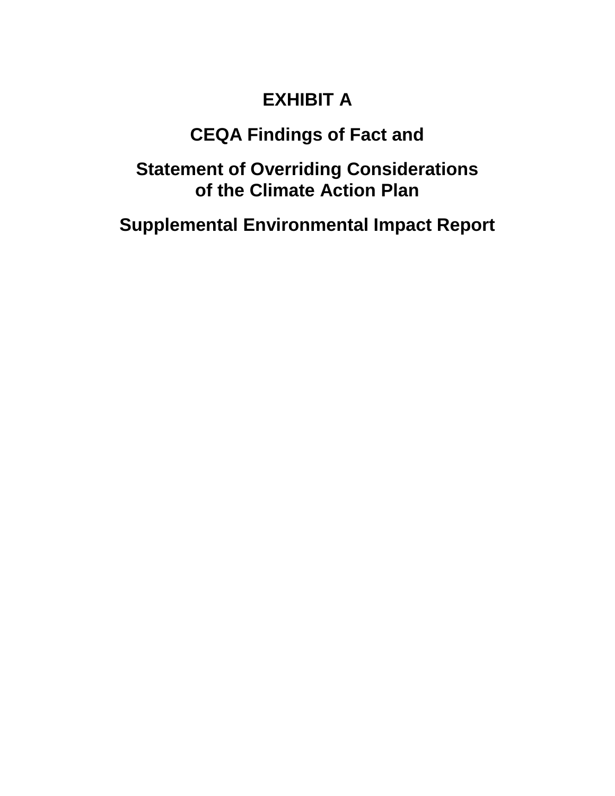# **EXHIBIT A**

# **CEQA Findings of Fact and**

**Statement of Overriding Considerations of the Climate Action Plan** 

**Supplemental Environmental Impact Report**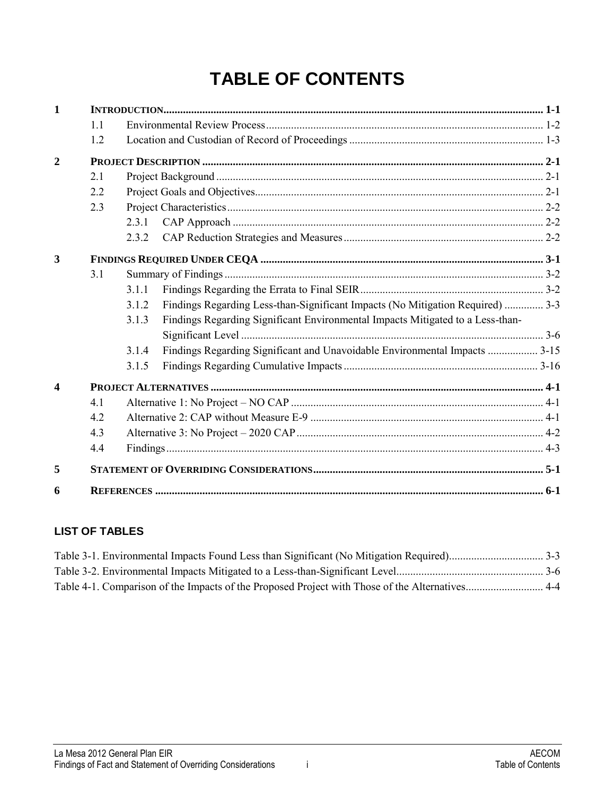# **TABLE OF CONTENTS**

| $\mathbf{1}$            |        |       |                                                                                |  |  |
|-------------------------|--------|-------|--------------------------------------------------------------------------------|--|--|
|                         | $1\,1$ |       |                                                                                |  |  |
|                         | 1.2    |       |                                                                                |  |  |
| $\overline{2}$          |        |       |                                                                                |  |  |
|                         | 2.1    |       |                                                                                |  |  |
|                         | 2.2    |       |                                                                                |  |  |
|                         | 2.3    |       |                                                                                |  |  |
|                         |        | 2.3.1 |                                                                                |  |  |
|                         |        | 2.3.2 |                                                                                |  |  |
| $\overline{\mathbf{3}}$ |        |       |                                                                                |  |  |
|                         | 3.1    |       |                                                                                |  |  |
|                         |        | 3.1.1 |                                                                                |  |  |
|                         |        | 3.1.2 | Findings Regarding Less-than-Significant Impacts (No Mitigation Required)  3-3 |  |  |
|                         |        | 3.1.3 | Findings Regarding Significant Environmental Impacts Mitigated to a Less-than- |  |  |
|                         |        |       |                                                                                |  |  |
|                         |        | 3.1.4 | Findings Regarding Significant and Unavoidable Environmental Impacts  3-15     |  |  |
|                         |        | 3.1.5 |                                                                                |  |  |
| $\overline{\mathbf{4}}$ |        |       |                                                                                |  |  |
|                         | 4.1    |       |                                                                                |  |  |
|                         | 4.2    |       |                                                                                |  |  |
|                         | 4.3    |       |                                                                                |  |  |
|                         | 4.4    |       |                                                                                |  |  |
| 5                       |        |       |                                                                                |  |  |
| 6                       |        |       |                                                                                |  |  |

## **LIST OF TABLES**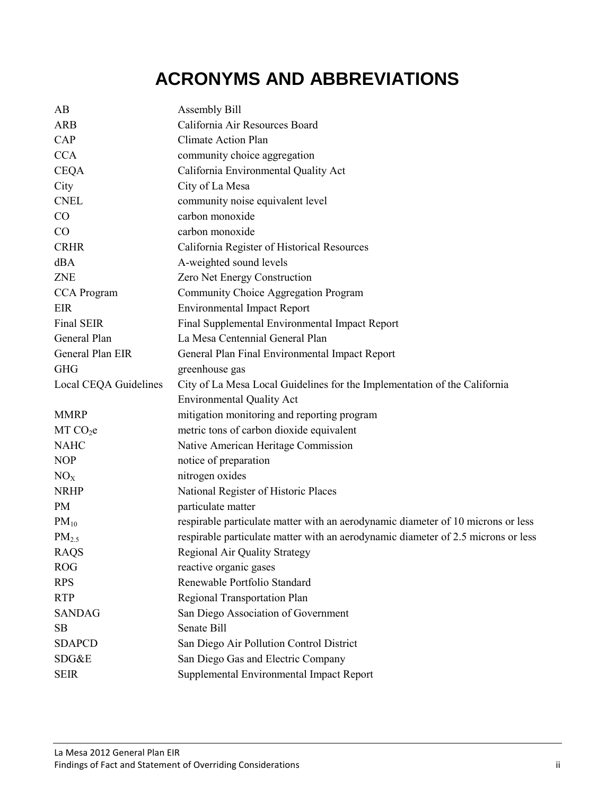# **ACRONYMS AND ABBREVIATIONS**

| AB                    | <b>Assembly Bill</b>                                                              |
|-----------------------|-----------------------------------------------------------------------------------|
| <b>ARB</b>            | California Air Resources Board                                                    |
| CAP                   | <b>Climate Action Plan</b>                                                        |
| <b>CCA</b>            | community choice aggregation                                                      |
| <b>CEQA</b>           | California Environmental Quality Act                                              |
| City                  | City of La Mesa                                                                   |
| <b>CNEL</b>           | community noise equivalent level                                                  |
| CO                    | carbon monoxide                                                                   |
| CO                    | carbon monoxide                                                                   |
| <b>CRHR</b>           | California Register of Historical Resources                                       |
| dBA                   | A-weighted sound levels                                                           |
| <b>ZNE</b>            | Zero Net Energy Construction                                                      |
| CCA Program           | Community Choice Aggregation Program                                              |
| EIR                   | <b>Environmental Impact Report</b>                                                |
| <b>Final SEIR</b>     | Final Supplemental Environmental Impact Report                                    |
| General Plan          | La Mesa Centennial General Plan                                                   |
| General Plan EIR      | General Plan Final Environmental Impact Report                                    |
| <b>GHG</b>            | greenhouse gas                                                                    |
| Local CEQA Guidelines | City of La Mesa Local Guidelines for the Implementation of the California         |
|                       | <b>Environmental Quality Act</b>                                                  |
| <b>MMRP</b>           | mitigation monitoring and reporting program                                       |
| MT CO <sub>2</sub> e  | metric tons of carbon dioxide equivalent                                          |
| <b>NAHC</b>           | Native American Heritage Commission                                               |
| <b>NOP</b>            | notice of preparation                                                             |
| NO <sub>X</sub>       | nitrogen oxides                                                                   |
| <b>NRHP</b>           | National Register of Historic Places                                              |
| PM                    | particulate matter                                                                |
| $PM_{10}$             | respirable particulate matter with an aerodynamic diameter of 10 microns or less  |
| PM <sub>2.5</sub>     | respirable particulate matter with an aerodynamic diameter of 2.5 microns or less |
| RAQS                  | <b>Regional Air Quality Strategy</b>                                              |
| <b>ROG</b>            | reactive organic gases                                                            |
| <b>RPS</b>            | Renewable Portfolio Standard                                                      |
| <b>RTP</b>            | Regional Transportation Plan                                                      |
| <b>SANDAG</b>         | San Diego Association of Government                                               |
| <b>SB</b>             | Senate Bill                                                                       |
| <b>SDAPCD</b>         | San Diego Air Pollution Control District                                          |
| SDG&E                 | San Diego Gas and Electric Company                                                |
| <b>SEIR</b>           | Supplemental Environmental Impact Report                                          |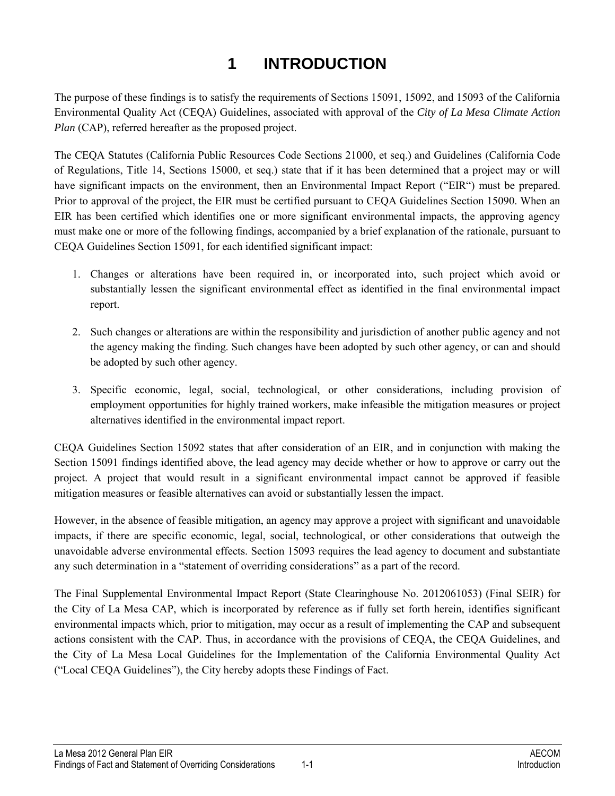# **1 INTRODUCTION**

<span id="page-6-0"></span>The purpose of these findings is to satisfy the requirements of Sections 15091, 15092, and 15093 of the California Environmental Quality Act (CEQA) Guidelines, associated with approval of the *City of La Mesa Climate Action Plan* (CAP), referred hereafter as the proposed project.

The CEQA Statutes (California Public Resources Code Sections 21000, et seq.) and Guidelines (California Code of Regulations, Title 14, Sections 15000, et seq.) state that if it has been determined that a project may or will have significant impacts on the environment, then an Environmental Impact Report ("EIR") must be prepared. Prior to approval of the project, the EIR must be certified pursuant to CEQA Guidelines Section 15090. When an EIR has been certified which identifies one or more significant environmental impacts, the approving agency must make one or more of the following findings, accompanied by a brief explanation of the rationale, pursuant to CEQA Guidelines Section 15091, for each identified significant impact:

- 1. Changes or alterations have been required in, or incorporated into, such project which avoid or substantially lessen the significant environmental effect as identified in the final environmental impact report.
- 2. Such changes or alterations are within the responsibility and jurisdiction of another public agency and not the agency making the finding. Such changes have been adopted by such other agency, or can and should be adopted by such other agency.
- 3. Specific economic, legal, social, technological, or other considerations, including provision of employment opportunities for highly trained workers, make infeasible the mitigation measures or project alternatives identified in the environmental impact report.

CEQA Guidelines Section 15092 states that after consideration of an EIR, and in conjunction with making the Section 15091 findings identified above, the lead agency may decide whether or how to approve or carry out the project. A project that would result in a significant environmental impact cannot be approved if feasible mitigation measures or feasible alternatives can avoid or substantially lessen the impact.

However, in the absence of feasible mitigation, an agency may approve a project with significant and unavoidable impacts, if there are specific economic, legal, social, technological, or other considerations that outweigh the unavoidable adverse environmental effects. Section 15093 requires the lead agency to document and substantiate any such determination in a "statement of overriding considerations" as a part of the record.

The Final Supplemental Environmental Impact Report (State Clearinghouse No. 2012061053) (Final SEIR) for the City of La Mesa CAP, which is incorporated by reference as if fully set forth herein, identifies significant environmental impacts which, prior to mitigation, may occur as a result of implementing the CAP and subsequent actions consistent with the CAP. Thus, in accordance with the provisions of CEQA, the CEQA Guidelines, and the City of La Mesa Local Guidelines for the Implementation of the California Environmental Quality Act ("Local CEQA Guidelines"), the City hereby adopts these Findings of Fact.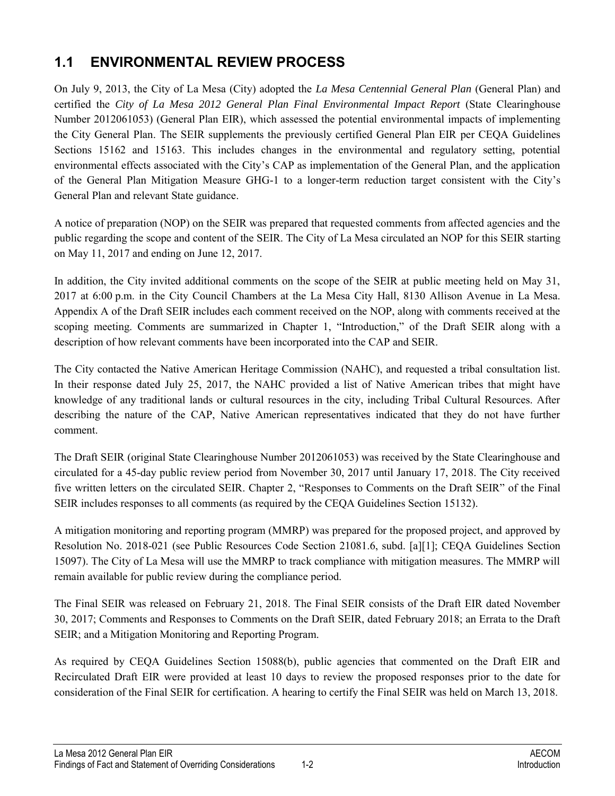## <span id="page-7-0"></span>**1.1 ENVIRONMENTAL REVIEW PROCESS**

On July 9, 2013, the City of La Mesa (City) adopted the *La Mesa Centennial General Plan* (General Plan) and certified the *City of La Mesa 2012 General Plan Final Environmental Impact Report* (State Clearinghouse Number 2012061053) (General Plan EIR), which assessed the potential environmental impacts of implementing the City General Plan. The SEIR supplements the previously certified General Plan EIR per CEQA Guidelines Sections 15162 and 15163. This includes changes in the environmental and regulatory setting, potential environmental effects associated with the City's CAP as implementation of the General Plan, and the application of the General Plan Mitigation Measure GHG-1 to a longer-term reduction target consistent with the City's General Plan and relevant State guidance.

A notice of preparation (NOP) on the SEIR was prepared that requested comments from affected agencies and the public regarding the scope and content of the SEIR. The City of La Mesa circulated an NOP for this SEIR starting on May 11, 2017 and ending on June 12, 2017.

In addition, the City invited additional comments on the scope of the SEIR at public meeting held on May 31, 2017 at 6:00 p.m. in the City Council Chambers at the La Mesa City Hall, 8130 Allison Avenue in La Mesa. Appendix A of the Draft SEIR includes each comment received on the NOP, along with comments received at the scoping meeting. Comments are summarized in Chapter 1, "Introduction," of the Draft SEIR along with a description of how relevant comments have been incorporated into the CAP and SEIR.

The City contacted the Native American Heritage Commission (NAHC), and requested a tribal consultation list. In their response dated July 25, 2017, the NAHC provided a list of Native American tribes that might have knowledge of any traditional lands or cultural resources in the city, including Tribal Cultural Resources. After describing the nature of the CAP, Native American representatives indicated that they do not have further comment.

The Draft SEIR (original State Clearinghouse Number 2012061053) was received by the State Clearinghouse and circulated for a 45-day public review period from November 30, 2017 until January 17, 2018. The City received five written letters on the circulated SEIR. Chapter 2, "Responses to Comments on the Draft SEIR" of the Final SEIR includes responses to all comments (as required by the CEQA Guidelines Section 15132).

A mitigation monitoring and reporting program (MMRP) was prepared for the proposed project, and approved by Resolution No. 2018-021 (see Public Resources Code Section 21081.6, subd. [a][1]; CEQA Guidelines Section 15097). The City of La Mesa will use the MMRP to track compliance with mitigation measures. The MMRP will remain available for public review during the compliance period.

The Final SEIR was released on February 21, 2018. The Final SEIR consists of the Draft EIR dated November 30, 2017; Comments and Responses to Comments on the Draft SEIR, dated February 2018; an Errata to the Draft SEIR; and a Mitigation Monitoring and Reporting Program.

As required by CEQA Guidelines Section 15088(b), public agencies that commented on the Draft EIR and Recirculated Draft EIR were provided at least 10 days to review the proposed responses prior to the date for consideration of the Final SEIR for certification. A hearing to certify the Final SEIR was held on March 13, 2018.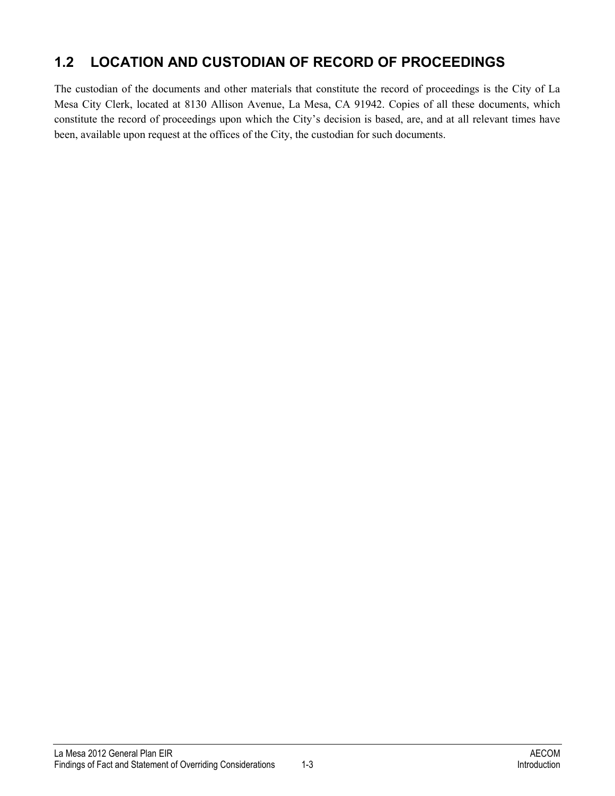## <span id="page-8-0"></span>**1.2 LOCATION AND CUSTODIAN OF RECORD OF PROCEEDINGS**

The custodian of the documents and other materials that constitute the record of proceedings is the City of La Mesa City Clerk, located at 8130 Allison Avenue, La Mesa, CA 91942. Copies of all these documents, which constitute the record of proceedings upon which the City's decision is based, are, and at all relevant times have been, available upon request at the offices of the City, the custodian for such documents.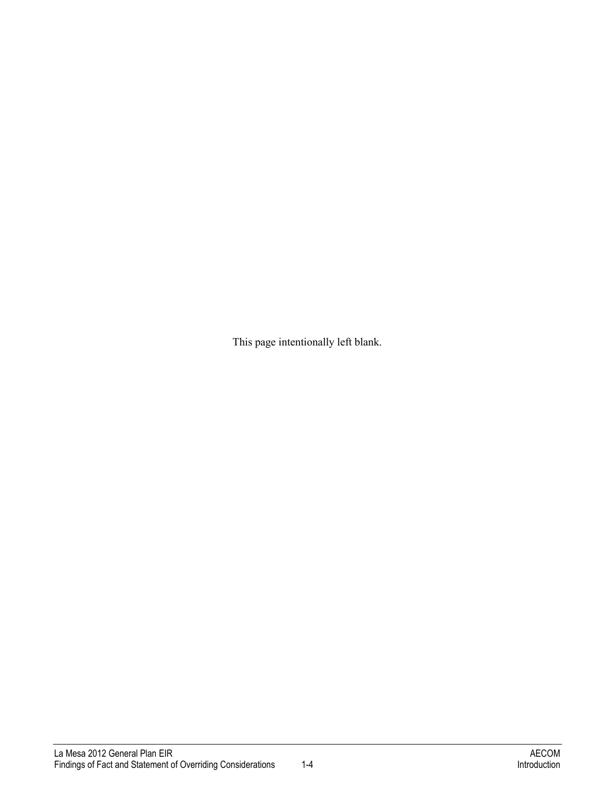This page intentionally left blank.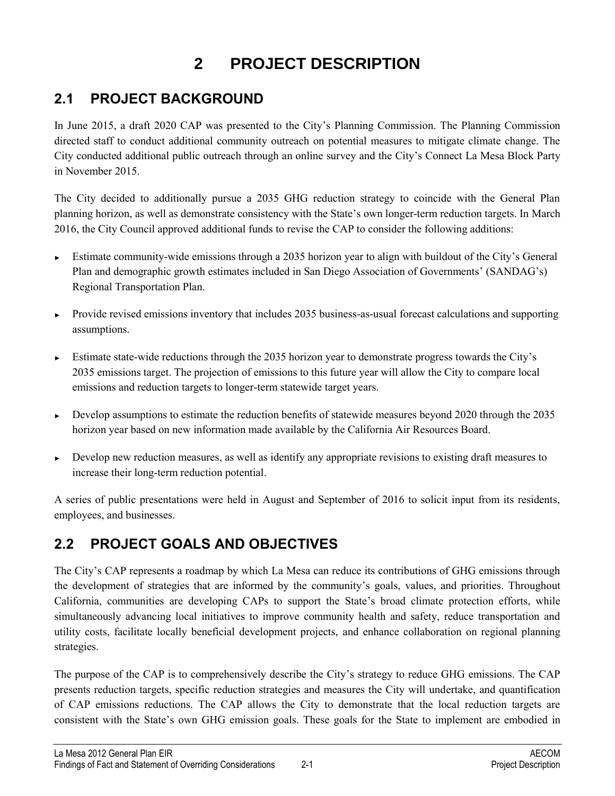# **2 PROJECT DESCRIPTION**

## <span id="page-10-1"></span><span id="page-10-0"></span>**2.1 PROJECT BACKGROUND**

In June 2015, a draft 2020 CAP was presented to the City's Planning Commission. The Planning Commission directed staff to conduct additional community outreach on potential measures to mitigate climate change. The City conducted additional public outreach through an online survey and the City's Connect La Mesa Block Party in November 2015.

The City decided to additionally pursue a 2035 GHG reduction strategy to coincide with the General Plan planning horizon, as well as demonstrate consistency with the State's own longer-term reduction targets. In March 2016, the City Council approved additional funds to revise the CAP to consider the following additions:

- Estimate community-wide emissions through a 2035 horizon year to align with buildout of the City's General Plan and demographic growth estimates included in San Diego Association of Governments' (SANDAG's) Regional Transportation Plan.
- ► Provide revised emissions inventory that includes 2035 business-as-usual forecast calculations and supporting assumptions.
- ► Estimate state-wide reductions through the 2035 horizon year to demonstrate progress towards the City's 2035 emissions target. The projection of emissions to this future year will allow the City to compare local emissions and reduction targets to longer-term statewide target years.
- Develop assumptions to estimate the reduction benefits of statewide measures beyond 2020 through the 2035 horizon year based on new information made available by the California Air Resources Board.
- ► Develop new reduction measures, as well as identify any appropriate revisions to existing draft measures to increase their long-term reduction potential.

A series of public presentations were held in August and September of 2016 to solicit input from its residents, employees, and businesses.

## <span id="page-10-2"></span>**2.2 PROJECT GOALS AND OBJECTIVES**

The City's CAP represents a roadmap by which La Mesa can reduce its contributions of GHG emissions through the development of strategies that are informed by the community's goals, values, and priorities. Throughout California, communities are developing CAPs to support the State's broad climate protection efforts, while simultaneously advancing local initiatives to improve community health and safety, reduce transportation and utility costs, facilitate locally beneficial development projects, and enhance collaboration on regional planning strategies.

The purpose of the CAP is to comprehensively describe the City's strategy to reduce GHG emissions. The CAP presents reduction targets, specific reduction strategies and measures the City will undertake, and quantification of CAP emissions reductions. The CAP allows the City to demonstrate that the local reduction targets are consistent with the State's own GHG emission goals. These goals for the State to implement are embodied in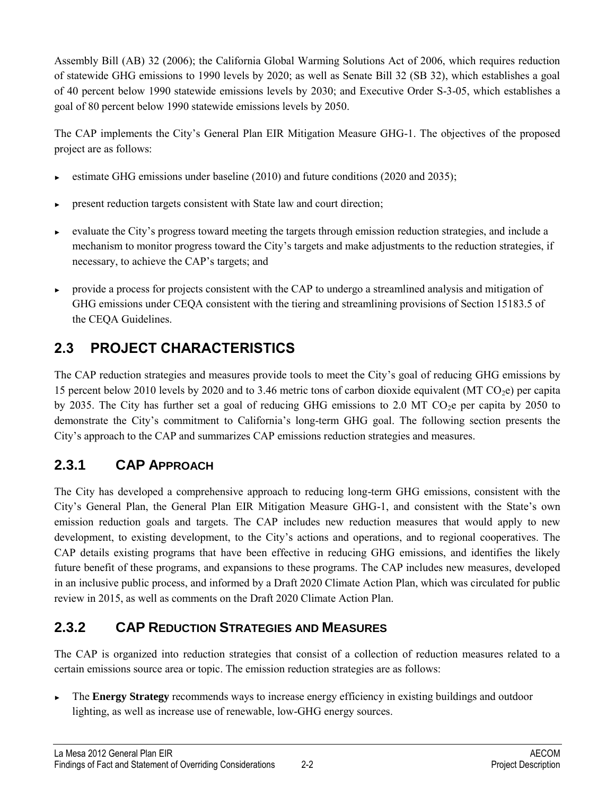Assembly Bill (AB) 32 (2006); the California Global Warming Solutions Act of 2006, which requires reduction of statewide GHG emissions to 1990 levels by 2020; as well as Senate Bill 32 (SB 32), which establishes a goal of 40 percent below 1990 statewide emissions levels by 2030; and Executive Order S-3-05, which establishes a goal of 80 percent below 1990 statewide emissions levels by 2050.

The CAP implements the City's General Plan EIR Mitigation Measure GHG-1. The objectives of the proposed project are as follows:

- estimate GHG emissions under baseline (2010) and future conditions (2020 and 2035);
- present reduction targets consistent with State law and court direction;
- evaluate the City's progress toward meeting the targets through emission reduction strategies, and include a mechanism to monitor progress toward the City's targets and make adjustments to the reduction strategies, if necessary, to achieve the CAP's targets; and
- ► provide a process for projects consistent with the CAP to undergo a streamlined analysis and mitigation of GHG emissions under CEQA consistent with the tiering and streamlining provisions of Section 15183.5 of the CEQA Guidelines.

## <span id="page-11-0"></span>**2.3 PROJECT CHARACTERISTICS**

The CAP reduction strategies and measures provide tools to meet the City's goal of reducing GHG emissions by 15 percent below 2010 levels by 2020 and to 3.46 metric tons of carbon dioxide equivalent (MT  $CO<sub>2</sub>e$ ) per capita by 2035. The City has further set a goal of reducing GHG emissions to 2.0 MT  $CO<sub>2</sub>e$  per capita by 2050 to demonstrate the City's commitment to California's long-term GHG goal. The following section presents the City's approach to the CAP and summarizes CAP emissions reduction strategies and measures.

## <span id="page-11-1"></span>**2.3.1 CAP APPROACH**

The City has developed a comprehensive approach to reducing long-term GHG emissions, consistent with the City's General Plan, the General Plan EIR Mitigation Measure GHG-1, and consistent with the State's own emission reduction goals and targets. The CAP includes new reduction measures that would apply to new development, to existing development, to the City's actions and operations, and to regional cooperatives. The CAP details existing programs that have been effective in reducing GHG emissions, and identifies the likely future benefit of these programs, and expansions to these programs. The CAP includes new measures, developed in an inclusive public process, and informed by a Draft 2020 Climate Action Plan, which was circulated for public review in 2015, as well as comments on the Draft 2020 Climate Action Plan.

## <span id="page-11-2"></span>**2.3.2 CAP REDUCTION STRATEGIES AND MEASURES**

The CAP is organized into reduction strategies that consist of a collection of reduction measures related to a certain emissions source area or topic. The emission reduction strategies are as follows:

The **Energy Strategy** recommends ways to increase energy efficiency in existing buildings and outdoor lighting, as well as increase use of renewable, low-GHG energy sources.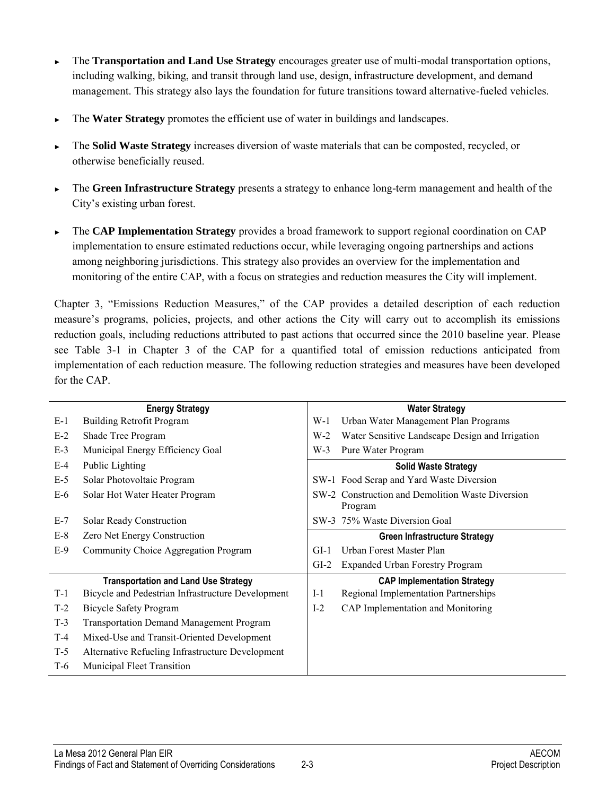- ► The **Transportation and Land Use Strategy** encourages greater use of multi-modal transportation options, including walking, biking, and transit through land use, design, infrastructure development, and demand management. This strategy also lays the foundation for future transitions toward alternative-fueled vehicles.
- The **Water Strategy** promotes the efficient use of water in buildings and landscapes.
- The **Solid Waste Strategy** increases diversion of waste materials that can be composted, recycled, or otherwise beneficially reused.
- ► The **Green Infrastructure Strategy** presents a strategy to enhance long-term management and health of the City's existing urban forest.
- The **CAP Implementation Strategy** provides a broad framework to support regional coordination on CAP implementation to ensure estimated reductions occur, while leveraging ongoing partnerships and actions among neighboring jurisdictions. This strategy also provides an overview for the implementation and monitoring of the entire CAP, with a focus on strategies and reduction measures the City will implement.

Chapter 3, "Emissions Reduction Measures," of the CAP provides a detailed description of each reduction measure's programs, policies, projects, and other actions the City will carry out to accomplish its emissions reduction goals, including reductions attributed to past actions that occurred since the 2010 baseline year. Please see Table 3-1 in Chapter 3 of the CAP for a quantified total of emission reductions anticipated from implementation of each reduction measure. The following reduction strategies and measures have been developed for the CAP.

| <b>Energy Strategy</b> |                                                   |        | <b>Water Strategy</b>                                       |
|------------------------|---------------------------------------------------|--------|-------------------------------------------------------------|
| E-1                    | <b>Building Retrofit Program</b>                  | $W-1$  | Urban Water Management Plan Programs                        |
| $E-2$                  | Shade Tree Program                                | $W-2$  | Water Sensitive Landscape Design and Irrigation             |
| $E-3$                  | Municipal Energy Efficiency Goal                  | $W-3$  | Pure Water Program                                          |
| $E-4$                  | Public Lighting                                   |        | <b>Solid Waste Strategy</b>                                 |
| $E-5$                  | Solar Photovoltaic Program                        |        | SW-1 Food Scrap and Yard Waste Diversion                    |
| $E-6$                  | Solar Hot Water Heater Program                    |        | SW-2 Construction and Demolition Waste Diversion<br>Program |
| $E-7$                  | Solar Ready Construction                          |        | SW-3 75% Waste Diversion Goal                               |
| $E-8$                  | Zero Net Energy Construction                      |        | Green Infrastructure Strategy                               |
| $E-9$                  | Community Choice Aggregation Program              | $GI-1$ | Urban Forest Master Plan                                    |
|                        |                                                   | $GI-2$ | <b>Expanded Urban Forestry Program</b>                      |
|                        | <b>Transportation and Land Use Strategy</b>       |        | <b>CAP Implementation Strategy</b>                          |
| $T-1$                  | Bicycle and Pedestrian Infrastructure Development | $I-1$  | <b>Regional Implementation Partnerships</b>                 |
| $T-2$                  | Bicycle Safety Program                            | $I-2$  | CAP Implementation and Monitoring                           |
| $T-3$                  | <b>Transportation Demand Management Program</b>   |        |                                                             |
| $T-4$                  | Mixed-Use and Transit-Oriented Development        |        |                                                             |
| $T-5$                  | Alternative Refueling Infrastructure Development  |        |                                                             |
| T-6                    | Municipal Fleet Transition                        |        |                                                             |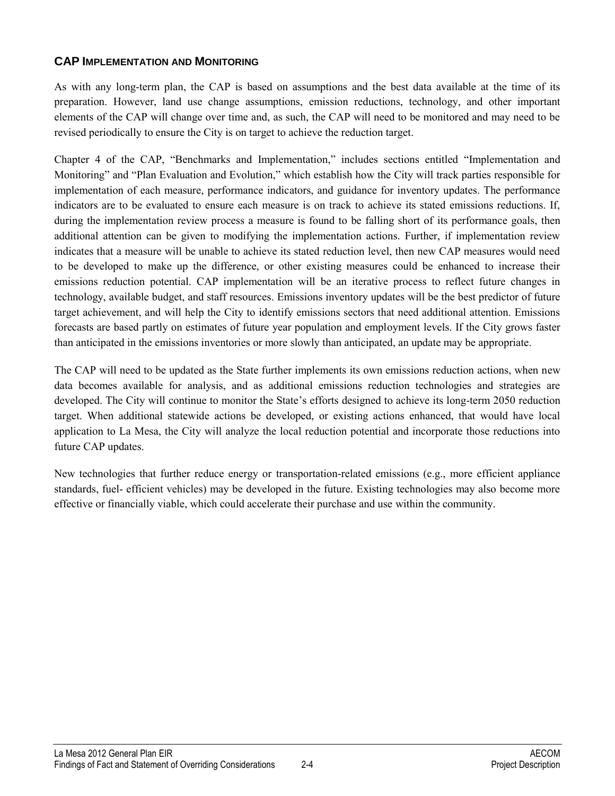### **CAP IMPLEMENTATION AND MONITORING**

As with any long-term plan, the CAP is based on assumptions and the best data available at the time of its preparation. However, land use change assumptions, emission reductions, technology, and other important elements of the CAP will change over time and, as such, the CAP will need to be monitored and may need to be revised periodically to ensure the City is on target to achieve the reduction target.

Chapter 4 of the CAP, "Benchmarks and Implementation," includes sections entitled "Implementation and Monitoring" and "Plan Evaluation and Evolution," which establish how the City will track parties responsible for implementation of each measure, performance indicators, and guidance for inventory updates. The performance indicators are to be evaluated to ensure each measure is on track to achieve its stated emissions reductions. If, during the implementation review process a measure is found to be falling short of its performance goals, then additional attention can be given to modifying the implementation actions. Further, if implementation review indicates that a measure will be unable to achieve its stated reduction level, then new CAP measures would need to be developed to make up the difference, or other existing measures could be enhanced to increase their emissions reduction potential. CAP implementation will be an iterative process to reflect future changes in technology, available budget, and staff resources. Emissions inventory updates will be the best predictor of future target achievement, and will help the City to identify emissions sectors that need additional attention. Emissions forecasts are based partly on estimates of future year population and employment levels. If the City grows faster than anticipated in the emissions inventories or more slowly than anticipated, an update may be appropriate.

The CAP will need to be updated as the State further implements its own emissions reduction actions, when new data becomes available for analysis, and as additional emissions reduction technologies and strategies are developed. The City will continue to monitor the State's efforts designed to achieve its long-term 2050 reduction target. When additional statewide actions be developed, or existing actions enhanced, that would have local application to La Mesa, the City will analyze the local reduction potential and incorporate those reductions into future CAP updates.

New technologies that further reduce energy or transportation-related emissions (e.g., more efficient appliance standards, fuel- efficient vehicles) may be developed in the future. Existing technologies may also become more effective or financially viable, which could accelerate their purchase and use within the community.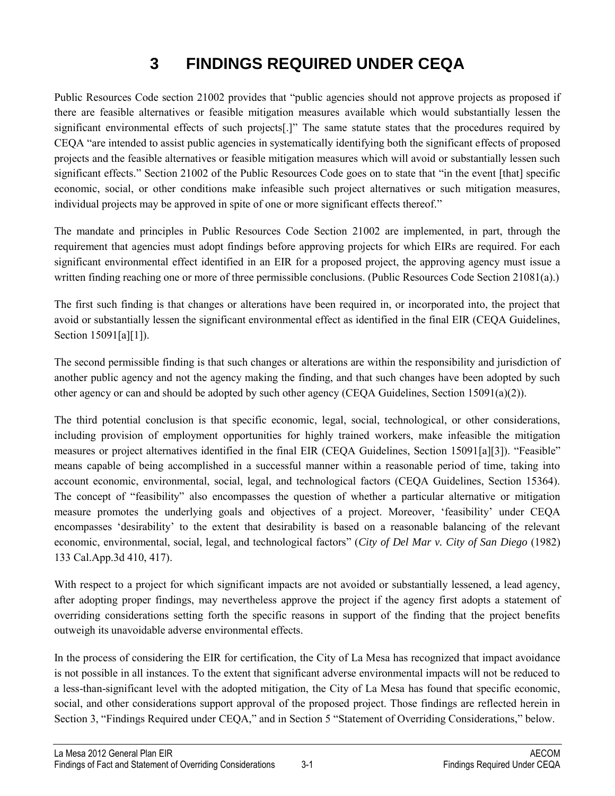# **3 FINDINGS REQUIRED UNDER CEQA**

<span id="page-14-0"></span>Public Resources Code section 21002 provides that "public agencies should not approve projects as proposed if there are feasible alternatives or feasible mitigation measures available which would substantially lessen the significant environmental effects of such projects[.]" The same statute states that the procedures required by CEQA "are intended to assist public agencies in systematically identifying both the significant effects of proposed projects and the feasible alternatives or feasible mitigation measures which will avoid or substantially lessen such significant effects." Section 21002 of the Public Resources Code goes on to state that "in the event [that] specific economic, social, or other conditions make infeasible such project alternatives or such mitigation measures, individual projects may be approved in spite of one or more significant effects thereof."

The mandate and principles in Public Resources Code Section 21002 are implemented, in part, through the requirement that agencies must adopt findings before approving projects for which EIRs are required. For each significant environmental effect identified in an EIR for a proposed project, the approving agency must issue a written finding reaching one or more of three permissible conclusions. (Public Resources Code Section 21081(a).)

The first such finding is that changes or alterations have been required in, or incorporated into, the project that avoid or substantially lessen the significant environmental effect as identified in the final EIR (CEQA Guidelines, Section 15091[a][1]).

The second permissible finding is that such changes or alterations are within the responsibility and jurisdiction of another public agency and not the agency making the finding, and that such changes have been adopted by such other agency or can and should be adopted by such other agency (CEQA Guidelines, Section 15091(a)(2)).

The third potential conclusion is that specific economic, legal, social, technological, or other considerations, including provision of employment opportunities for highly trained workers, make infeasible the mitigation measures or project alternatives identified in the final EIR (CEQA Guidelines, Section 15091[a][3]). "Feasible" means capable of being accomplished in a successful manner within a reasonable period of time, taking into account economic, environmental, social, legal, and technological factors (CEQA Guidelines, Section 15364). The concept of "feasibility" also encompasses the question of whether a particular alternative or mitigation measure promotes the underlying goals and objectives of a project. Moreover, 'feasibility' under CEQA encompasses 'desirability' to the extent that desirability is based on a reasonable balancing of the relevant economic, environmental, social, legal, and technological factors" (*City of Del Mar v. City of San Diego* (1982) 133 Cal.App.3d 410, 417).

With respect to a project for which significant impacts are not avoided or substantially lessened, a lead agency, after adopting proper findings, may nevertheless approve the project if the agency first adopts a statement of overriding considerations setting forth the specific reasons in support of the finding that the project benefits outweigh its unavoidable adverse environmental effects.

In the process of considering the EIR for certification, the City of La Mesa has recognized that impact avoidance is not possible in all instances. To the extent that significant adverse environmental impacts will not be reduced to a less-than-significant level with the adopted mitigation, the City of La Mesa has found that specific economic, social, and other considerations support approval of the proposed project. Those findings are reflected herein in Section 3, "Findings Required under CEQA," and in Section 5 "Statement of Overriding Considerations," below.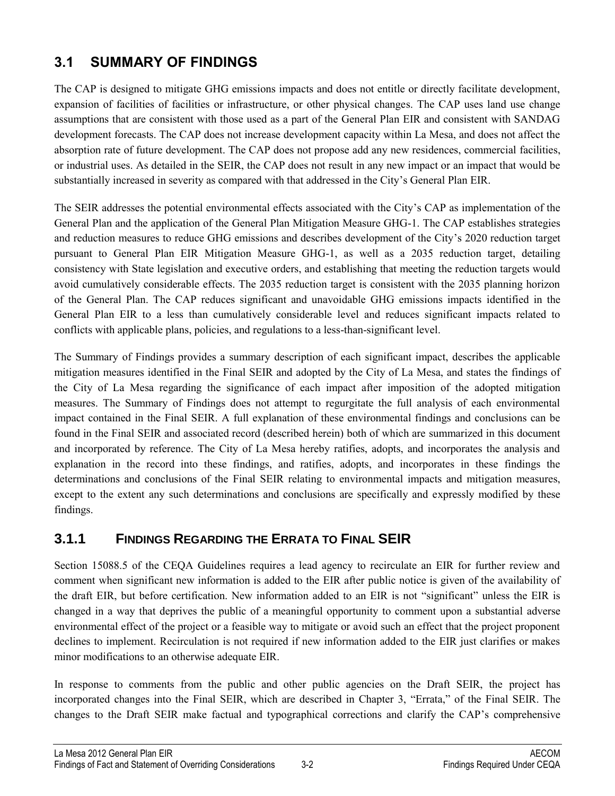## <span id="page-15-0"></span>**3.1 SUMMARY OF FINDINGS**

The CAP is designed to mitigate GHG emissions impacts and does not entitle or directly facilitate development, expansion of facilities of facilities or infrastructure, or other physical changes. The CAP uses land use change assumptions that are consistent with those used as a part of the General Plan EIR and consistent with SANDAG development forecasts. The CAP does not increase development capacity within La Mesa, and does not affect the absorption rate of future development. The CAP does not propose add any new residences, commercial facilities, or industrial uses. As detailed in the SEIR, the CAP does not result in any new impact or an impact that would be substantially increased in severity as compared with that addressed in the City's General Plan EIR.

The SEIR addresses the potential environmental effects associated with the City's CAP as implementation of the General Plan and the application of the General Plan Mitigation Measure GHG-1. The CAP establishes strategies and reduction measures to reduce GHG emissions and describes development of the City's 2020 reduction target pursuant to General Plan EIR Mitigation Measure GHG-1, as well as a 2035 reduction target, detailing consistency with State legislation and executive orders, and establishing that meeting the reduction targets would avoid cumulatively considerable effects. The 2035 reduction target is consistent with the 2035 planning horizon of the General Plan. The CAP reduces significant and unavoidable GHG emissions impacts identified in the General Plan EIR to a less than cumulatively considerable level and reduces significant impacts related to conflicts with applicable plans, policies, and regulations to a less-than-significant level.

The Summary of Findings provides a summary description of each significant impact, describes the applicable mitigation measures identified in the Final SEIR and adopted by the City of La Mesa, and states the findings of the City of La Mesa regarding the significance of each impact after imposition of the adopted mitigation measures. The Summary of Findings does not attempt to regurgitate the full analysis of each environmental impact contained in the Final SEIR. A full explanation of these environmental findings and conclusions can be found in the Final SEIR and associated record (described herein) both of which are summarized in this document and incorporated by reference. The City of La Mesa hereby ratifies, adopts, and incorporates the analysis and explanation in the record into these findings, and ratifies, adopts, and incorporates in these findings the determinations and conclusions of the Final SEIR relating to environmental impacts and mitigation measures, except to the extent any such determinations and conclusions are specifically and expressly modified by these findings.

## <span id="page-15-1"></span>**3.1.1 FINDINGS REGARDING THE ERRATA TO FINAL SEIR**

Section 15088.5 of the CEQA Guidelines requires a lead agency to recirculate an EIR for further review and comment when significant new information is added to the EIR after public notice is given of the availability of the draft EIR, but before certification. New information added to an EIR is not "significant" unless the EIR is changed in a way that deprives the public of a meaningful opportunity to comment upon a substantial adverse environmental effect of the project or a feasible way to mitigate or avoid such an effect that the project proponent declines to implement. Recirculation is not required if new information added to the EIR just clarifies or makes minor modifications to an otherwise adequate EIR.

In response to comments from the public and other public agencies on the Draft SEIR, the project has incorporated changes into the Final SEIR, which are described in Chapter 3, "Errata," of the Final SEIR. The changes to the Draft SEIR make factual and typographical corrections and clarify the CAP's comprehensive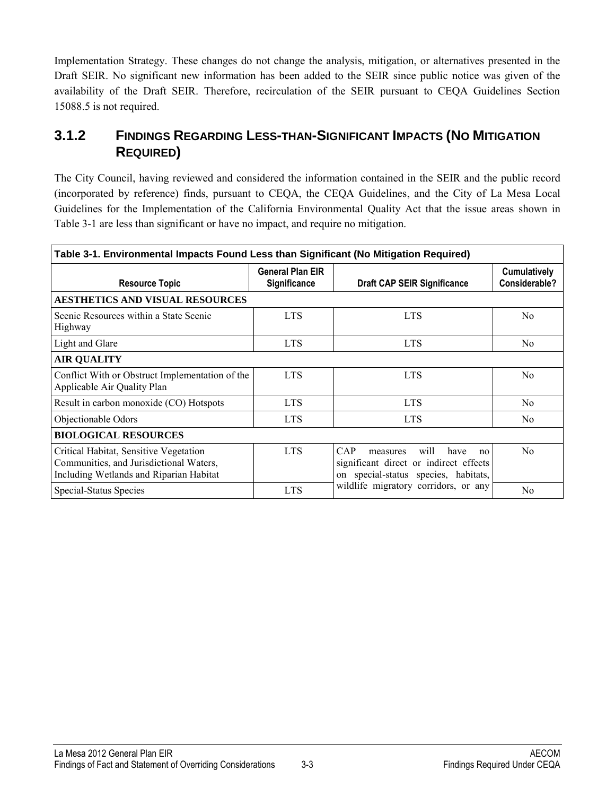Implementation Strategy. These changes do not change the analysis, mitigation, or alternatives presented in the Draft SEIR. No significant new information has been added to the SEIR since public notice was given of the availability of the Draft SEIR. Therefore, recirculation of the SEIR pursuant to CEQA Guidelines Section 15088.5 is not required.

## <span id="page-16-0"></span>**3.1.2 FINDINGS REGARDING LESS-THAN-SIGNIFICANT IMPACTS (NO MITIGATION REQUIRED)**

The City Council, having reviewed and considered the information contained in the SEIR and the public record (incorporated by reference) finds, pursuant to CEQA, the CEQA Guidelines, and the City of La Mesa Local Guidelines for the Implementation of the California Environmental Quality Act that the issue areas shown in Table 3-1 are less than significant or have no impact, and require no mitigation.

<span id="page-16-1"></span>

| Table 3-1. Environmental Impacts Found Less than Significant (No Mitigation Required)                                               |                                                |                                                                                                                         |                                      |  |
|-------------------------------------------------------------------------------------------------------------------------------------|------------------------------------------------|-------------------------------------------------------------------------------------------------------------------------|--------------------------------------|--|
| <b>Resource Topic</b>                                                                                                               | <b>General Plan EIR</b><br><b>Significance</b> | <b>Draft CAP SEIR Significance</b>                                                                                      | <b>Cumulatively</b><br>Considerable? |  |
| <b>AESTHETICS AND VISUAL RESOURCES</b>                                                                                              |                                                |                                                                                                                         |                                      |  |
| Scenic Resources within a State Scenic<br>Highway                                                                                   | <b>LTS</b>                                     | <b>LTS</b>                                                                                                              | N <sub>0</sub>                       |  |
| Light and Glare                                                                                                                     | <b>LTS</b>                                     | <b>LTS</b>                                                                                                              | N <sub>0</sub>                       |  |
| <b>AIR QUALITY</b>                                                                                                                  |                                                |                                                                                                                         |                                      |  |
| Conflict With or Obstruct Implementation of the<br>Applicable Air Quality Plan                                                      | <b>LTS</b>                                     | <b>LTS</b>                                                                                                              | N <sub>0</sub>                       |  |
| Result in carbon monoxide (CO) Hotspots                                                                                             | <b>LTS</b>                                     | <b>LTS</b>                                                                                                              | N <sub>0</sub>                       |  |
| Objectionable Odors                                                                                                                 | <b>LTS</b>                                     | <b>LTS</b>                                                                                                              | N <sub>0</sub>                       |  |
| <b>BIOLOGICAL RESOURCES</b>                                                                                                         |                                                |                                                                                                                         |                                      |  |
| Critical Habitat, Sensitive Vegetation<br>Communities, and Jurisdictional Waters,<br><b>Including Wetlands and Riparian Habitat</b> | LTS.                                           | CAP<br>will<br>have<br>measures<br>no<br>significant direct or indirect effects<br>on special-status species, habitats, | N <sub>0</sub>                       |  |
| Special-Status Species                                                                                                              | <b>LTS</b>                                     | wildlife migratory corridors, or any                                                                                    | N <sub>0</sub>                       |  |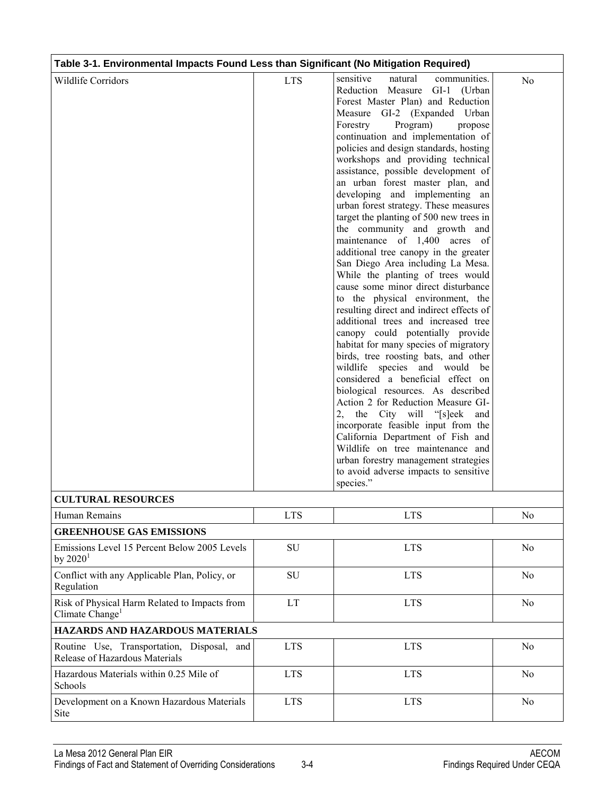| Table 3-1. Environmental Impacts Found Less than Significant (No Mitigation Required) |            |                                                                                                                                                                                                                                                                                                                                                                                                                                                                                                                                                                                                                                                                                                                                                                                                                                                                                                                                                                                                                                                                                                                                                                                                                                                                                                                                                                               |                |
|---------------------------------------------------------------------------------------|------------|-------------------------------------------------------------------------------------------------------------------------------------------------------------------------------------------------------------------------------------------------------------------------------------------------------------------------------------------------------------------------------------------------------------------------------------------------------------------------------------------------------------------------------------------------------------------------------------------------------------------------------------------------------------------------------------------------------------------------------------------------------------------------------------------------------------------------------------------------------------------------------------------------------------------------------------------------------------------------------------------------------------------------------------------------------------------------------------------------------------------------------------------------------------------------------------------------------------------------------------------------------------------------------------------------------------------------------------------------------------------------------|----------------|
| Wildlife Corridors                                                                    | <b>LTS</b> | natural<br>sensitive<br>communities.<br>Reduction Measure GI-1 (Urban<br>Forest Master Plan) and Reduction<br>Measure GI-2 (Expanded Urban<br>Forestry<br>Program)<br>propose<br>continuation and implementation of<br>policies and design standards, hosting<br>workshops and providing technical<br>assistance, possible development of<br>an urban forest master plan, and<br>developing and implementing an<br>urban forest strategy. These measures<br>target the planting of 500 new trees in<br>the community and growth and<br>maintenance of 1,400 acres of<br>additional tree canopy in the greater<br>San Diego Area including La Mesa.<br>While the planting of trees would<br>cause some minor direct disturbance<br>to the physical environment, the<br>resulting direct and indirect effects of<br>additional trees and increased tree<br>canopy could potentially provide<br>habitat for many species of migratory<br>birds, tree roosting bats, and other<br>wildlife species and would be<br>considered a beneficial effect on<br>biological resources. As described<br>Action 2 for Reduction Measure GI-<br>2, the City will "[s]eek<br>and<br>incorporate feasible input from the<br>California Department of Fish and<br>Wildlife on tree maintenance and<br>urban forestry management strategies<br>to avoid adverse impacts to sensitive<br>species." | N <sub>0</sub> |
| <b>CULTURAL RESOURCES</b>                                                             |            |                                                                                                                                                                                                                                                                                                                                                                                                                                                                                                                                                                                                                                                                                                                                                                                                                                                                                                                                                                                                                                                                                                                                                                                                                                                                                                                                                                               |                |

| Human Remains                                                                | <b>LTS</b> | <b>LTS</b> | No.            |
|------------------------------------------------------------------------------|------------|------------|----------------|
| <b>GREENHOUSE GAS EMISSIONS</b>                                              |            |            |                |
| Emissions Level 15 Percent Below 2005 Levels<br>by $20201$                   | <b>SU</b>  | LTS.       | N <sub>0</sub> |
| Conflict with any Applicable Plan, Policy, or<br>Regulation                  | <b>SU</b>  | <b>LTS</b> | N <sub>0</sub> |
| Risk of Physical Harm Related to Impacts from<br>Climate Change <sup>1</sup> | LT         | <b>LTS</b> | N <sub>0</sub> |
| <b>HAZARDS AND HAZARDOUS MATERIALS</b>                                       |            |            |                |
| Routine Use, Transportation, Disposal, and<br>Release of Hazardous Materials | <b>LTS</b> | <b>LTS</b> | N <sub>0</sub> |
| Hazardous Materials within 0.25 Mile of<br><b>Schools</b>                    | <b>LTS</b> | <b>LTS</b> | N <sub>0</sub> |
| Development on a Known Hazardous Materials<br><b>Site</b>                    | <b>LTS</b> | <b>LTS</b> | N <sub>0</sub> |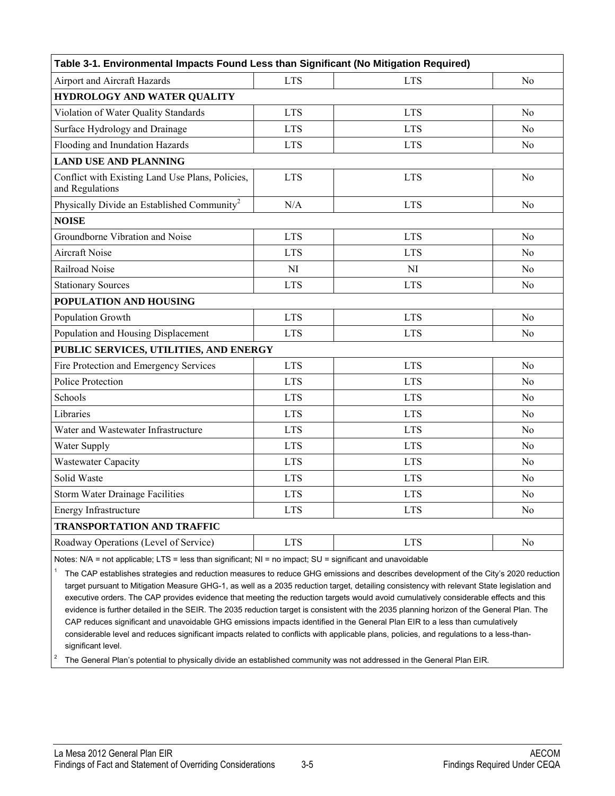| Table 3-1. Environmental Impacts Found Less than Significant (No Mitigation Required) |            |            |                |  |  |
|---------------------------------------------------------------------------------------|------------|------------|----------------|--|--|
| Airport and Aircraft Hazards                                                          | <b>LTS</b> | <b>LTS</b> | N <sub>o</sub> |  |  |
| HYDROLOGY AND WATER QUALITY                                                           |            |            |                |  |  |
| Violation of Water Quality Standards                                                  | <b>LTS</b> | <b>LTS</b> | N <sub>o</sub> |  |  |
| Surface Hydrology and Drainage                                                        | <b>LTS</b> | <b>LTS</b> | N <sub>o</sub> |  |  |
| Flooding and Inundation Hazards                                                       | <b>LTS</b> | <b>LTS</b> | N <sub>o</sub> |  |  |
| <b>LAND USE AND PLANNING</b>                                                          |            |            |                |  |  |
| Conflict with Existing Land Use Plans, Policies,<br>and Regulations                   | <b>LTS</b> | <b>LTS</b> | N <sub>o</sub> |  |  |
| Physically Divide an Established Community <sup>2</sup>                               | N/A        | <b>LTS</b> | N <sub>o</sub> |  |  |
| <b>NOISE</b>                                                                          |            |            |                |  |  |
| Groundborne Vibration and Noise                                                       | <b>LTS</b> | <b>LTS</b> | N <sub>o</sub> |  |  |
| Aircraft Noise                                                                        | <b>LTS</b> | <b>LTS</b> | No             |  |  |
| Railroad Noise                                                                        | NI         | NI         | No             |  |  |
| <b>Stationary Sources</b>                                                             | <b>LTS</b> | <b>LTS</b> | N <sub>0</sub> |  |  |
| POPULATION AND HOUSING                                                                |            |            |                |  |  |
| Population Growth                                                                     | <b>LTS</b> | <b>LTS</b> | No             |  |  |
| Population and Housing Displacement                                                   | <b>LTS</b> | <b>LTS</b> | No             |  |  |
| PUBLIC SERVICES, UTILITIES, AND ENERGY                                                |            |            |                |  |  |
| Fire Protection and Emergency Services                                                | <b>LTS</b> | <b>LTS</b> | N <sub>o</sub> |  |  |
| <b>Police Protection</b>                                                              | <b>LTS</b> | <b>LTS</b> | No             |  |  |
| Schools                                                                               | <b>LTS</b> | <b>LTS</b> | N <sub>o</sub> |  |  |
| Libraries                                                                             | <b>LTS</b> | <b>LTS</b> | N <sub>o</sub> |  |  |
| Water and Wastewater Infrastructure                                                   | <b>LTS</b> | <b>LTS</b> | N <sub>o</sub> |  |  |
| Water Supply                                                                          | <b>LTS</b> | <b>LTS</b> | N <sub>o</sub> |  |  |
| Wastewater Capacity                                                                   | <b>LTS</b> | <b>LTS</b> | N <sub>o</sub> |  |  |
| Solid Waste                                                                           | <b>LTS</b> | <b>LTS</b> | N <sub>o</sub> |  |  |
| Storm Water Drainage Facilities                                                       | <b>LTS</b> | <b>LTS</b> | N <sub>o</sub> |  |  |
| <b>Energy Infrastructure</b>                                                          | <b>LTS</b> | <b>LTS</b> | N <sub>o</sub> |  |  |
| <b>TRANSPORTATION AND TRAFFIC</b>                                                     |            |            |                |  |  |
| Roadway Operations (Level of Service)                                                 | <b>LTS</b> | <b>LTS</b> | N <sub>o</sub> |  |  |

Notes: N/A = not applicable; LTS = less than significant; NI = no impact; SU = significant and unavoidable

The CAP establishes strategies and reduction measures to reduce GHG emissions and describes development of the City's 2020 reduction target pursuant to Mitigation Measure GHG-1, as well as a 2035 reduction target, detailing consistency with relevant State legislation and executive orders. The CAP provides evidence that meeting the reduction targets would avoid cumulatively considerable effects and this evidence is further detailed in the SEIR. The 2035 reduction target is consistent with the 2035 planning horizon of the General Plan. The CAP reduces significant and unavoidable GHG emissions impacts identified in the General Plan EIR to a less than cumulatively considerable level and reduces significant impacts related to conflicts with applicable plans, policies, and regulations to a less-thansignificant level.

2 The General Plan's potential to physically divide an established community was not addressed in the General Plan EIR.

1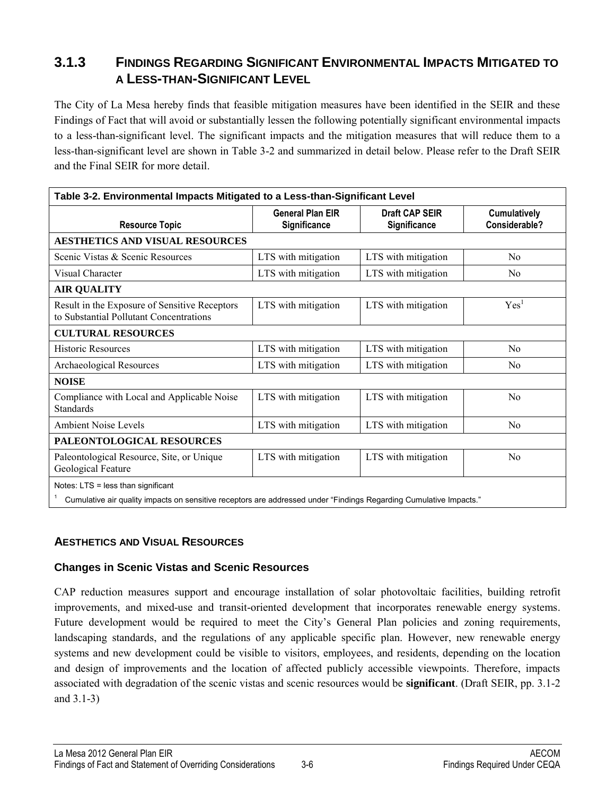## <span id="page-19-0"></span>**3.1.3 FINDINGS REGARDING SIGNIFICANT ENVIRONMENTAL IMPACTS MITIGATED TO A LESS-THAN-SIGNIFICANT LEVEL**

The City of La Mesa hereby finds that feasible mitigation measures have been identified in the SEIR and these Findings of Fact that will avoid or substantially lessen the following potentially significant environmental impacts to a less-than-significant level. The significant impacts and the mitigation measures that will reduce them to a less-than-significant level are shown in Table 3-2 and summarized in detail below. Please refer to the Draft SEIR and the Final SEIR for more detail.

<span id="page-19-1"></span>

| Table 3-2. Environmental Impacts Mitigated to a Less-than-Significant Level                                        |                                                |                                       |                                      |  |
|--------------------------------------------------------------------------------------------------------------------|------------------------------------------------|---------------------------------------|--------------------------------------|--|
| <b>Resource Topic</b>                                                                                              | <b>General Plan EIR</b><br><b>Significance</b> | <b>Draft CAP SEIR</b><br>Significance | <b>Cumulatively</b><br>Considerable? |  |
| <b>AESTHETICS AND VISUAL RESOURCES</b>                                                                             |                                                |                                       |                                      |  |
| Scenic Vistas & Scenic Resources                                                                                   | LTS with mitigation                            | LTS with mitigation                   | No                                   |  |
| Visual Character                                                                                                   | LTS with mitigation                            | LTS with mitigation                   | N <sub>0</sub>                       |  |
| <b>AIR QUALITY</b>                                                                                                 |                                                |                                       |                                      |  |
| Result in the Exposure of Sensitive Receptors<br>to Substantial Pollutant Concentrations                           | LTS with mitigation                            | LTS with mitigation                   | Yes <sup>1</sup>                     |  |
| <b>CULTURAL RESOURCES</b>                                                                                          |                                                |                                       |                                      |  |
| <b>Historic Resources</b>                                                                                          | LTS with mitigation                            | LTS with mitigation                   | N <sub>0</sub>                       |  |
| Archaeological Resources                                                                                           | LTS with mitigation                            | LTS with mitigation                   | N <sub>o</sub>                       |  |
| <b>NOISE</b>                                                                                                       |                                                |                                       |                                      |  |
| Compliance with Local and Applicable Noise<br><b>Standards</b>                                                     | LTS with mitigation                            | LTS with mitigation                   | N <sub>0</sub>                       |  |
| <b>Ambient Noise Levels</b>                                                                                        | LTS with mitigation                            | LTS with mitigation                   | N <sub>0</sub>                       |  |
| PALEONTOLOGICAL RESOURCES                                                                                          |                                                |                                       |                                      |  |
| Paleontological Resource, Site, or Unique<br>Geological Feature                                                    | LTS with mitigation                            | LTS with mitigation                   | N <sub>0</sub>                       |  |
| Notes: LTS = less than significant                                                                                 |                                                |                                       |                                      |  |
| Cumulative air quality impacts on sensitive receptors are addressed under "Findings Regarding Cumulative Impacts." |                                                |                                       |                                      |  |

## **AESTHETICS AND VISUAL RESOURCES**

## **Changes in Scenic Vistas and Scenic Resources**

CAP reduction measures support and encourage installation of solar photovoltaic facilities, building retrofit improvements, and mixed-use and transit-oriented development that incorporates renewable energy systems. Future development would be required to meet the City's General Plan policies and zoning requirements, landscaping standards, and the regulations of any applicable specific plan. However, new renewable energy systems and new development could be visible to visitors, employees, and residents, depending on the location and design of improvements and the location of affected publicly accessible viewpoints. Therefore, impacts associated with degradation of the scenic vistas and scenic resources would be **significant**. (Draft SEIR, pp. 3.1-2 and 3.1-3)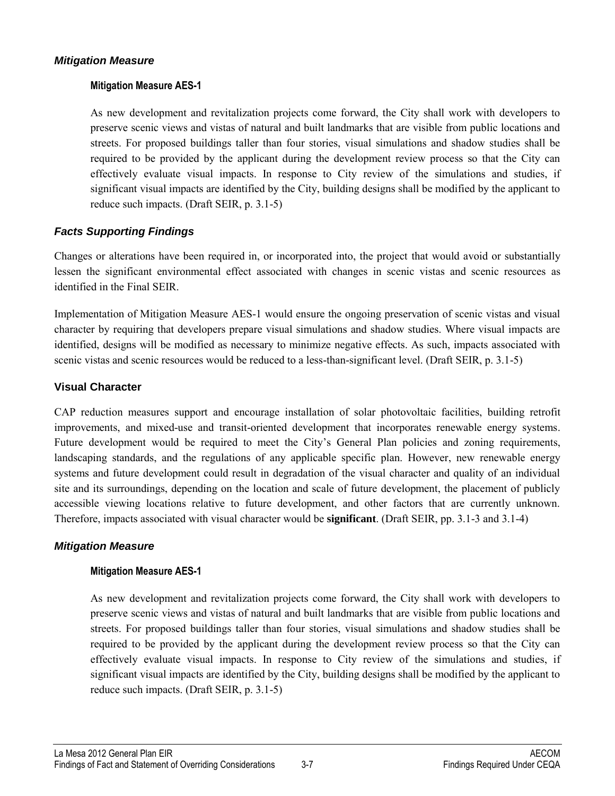#### *Mitigation Measure*

#### **Mitigation Measure AES-1**

As new development and revitalization projects come forward, the City shall work with developers to preserve scenic views and vistas of natural and built landmarks that are visible from public locations and streets. For proposed buildings taller than four stories, visual simulations and shadow studies shall be required to be provided by the applicant during the development review process so that the City can effectively evaluate visual impacts. In response to City review of the simulations and studies, if significant visual impacts are identified by the City, building designs shall be modified by the applicant to reduce such impacts. (Draft SEIR, p. 3.1-5)

#### *Facts Supporting Findings*

Changes or alterations have been required in, or incorporated into, the project that would avoid or substantially lessen the significant environmental effect associated with changes in scenic vistas and scenic resources as identified in the Final SEIR.

Implementation of Mitigation Measure AES-1 would ensure the ongoing preservation of scenic vistas and visual character by requiring that developers prepare visual simulations and shadow studies. Where visual impacts are identified, designs will be modified as necessary to minimize negative effects. As such, impacts associated with scenic vistas and scenic resources would be reduced to a less-than-significant level. (Draft SEIR, p. 3.1-5)

#### **Visual Character**

CAP reduction measures support and encourage installation of solar photovoltaic facilities, building retrofit improvements, and mixed-use and transit-oriented development that incorporates renewable energy systems. Future development would be required to meet the City's General Plan policies and zoning requirements, landscaping standards, and the regulations of any applicable specific plan. However, new renewable energy systems and future development could result in degradation of the visual character and quality of an individual site and its surroundings, depending on the location and scale of future development, the placement of publicly accessible viewing locations relative to future development, and other factors that are currently unknown. Therefore, impacts associated with visual character would be **significant**. (Draft SEIR, pp. 3.1-3 and 3.1-4)

#### *Mitigation Measure*

#### **Mitigation Measure AES-1**

As new development and revitalization projects come forward, the City shall work with developers to preserve scenic views and vistas of natural and built landmarks that are visible from public locations and streets. For proposed buildings taller than four stories, visual simulations and shadow studies shall be required to be provided by the applicant during the development review process so that the City can effectively evaluate visual impacts. In response to City review of the simulations and studies, if significant visual impacts are identified by the City, building designs shall be modified by the applicant to reduce such impacts. (Draft SEIR, p. 3.1-5)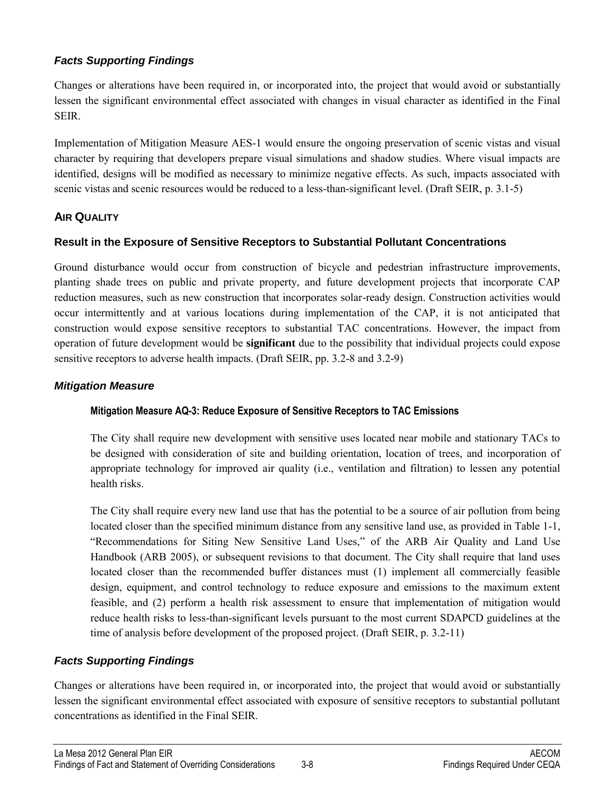## *Facts Supporting Findings*

Changes or alterations have been required in, or incorporated into, the project that would avoid or substantially lessen the significant environmental effect associated with changes in visual character as identified in the Final SEIR.

Implementation of Mitigation Measure AES-1 would ensure the ongoing preservation of scenic vistas and visual character by requiring that developers prepare visual simulations and shadow studies. Where visual impacts are identified, designs will be modified as necessary to minimize negative effects. As such, impacts associated with scenic vistas and scenic resources would be reduced to a less-than-significant level. (Draft SEIR, p. 3.1-5)

## **AIR QUALITY**

## **Result in the Exposure of Sensitive Receptors to Substantial Pollutant Concentrations**

Ground disturbance would occur from construction of bicycle and pedestrian infrastructure improvements, planting shade trees on public and private property, and future development projects that incorporate CAP reduction measures, such as new construction that incorporates solar-ready design. Construction activities would occur intermittently and at various locations during implementation of the CAP, it is not anticipated that construction would expose sensitive receptors to substantial TAC concentrations. However, the impact from operation of future development would be **significant** due to the possibility that individual projects could expose sensitive receptors to adverse health impacts. (Draft SEIR, pp. 3.2-8 and 3.2-9)

### *Mitigation Measure*

#### **Mitigation Measure AQ-3: Reduce Exposure of Sensitive Receptors to TAC Emissions**

The City shall require new development with sensitive uses located near mobile and stationary TACs to be designed with consideration of site and building orientation, location of trees, and incorporation of appropriate technology for improved air quality (i.e., ventilation and filtration) to lessen any potential health risks.

The City shall require every new land use that has the potential to be a source of air pollution from being located closer than the specified minimum distance from any sensitive land use, as provided in Table 1-1, "Recommendations for Siting New Sensitive Land Uses," of the ARB Air Quality and Land Use Handbook (ARB 2005), or subsequent revisions to that document. The City shall require that land uses located closer than the recommended buffer distances must (1) implement all commercially feasible design, equipment, and control technology to reduce exposure and emissions to the maximum extent feasible, and (2) perform a health risk assessment to ensure that implementation of mitigation would reduce health risks to less-than-significant levels pursuant to the most current SDAPCD guidelines at the time of analysis before development of the proposed project. (Draft SEIR, p. 3.2-11)

## *Facts Supporting Findings*

Changes or alterations have been required in, or incorporated into, the project that would avoid or substantially lessen the significant environmental effect associated with exposure of sensitive receptors to substantial pollutant concentrations as identified in the Final SEIR.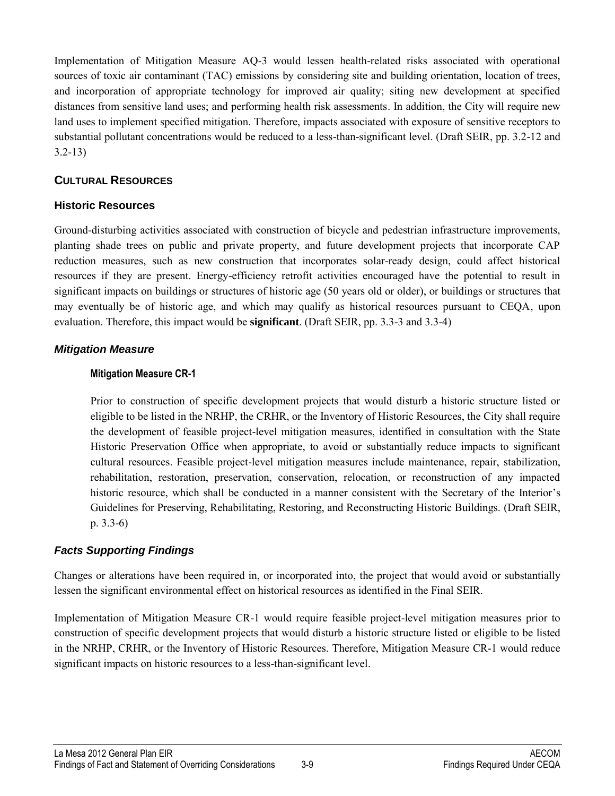Implementation of Mitigation Measure AQ-3 would lessen health-related risks associated with operational sources of toxic air contaminant (TAC) emissions by considering site and building orientation, location of trees, and incorporation of appropriate technology for improved air quality; siting new development at specified distances from sensitive land uses; and performing health risk assessments. In addition, the City will require new land uses to implement specified mitigation. Therefore, impacts associated with exposure of sensitive receptors to substantial pollutant concentrations would be reduced to a less-than-significant level. (Draft SEIR, pp. 3.2-12 and 3.2-13)

### **CULTURAL RESOURCES**

#### **Historic Resources**

Ground-disturbing activities associated with construction of bicycle and pedestrian infrastructure improvements, planting shade trees on public and private property, and future development projects that incorporate CAP reduction measures, such as new construction that incorporates solar-ready design, could affect historical resources if they are present. Energy-efficiency retrofit activities encouraged have the potential to result in significant impacts on buildings or structures of historic age (50 years old or older), or buildings or structures that may eventually be of historic age, and which may qualify as historical resources pursuant to CEQA, upon evaluation. Therefore, this impact would be **significant**. (Draft SEIR, pp. 3.3-3 and 3.3-4)

#### *Mitigation Measure*

#### **Mitigation Measure CR-1**

Prior to construction of specific development projects that would disturb a historic structure listed or eligible to be listed in the NRHP, the CRHR, or the Inventory of Historic Resources, the City shall require the development of feasible project-level mitigation measures, identified in consultation with the State Historic Preservation Office when appropriate, to avoid or substantially reduce impacts to significant cultural resources. Feasible project-level mitigation measures include maintenance, repair, stabilization, rehabilitation, restoration, preservation, conservation, relocation, or reconstruction of any impacted historic resource, which shall be conducted in a manner consistent with the Secretary of the Interior's Guidelines for Preserving, Rehabilitating, Restoring, and Reconstructing Historic Buildings. (Draft SEIR, p. 3.3-6)

#### *Facts Supporting Findings*

Changes or alterations have been required in, or incorporated into, the project that would avoid or substantially lessen the significant environmental effect on historical resources as identified in the Final SEIR.

Implementation of Mitigation Measure CR-1 would require feasible project-level mitigation measures prior to construction of specific development projects that would disturb a historic structure listed or eligible to be listed in the NRHP, CRHR, or the Inventory of Historic Resources. Therefore, Mitigation Measure CR-1 would reduce significant impacts on historic resources to a less-than-significant level.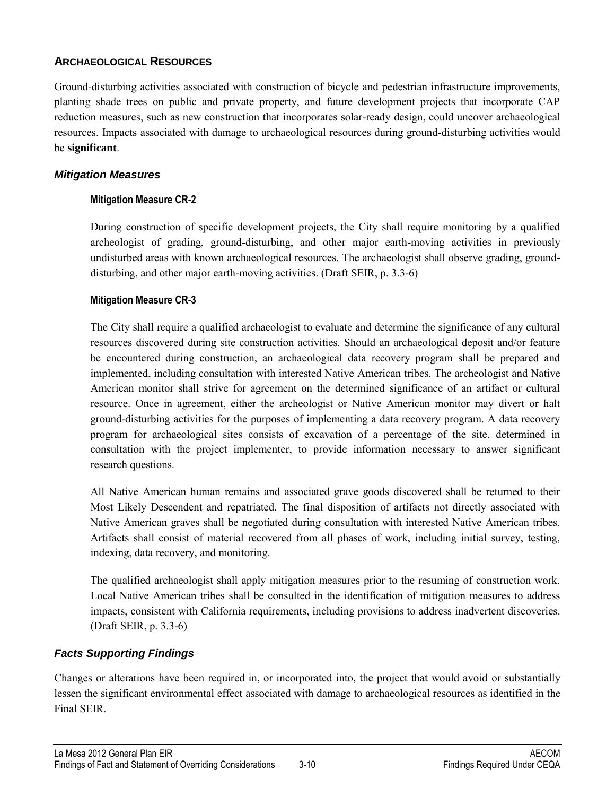## **ARCHAEOLOGICAL RESOURCES**

Ground-disturbing activities associated with construction of bicycle and pedestrian infrastructure improvements, planting shade trees on public and private property, and future development projects that incorporate CAP reduction measures, such as new construction that incorporates solar-ready design, could uncover archaeological resources. Impacts associated with damage to archaeological resources during ground-disturbing activities would be **significant**.

#### *Mitigation Measures*

#### **Mitigation Measure CR-2**

During construction of specific development projects, the City shall require monitoring by a qualified archeologist of grading, ground-disturbing, and other major earth-moving activities in previously undisturbed areas with known archaeological resources. The archaeologist shall observe grading, grounddisturbing, and other major earth-moving activities. (Draft SEIR, p. 3.3-6)

#### **Mitigation Measure CR-3**

The City shall require a qualified archaeologist to evaluate and determine the significance of any cultural resources discovered during site construction activities. Should an archaeological deposit and/or feature be encountered during construction, an archaeological data recovery program shall be prepared and implemented, including consultation with interested Native American tribes. The archeologist and Native American monitor shall strive for agreement on the determined significance of an artifact or cultural resource. Once in agreement, either the archeologist or Native American monitor may divert or halt ground-disturbing activities for the purposes of implementing a data recovery program. A data recovery program for archaeological sites consists of excavation of a percentage of the site, determined in consultation with the project implementer, to provide information necessary to answer significant research questions.

All Native American human remains and associated grave goods discovered shall be returned to their Most Likely Descendent and repatriated. The final disposition of artifacts not directly associated with Native American graves shall be negotiated during consultation with interested Native American tribes. Artifacts shall consist of material recovered from all phases of work, including initial survey, testing, indexing, data recovery, and monitoring.

The qualified archaeologist shall apply mitigation measures prior to the resuming of construction work. Local Native American tribes shall be consulted in the identification of mitigation measures to address impacts, consistent with California requirements, including provisions to address inadvertent discoveries. (Draft SEIR, p. 3.3-6)

## *Facts Supporting Findings*

Changes or alterations have been required in, or incorporated into, the project that would avoid or substantially lessen the significant environmental effect associated with damage to archaeological resources as identified in the Final SEIR.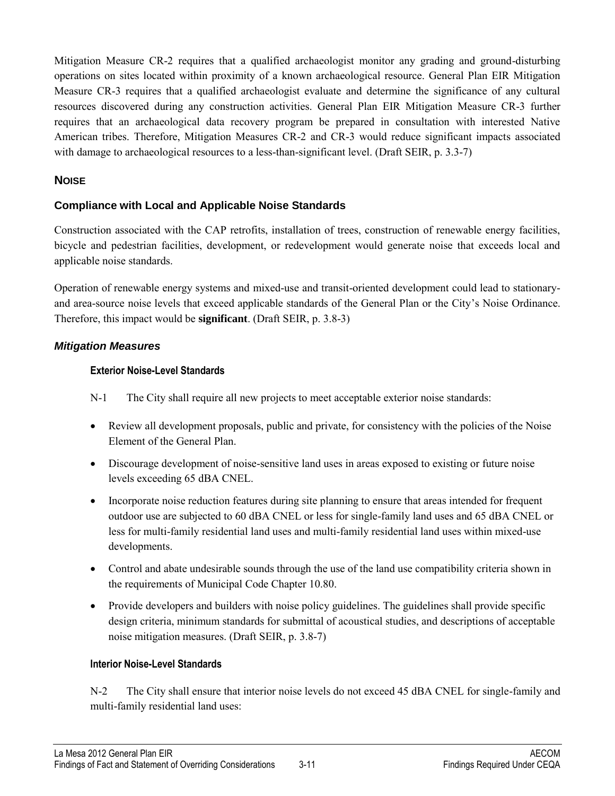Mitigation Measure CR-2 requires that a qualified archaeologist monitor any grading and ground-disturbing operations on sites located within proximity of a known archaeological resource. General Plan EIR Mitigation Measure CR-3 requires that a qualified archaeologist evaluate and determine the significance of any cultural resources discovered during any construction activities. General Plan EIR Mitigation Measure CR-3 further requires that an archaeological data recovery program be prepared in consultation with interested Native American tribes. Therefore, Mitigation Measures CR-2 and CR-3 would reduce significant impacts associated with damage to archaeological resources to a less-than-significant level. (Draft SEIR, p. 3.3-7)

### **NOISE**

### **Compliance with Local and Applicable Noise Standards**

Construction associated with the CAP retrofits, installation of trees, construction of renewable energy facilities, bicycle and pedestrian facilities, development, or redevelopment would generate noise that exceeds local and applicable noise standards.

Operation of renewable energy systems and mixed-use and transit-oriented development could lead to stationaryand area-source noise levels that exceed applicable standards of the General Plan or the City's Noise Ordinance. Therefore, this impact would be **significant**. (Draft SEIR, p. 3.8-3)

### *Mitigation Measures*

#### **Exterior Noise-Level Standards**

N-1 The City shall require all new projects to meet acceptable exterior noise standards:

- Review all development proposals, public and private, for consistency with the policies of the Noise Element of the General Plan.
- Discourage development of noise-sensitive land uses in areas exposed to existing or future noise levels exceeding 65 dBA CNEL.
- Incorporate noise reduction features during site planning to ensure that areas intended for frequent outdoor use are subjected to 60 dBA CNEL or less for single-family land uses and 65 dBA CNEL or less for multi-family residential land uses and multi-family residential land uses within mixed-use developments.
- Control and abate undesirable sounds through the use of the land use compatibility criteria shown in the requirements of Municipal Code Chapter 10.80.
- Provide developers and builders with noise policy guidelines. The guidelines shall provide specific design criteria, minimum standards for submittal of acoustical studies, and descriptions of acceptable noise mitigation measures. (Draft SEIR, p. 3.8-7)

#### **Interior Noise-Level Standards**

N-2 The City shall ensure that interior noise levels do not exceed 45 dBA CNEL for single-family and multi-family residential land uses: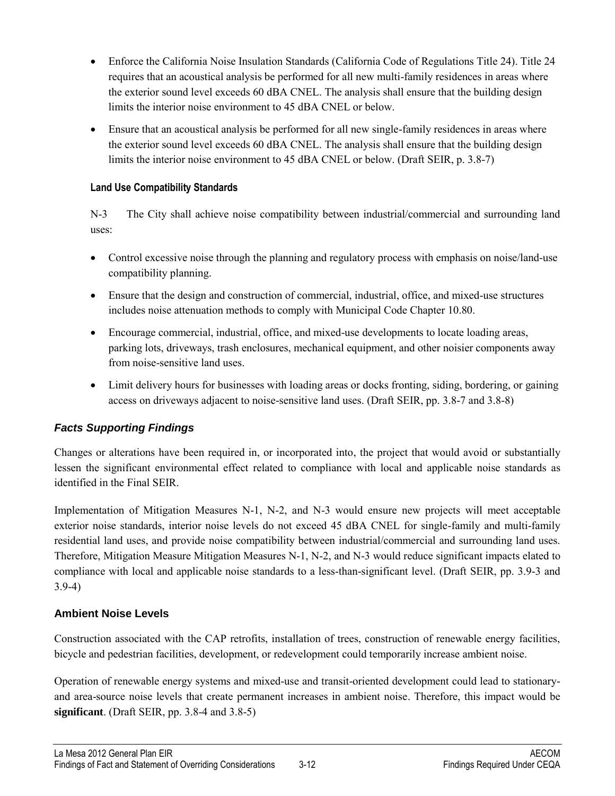- Enforce the California Noise Insulation Standards (California Code of Regulations Title 24). Title 24 requires that an acoustical analysis be performed for all new multi-family residences in areas where the exterior sound level exceeds 60 dBA CNEL. The analysis shall ensure that the building design limits the interior noise environment to 45 dBA CNEL or below.
- Ensure that an acoustical analysis be performed for all new single-family residences in areas where the exterior sound level exceeds 60 dBA CNEL. The analysis shall ensure that the building design limits the interior noise environment to 45 dBA CNEL or below. (Draft SEIR, p. 3.8-7)

#### **Land Use Compatibility Standards**

N-3 The City shall achieve noise compatibility between industrial/commercial and surrounding land uses:

- Control excessive noise through the planning and regulatory process with emphasis on noise/land-use compatibility planning.
- Ensure that the design and construction of commercial, industrial, office, and mixed-use structures includes noise attenuation methods to comply with Municipal Code Chapter 10.80.
- Encourage commercial, industrial, office, and mixed-use developments to locate loading areas, parking lots, driveways, trash enclosures, mechanical equipment, and other noisier components away from noise-sensitive land uses.
- Limit delivery hours for businesses with loading areas or docks fronting, siding, bordering, or gaining access on driveways adjacent to noise-sensitive land uses. (Draft SEIR, pp. 3.8-7 and 3.8-8)

## *Facts Supporting Findings*

Changes or alterations have been required in, or incorporated into, the project that would avoid or substantially lessen the significant environmental effect related to compliance with local and applicable noise standards as identified in the Final SEIR.

Implementation of Mitigation Measures N-1, N-2, and N-3 would ensure new projects will meet acceptable exterior noise standards, interior noise levels do not exceed 45 dBA CNEL for single-family and multi-family residential land uses, and provide noise compatibility between industrial/commercial and surrounding land uses. Therefore, Mitigation Measure Mitigation Measures N-1, N-2, and N-3 would reduce significant impacts elated to compliance with local and applicable noise standards to a less-than-significant level. (Draft SEIR, pp. 3.9-3 and 3.9-4)

## **Ambient Noise Levels**

Construction associated with the CAP retrofits, installation of trees, construction of renewable energy facilities, bicycle and pedestrian facilities, development, or redevelopment could temporarily increase ambient noise.

Operation of renewable energy systems and mixed-use and transit-oriented development could lead to stationaryand area-source noise levels that create permanent increases in ambient noise. Therefore, this impact would be **significant**. (Draft SEIR, pp. 3.8-4 and 3.8-5)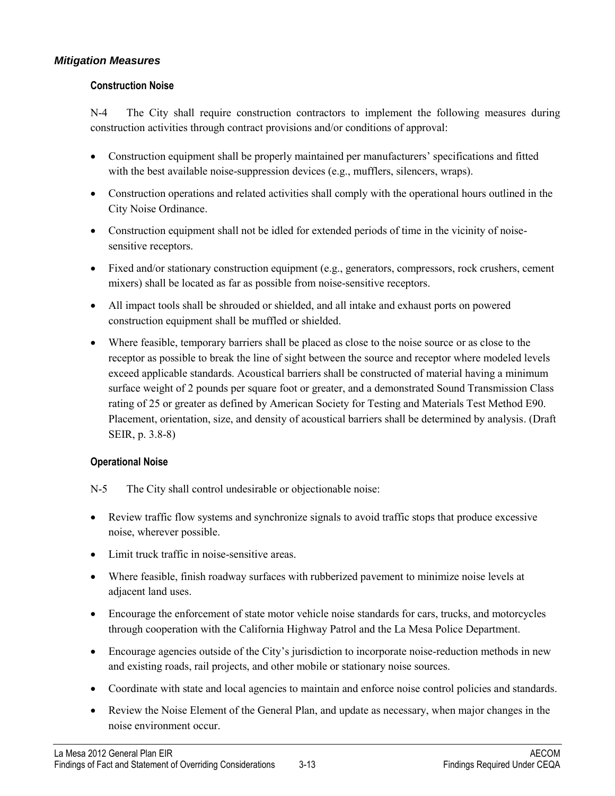#### *Mitigation Measures*

#### **Construction Noise**

N-4 The City shall require construction contractors to implement the following measures during construction activities through contract provisions and/or conditions of approval:

- Construction equipment shall be properly maintained per manufacturers' specifications and fitted with the best available noise-suppression devices (e.g., mufflers, silencers, wraps).
- Construction operations and related activities shall comply with the operational hours outlined in the City Noise Ordinance.
- Construction equipment shall not be idled for extended periods of time in the vicinity of noisesensitive receptors.
- Fixed and/or stationary construction equipment (e.g., generators, compressors, rock crushers, cement mixers) shall be located as far as possible from noise-sensitive receptors.
- All impact tools shall be shrouded or shielded, and all intake and exhaust ports on powered construction equipment shall be muffled or shielded.
- Where feasible, temporary barriers shall be placed as close to the noise source or as close to the receptor as possible to break the line of sight between the source and receptor where modeled levels exceed applicable standards. Acoustical barriers shall be constructed of material having a minimum surface weight of 2 pounds per square foot or greater, and a demonstrated Sound Transmission Class rating of 25 or greater as defined by American Society for Testing and Materials Test Method E90. Placement, orientation, size, and density of acoustical barriers shall be determined by analysis. (Draft SEIR, p. 3.8-8)

#### **Operational Noise**

N-5 The City shall control undesirable or objectionable noise:

- Review traffic flow systems and synchronize signals to avoid traffic stops that produce excessive noise, wherever possible.
- Limit truck traffic in noise-sensitive areas.
- Where feasible, finish roadway surfaces with rubberized pavement to minimize noise levels at adjacent land uses.
- Encourage the enforcement of state motor vehicle noise standards for cars, trucks, and motorcycles through cooperation with the California Highway Patrol and the La Mesa Police Department.
- Encourage agencies outside of the City's jurisdiction to incorporate noise-reduction methods in new and existing roads, rail projects, and other mobile or stationary noise sources.
- Coordinate with state and local agencies to maintain and enforce noise control policies and standards.
- Review the Noise Element of the General Plan, and update as necessary, when major changes in the noise environment occur.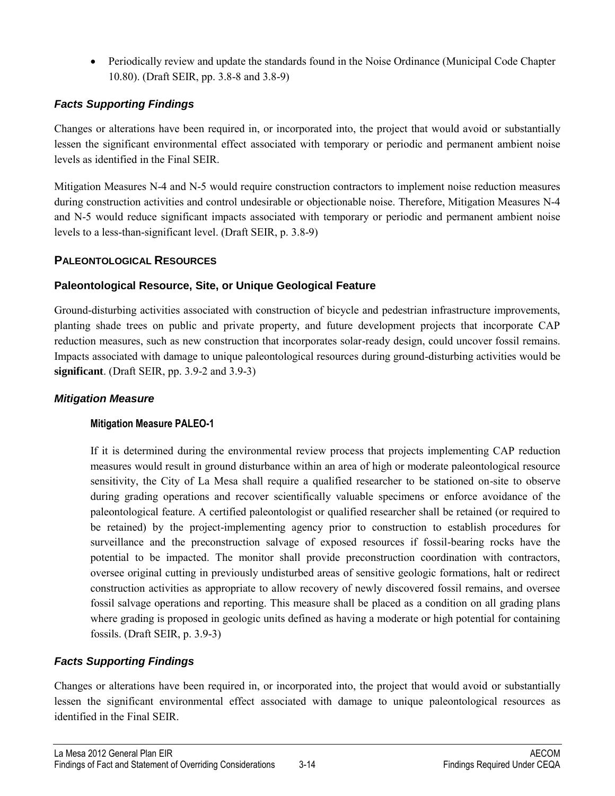Periodically review and update the standards found in the Noise Ordinance (Municipal Code Chapter 10.80). (Draft SEIR, pp. 3.8-8 and 3.8-9)

## *Facts Supporting Findings*

Changes or alterations have been required in, or incorporated into, the project that would avoid or substantially lessen the significant environmental effect associated with temporary or periodic and permanent ambient noise levels as identified in the Final SEIR.

Mitigation Measures N-4 and N-5 would require construction contractors to implement noise reduction measures during construction activities and control undesirable or objectionable noise. Therefore, Mitigation Measures N-4 and N-5 would reduce significant impacts associated with temporary or periodic and permanent ambient noise levels to a less-than-significant level. (Draft SEIR, p. 3.8-9)

## **PALEONTOLOGICAL RESOURCES**

## **Paleontological Resource, Site, or Unique Geological Feature**

Ground-disturbing activities associated with construction of bicycle and pedestrian infrastructure improvements, planting shade trees on public and private property, and future development projects that incorporate CAP reduction measures, such as new construction that incorporates solar-ready design, could uncover fossil remains. Impacts associated with damage to unique paleontological resources during ground-disturbing activities would be **significant**. (Draft SEIR, pp. 3.9-2 and 3.9-3)

### *Mitigation Measure*

#### **Mitigation Measure PALEO-1**

If it is determined during the environmental review process that projects implementing CAP reduction measures would result in ground disturbance within an area of high or moderate paleontological resource sensitivity, the City of La Mesa shall require a qualified researcher to be stationed on-site to observe during grading operations and recover scientifically valuable specimens or enforce avoidance of the paleontological feature. A certified paleontologist or qualified researcher shall be retained (or required to be retained) by the project-implementing agency prior to construction to establish procedures for surveillance and the preconstruction salvage of exposed resources if fossil-bearing rocks have the potential to be impacted. The monitor shall provide preconstruction coordination with contractors, oversee original cutting in previously undisturbed areas of sensitive geologic formations, halt or redirect construction activities as appropriate to allow recovery of newly discovered fossil remains, and oversee fossil salvage operations and reporting. This measure shall be placed as a condition on all grading plans where grading is proposed in geologic units defined as having a moderate or high potential for containing fossils. (Draft SEIR, p. 3.9-3)

## *Facts Supporting Findings*

Changes or alterations have been required in, or incorporated into, the project that would avoid or substantially lessen the significant environmental effect associated with damage to unique paleontological resources as identified in the Final SEIR.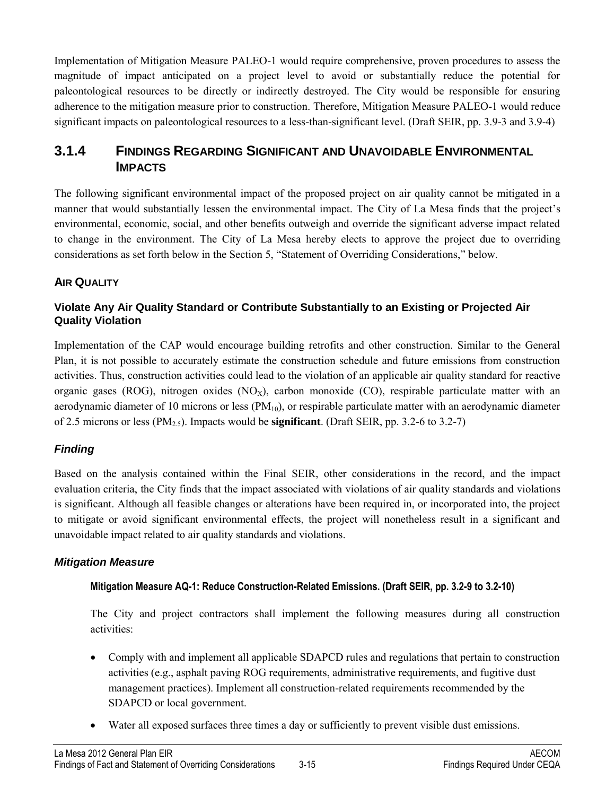Implementation of Mitigation Measure PALEO-1 would require comprehensive, proven procedures to assess the magnitude of impact anticipated on a project level to avoid or substantially reduce the potential for paleontological resources to be directly or indirectly destroyed. The City would be responsible for ensuring adherence to the mitigation measure prior to construction. Therefore, Mitigation Measure PALEO-1 would reduce significant impacts on paleontological resources to a less-than-significant level. (Draft SEIR, pp. 3.9-3 and 3.9-4)

## <span id="page-28-0"></span>**3.1.4 FINDINGS REGARDING SIGNIFICANT AND UNAVOIDABLE ENVIRONMENTAL IMPACTS**

The following significant environmental impact of the proposed project on air quality cannot be mitigated in a manner that would substantially lessen the environmental impact. The City of La Mesa finds that the project's environmental, economic, social, and other benefits outweigh and override the significant adverse impact related to change in the environment. The City of La Mesa hereby elects to approve the project due to overriding considerations as set forth below in the Section 5, "Statement of Overriding Considerations," below.

## **AIR QUALITY**

### **Violate Any Air Quality Standard or Contribute Substantially to an Existing or Projected Air Quality Violation**

Implementation of the CAP would encourage building retrofits and other construction. Similar to the General Plan, it is not possible to accurately estimate the construction schedule and future emissions from construction activities. Thus, construction activities could lead to the violation of an applicable air quality standard for reactive organic gases (ROG), nitrogen oxides (NO<sub>X</sub>), carbon monoxide (CO), respirable particulate matter with an aerodynamic diameter of 10 microns or less  $(PM_{10})$ , or respirable particulate matter with an aerodynamic diameter of 2.5 microns or less (PM2.5). Impacts would be **significant**. (Draft SEIR, pp. 3.2-6 to 3.2-7)

## *Finding*

Based on the analysis contained within the Final SEIR, other considerations in the record, and the impact evaluation criteria, the City finds that the impact associated with violations of air quality standards and violations is significant. Although all feasible changes or alterations have been required in, or incorporated into, the project to mitigate or avoid significant environmental effects, the project will nonetheless result in a significant and unavoidable impact related to air quality standards and violations.

#### *Mitigation Measure*

#### **Mitigation Measure AQ-1: Reduce Construction-Related Emissions. (Draft SEIR, pp. 3.2-9 to 3.2-10)**

The City and project contractors shall implement the following measures during all construction activities:

- Comply with and implement all applicable SDAPCD rules and regulations that pertain to construction activities (e.g., asphalt paving ROG requirements, administrative requirements, and fugitive dust management practices). Implement all construction-related requirements recommended by the SDAPCD or local government.
- Water all exposed surfaces three times a day or sufficiently to prevent visible dust emissions.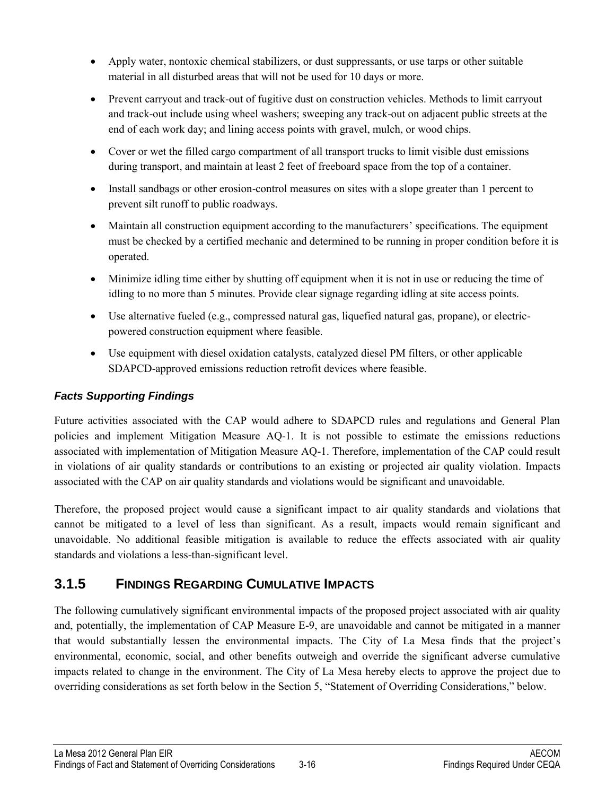- Apply water, nontoxic chemical stabilizers, or dust suppressants, or use tarps or other suitable material in all disturbed areas that will not be used for 10 days or more.
- Prevent carryout and track-out of fugitive dust on construction vehicles. Methods to limit carryout and track-out include using wheel washers; sweeping any track-out on adjacent public streets at the end of each work day; and lining access points with gravel, mulch, or wood chips.
- Cover or wet the filled cargo compartment of all transport trucks to limit visible dust emissions during transport, and maintain at least 2 feet of freeboard space from the top of a container.
- Install sandbags or other erosion-control measures on sites with a slope greater than 1 percent to prevent silt runoff to public roadways.
- Maintain all construction equipment according to the manufacturers' specifications. The equipment must be checked by a certified mechanic and determined to be running in proper condition before it is operated.
- Minimize idling time either by shutting off equipment when it is not in use or reducing the time of idling to no more than 5 minutes. Provide clear signage regarding idling at site access points.
- Use alternative fueled (e.g., compressed natural gas, liquefied natural gas, propane), or electricpowered construction equipment where feasible.
- Use equipment with diesel oxidation catalysts, catalyzed diesel PM filters, or other applicable SDAPCD-approved emissions reduction retrofit devices where feasible.

## *Facts Supporting Findings*

Future activities associated with the CAP would adhere to SDAPCD rules and regulations and General Plan policies and implement Mitigation Measure AQ-1. It is not possible to estimate the emissions reductions associated with implementation of Mitigation Measure AQ-1. Therefore, implementation of the CAP could result in violations of air quality standards or contributions to an existing or projected air quality violation. Impacts associated with the CAP on air quality standards and violations would be significant and unavoidable.

Therefore, the proposed project would cause a significant impact to air quality standards and violations that cannot be mitigated to a level of less than significant. As a result, impacts would remain significant and unavoidable. No additional feasible mitigation is available to reduce the effects associated with air quality standards and violations a less-than-significant level.

## <span id="page-29-0"></span>**3.1.5 FINDINGS REGARDING CUMULATIVE IMPACTS**

The following cumulatively significant environmental impacts of the proposed project associated with air quality and, potentially, the implementation of CAP Measure E-9, are unavoidable and cannot be mitigated in a manner that would substantially lessen the environmental impacts. The City of La Mesa finds that the project's environmental, economic, social, and other benefits outweigh and override the significant adverse cumulative impacts related to change in the environment. The City of La Mesa hereby elects to approve the project due to overriding considerations as set forth below in the Section 5, "Statement of Overriding Considerations," below.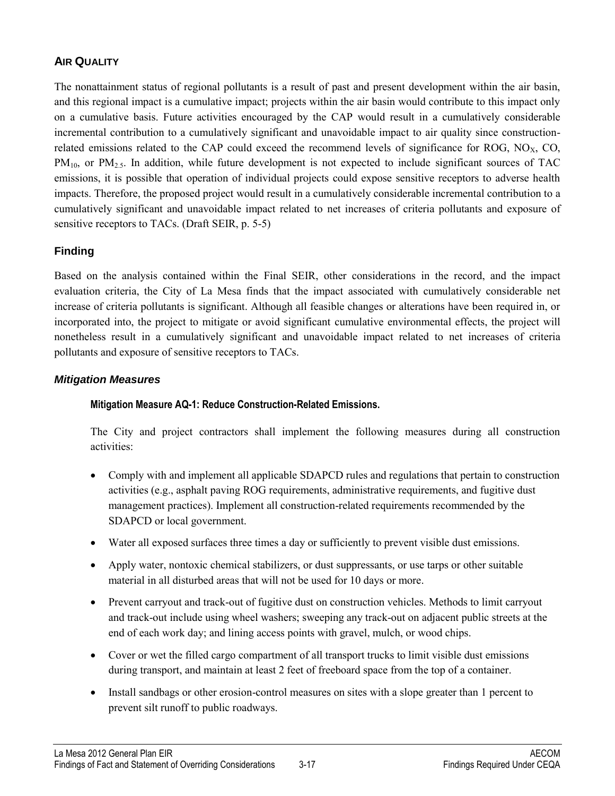## **AIR QUALITY**

The nonattainment status of regional pollutants is a result of past and present development within the air basin, and this regional impact is a cumulative impact; projects within the air basin would contribute to this impact only on a cumulative basis. Future activities encouraged by the CAP would result in a cumulatively considerable incremental contribution to a cumulatively significant and unavoidable impact to air quality since constructionrelated emissions related to the CAP could exceed the recommend levels of significance for ROG,  $NO<sub>x</sub>$ , CO,  $PM_{10}$ , or  $PM_{2.5}$ . In addition, while future development is not expected to include significant sources of TAC emissions, it is possible that operation of individual projects could expose sensitive receptors to adverse health impacts. Therefore, the proposed project would result in a cumulatively considerable incremental contribution to a cumulatively significant and unavoidable impact related to net increases of criteria pollutants and exposure of sensitive receptors to TACs. (Draft SEIR, p. 5-5)

## **Finding**

Based on the analysis contained within the Final SEIR, other considerations in the record, and the impact evaluation criteria, the City of La Mesa finds that the impact associated with cumulatively considerable net increase of criteria pollutants is significant. Although all feasible changes or alterations have been required in, or incorporated into, the project to mitigate or avoid significant cumulative environmental effects, the project will nonetheless result in a cumulatively significant and unavoidable impact related to net increases of criteria pollutants and exposure of sensitive receptors to TACs.

### *Mitigation Measures*

#### **Mitigation Measure AQ-1: Reduce Construction-Related Emissions.**

The City and project contractors shall implement the following measures during all construction activities:

- Comply with and implement all applicable SDAPCD rules and regulations that pertain to construction activities (e.g., asphalt paving ROG requirements, administrative requirements, and fugitive dust management practices). Implement all construction-related requirements recommended by the SDAPCD or local government.
- Water all exposed surfaces three times a day or sufficiently to prevent visible dust emissions.
- Apply water, nontoxic chemical stabilizers, or dust suppressants, or use tarps or other suitable material in all disturbed areas that will not be used for 10 days or more.
- Prevent carryout and track-out of fugitive dust on construction vehicles. Methods to limit carryout and track-out include using wheel washers; sweeping any track-out on adjacent public streets at the end of each work day; and lining access points with gravel, mulch, or wood chips.
- Cover or wet the filled cargo compartment of all transport trucks to limit visible dust emissions during transport, and maintain at least 2 feet of freeboard space from the top of a container.
- Install sandbags or other erosion-control measures on sites with a slope greater than 1 percent to prevent silt runoff to public roadways.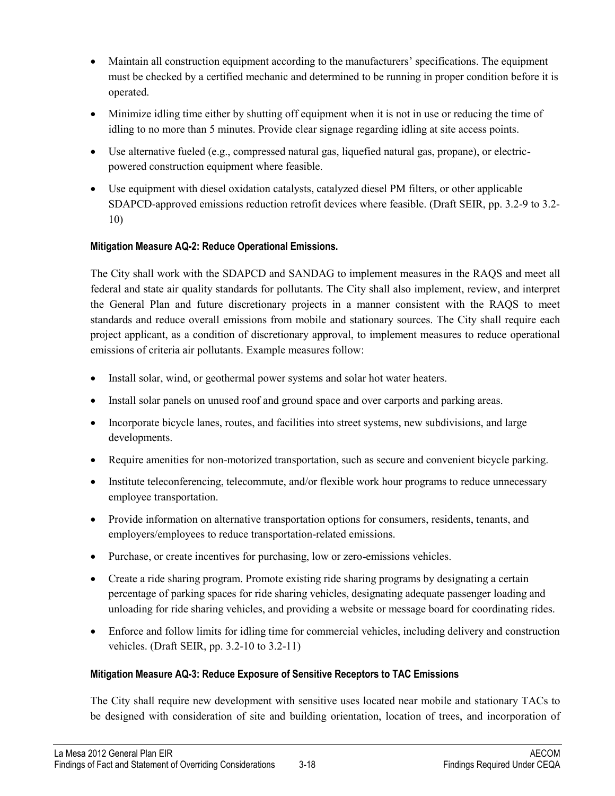- Maintain all construction equipment according to the manufacturers' specifications. The equipment must be checked by a certified mechanic and determined to be running in proper condition before it is operated.
- Minimize idling time either by shutting off equipment when it is not in use or reducing the time of idling to no more than 5 minutes. Provide clear signage regarding idling at site access points.
- Use alternative fueled (e.g., compressed natural gas, liquefied natural gas, propane), or electricpowered construction equipment where feasible.
- Use equipment with diesel oxidation catalysts, catalyzed diesel PM filters, or other applicable SDAPCD-approved emissions reduction retrofit devices where feasible. (Draft SEIR, pp. 3.2-9 to 3.2- 10)

#### **Mitigation Measure AQ-2: Reduce Operational Emissions.**

The City shall work with the SDAPCD and SANDAG to implement measures in the RAQS and meet all federal and state air quality standards for pollutants. The City shall also implement, review, and interpret the General Plan and future discretionary projects in a manner consistent with the RAQS to meet standards and reduce overall emissions from mobile and stationary sources. The City shall require each project applicant, as a condition of discretionary approval, to implement measures to reduce operational emissions of criteria air pollutants. Example measures follow:

- Install solar, wind, or geothermal power systems and solar hot water heaters.
- Install solar panels on unused roof and ground space and over carports and parking areas.
- Incorporate bicycle lanes, routes, and facilities into street systems, new subdivisions, and large developments.
- Require amenities for non-motorized transportation, such as secure and convenient bicycle parking.
- Institute teleconferencing, telecommute, and/or flexible work hour programs to reduce unnecessary employee transportation.
- Provide information on alternative transportation options for consumers, residents, tenants, and employers/employees to reduce transportation-related emissions.
- Purchase, or create incentives for purchasing, low or zero-emissions vehicles.
- Create a ride sharing program. Promote existing ride sharing programs by designating a certain percentage of parking spaces for ride sharing vehicles, designating adequate passenger loading and unloading for ride sharing vehicles, and providing a website or message board for coordinating rides.
- Enforce and follow limits for idling time for commercial vehicles, including delivery and construction vehicles. (Draft SEIR, pp. 3.2-10 to 3.2-11)

## **Mitigation Measure AQ-3: Reduce Exposure of Sensitive Receptors to TAC Emissions**

The City shall require new development with sensitive uses located near mobile and stationary TACs to be designed with consideration of site and building orientation, location of trees, and incorporation of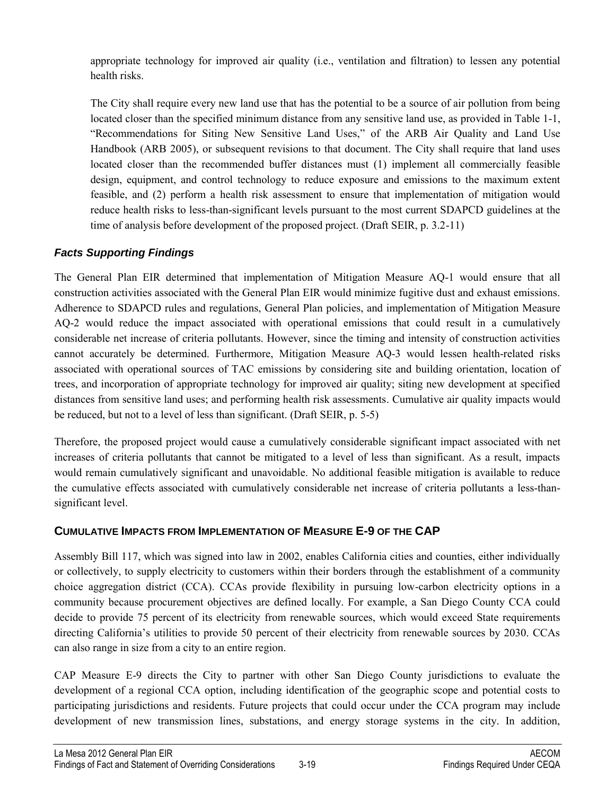appropriate technology for improved air quality (i.e., ventilation and filtration) to lessen any potential health risks.

The City shall require every new land use that has the potential to be a source of air pollution from being located closer than the specified minimum distance from any sensitive land use, as provided in Table 1-1, "Recommendations for Siting New Sensitive Land Uses," of the ARB Air Quality and Land Use Handbook (ARB 2005), or subsequent revisions to that document. The City shall require that land uses located closer than the recommended buffer distances must (1) implement all commercially feasible design, equipment, and control technology to reduce exposure and emissions to the maximum extent feasible, and (2) perform a health risk assessment to ensure that implementation of mitigation would reduce health risks to less-than-significant levels pursuant to the most current SDAPCD guidelines at the time of analysis before development of the proposed project. (Draft SEIR, p. 3.2-11)

## *Facts Supporting Findings*

The General Plan EIR determined that implementation of Mitigation Measure AQ-1 would ensure that all construction activities associated with the General Plan EIR would minimize fugitive dust and exhaust emissions. Adherence to SDAPCD rules and regulations, General Plan policies, and implementation of Mitigation Measure AQ-2 would reduce the impact associated with operational emissions that could result in a cumulatively considerable net increase of criteria pollutants. However, since the timing and intensity of construction activities cannot accurately be determined. Furthermore, Mitigation Measure AQ-3 would lessen health-related risks associated with operational sources of TAC emissions by considering site and building orientation, location of trees, and incorporation of appropriate technology for improved air quality; siting new development at specified distances from sensitive land uses; and performing health risk assessments. Cumulative air quality impacts would be reduced, but not to a level of less than significant. (Draft SEIR, p. 5-5)

Therefore, the proposed project would cause a cumulatively considerable significant impact associated with net increases of criteria pollutants that cannot be mitigated to a level of less than significant. As a result, impacts would remain cumulatively significant and unavoidable. No additional feasible mitigation is available to reduce the cumulative effects associated with cumulatively considerable net increase of criteria pollutants a less-thansignificant level.

## **CUMULATIVE IMPACTS FROM IMPLEMENTATION OF MEASURE E-9 OF THE CAP**

Assembly Bill 117, which was signed into law in 2002, enables California cities and counties, either individually or collectively, to supply electricity to customers within their borders through the establishment of a community choice aggregation district (CCA). CCAs provide flexibility in pursuing low-carbon electricity options in a community because procurement objectives are defined locally. For example, a San Diego County CCA could decide to provide 75 percent of its electricity from renewable sources, which would exceed State requirements directing California's utilities to provide 50 percent of their electricity from renewable sources by 2030. CCAs can also range in size from a city to an entire region.

CAP Measure E-9 directs the City to partner with other San Diego County jurisdictions to evaluate the development of a regional CCA option, including identification of the geographic scope and potential costs to participating jurisdictions and residents. Future projects that could occur under the CCA program may include development of new transmission lines, substations, and energy storage systems in the city. In addition,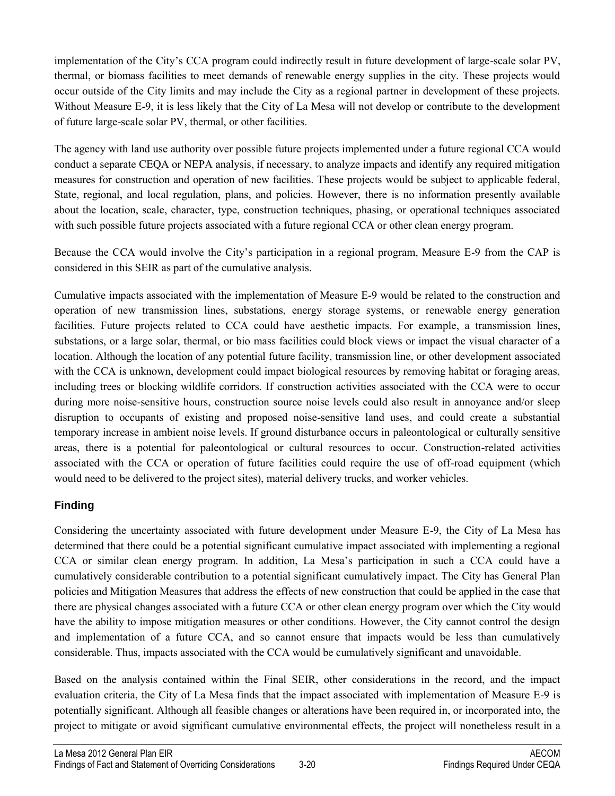implementation of the City's CCA program could indirectly result in future development of large-scale solar PV, thermal, or biomass facilities to meet demands of renewable energy supplies in the city. These projects would occur outside of the City limits and may include the City as a regional partner in development of these projects. Without Measure E-9, it is less likely that the City of La Mesa will not develop or contribute to the development of future large-scale solar PV, thermal, or other facilities.

The agency with land use authority over possible future projects implemented under a future regional CCA would conduct a separate CEQA or NEPA analysis, if necessary, to analyze impacts and identify any required mitigation measures for construction and operation of new facilities. These projects would be subject to applicable federal, State, regional, and local regulation, plans, and policies. However, there is no information presently available about the location, scale, character, type, construction techniques, phasing, or operational techniques associated with such possible future projects associated with a future regional CCA or other clean energy program.

Because the CCA would involve the City's participation in a regional program, Measure E-9 from the CAP is considered in this SEIR as part of the cumulative analysis.

Cumulative impacts associated with the implementation of Measure E-9 would be related to the construction and operation of new transmission lines, substations, energy storage systems, or renewable energy generation facilities. Future projects related to CCA could have aesthetic impacts. For example, a transmission lines, substations, or a large solar, thermal, or bio mass facilities could block views or impact the visual character of a location. Although the location of any potential future facility, transmission line, or other development associated with the CCA is unknown, development could impact biological resources by removing habitat or foraging areas, including trees or blocking wildlife corridors. If construction activities associated with the CCA were to occur during more noise-sensitive hours, construction source noise levels could also result in annoyance and/or sleep disruption to occupants of existing and proposed noise-sensitive land uses, and could create a substantial temporary increase in ambient noise levels. If ground disturbance occurs in paleontological or culturally sensitive areas, there is a potential for paleontological or cultural resources to occur. Construction-related activities associated with the CCA or operation of future facilities could require the use of off-road equipment (which would need to be delivered to the project sites), material delivery trucks, and worker vehicles.

## **Finding**

Considering the uncertainty associated with future development under Measure E-9, the City of La Mesa has determined that there could be a potential significant cumulative impact associated with implementing a regional CCA or similar clean energy program. In addition, La Mesa's participation in such a CCA could have a cumulatively considerable contribution to a potential significant cumulatively impact. The City has General Plan policies and Mitigation Measures that address the effects of new construction that could be applied in the case that there are physical changes associated with a future CCA or other clean energy program over which the City would have the ability to impose mitigation measures or other conditions. However, the City cannot control the design and implementation of a future CCA, and so cannot ensure that impacts would be less than cumulatively considerable. Thus, impacts associated with the CCA would be cumulatively significant and unavoidable.

Based on the analysis contained within the Final SEIR, other considerations in the record, and the impact evaluation criteria, the City of La Mesa finds that the impact associated with implementation of Measure E-9 is potentially significant. Although all feasible changes or alterations have been required in, or incorporated into, the project to mitigate or avoid significant cumulative environmental effects, the project will nonetheless result in a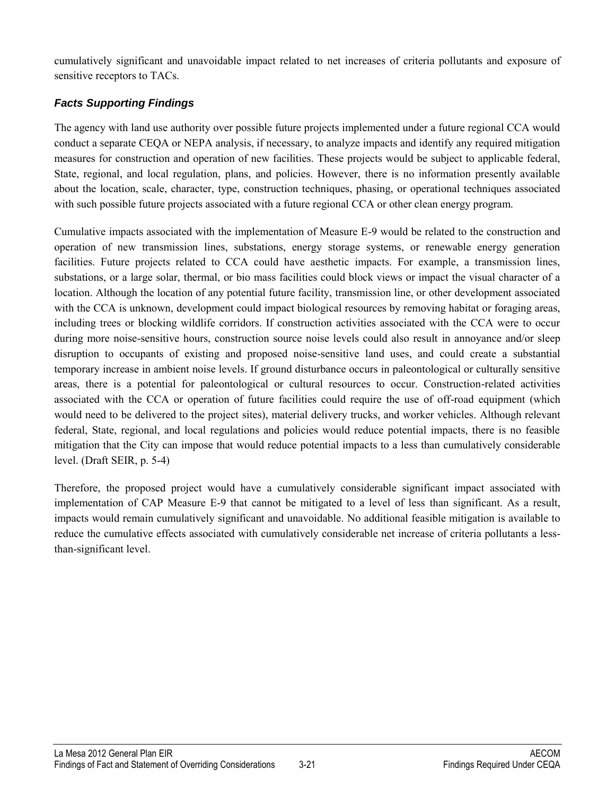cumulatively significant and unavoidable impact related to net increases of criteria pollutants and exposure of sensitive receptors to TACs.

## *Facts Supporting Findings*

The agency with land use authority over possible future projects implemented under a future regional CCA would conduct a separate CEQA or NEPA analysis, if necessary, to analyze impacts and identify any required mitigation measures for construction and operation of new facilities. These projects would be subject to applicable federal, State, regional, and local regulation, plans, and policies. However, there is no information presently available about the location, scale, character, type, construction techniques, phasing, or operational techniques associated with such possible future projects associated with a future regional CCA or other clean energy program.

Cumulative impacts associated with the implementation of Measure E-9 would be related to the construction and operation of new transmission lines, substations, energy storage systems, or renewable energy generation facilities. Future projects related to CCA could have aesthetic impacts. For example, a transmission lines, substations, or a large solar, thermal, or bio mass facilities could block views or impact the visual character of a location. Although the location of any potential future facility, transmission line, or other development associated with the CCA is unknown, development could impact biological resources by removing habitat or foraging areas, including trees or blocking wildlife corridors. If construction activities associated with the CCA were to occur during more noise-sensitive hours, construction source noise levels could also result in annoyance and/or sleep disruption to occupants of existing and proposed noise-sensitive land uses, and could create a substantial temporary increase in ambient noise levels. If ground disturbance occurs in paleontological or culturally sensitive areas, there is a potential for paleontological or cultural resources to occur. Construction-related activities associated with the CCA or operation of future facilities could require the use of off-road equipment (which would need to be delivered to the project sites), material delivery trucks, and worker vehicles. Although relevant federal, State, regional, and local regulations and policies would reduce potential impacts, there is no feasible mitigation that the City can impose that would reduce potential impacts to a less than cumulatively considerable level. (Draft SEIR, p. 5-4)

Therefore, the proposed project would have a cumulatively considerable significant impact associated with implementation of CAP Measure E-9 that cannot be mitigated to a level of less than significant. As a result, impacts would remain cumulatively significant and unavoidable. No additional feasible mitigation is available to reduce the cumulative effects associated with cumulatively considerable net increase of criteria pollutants a lessthan-significant level.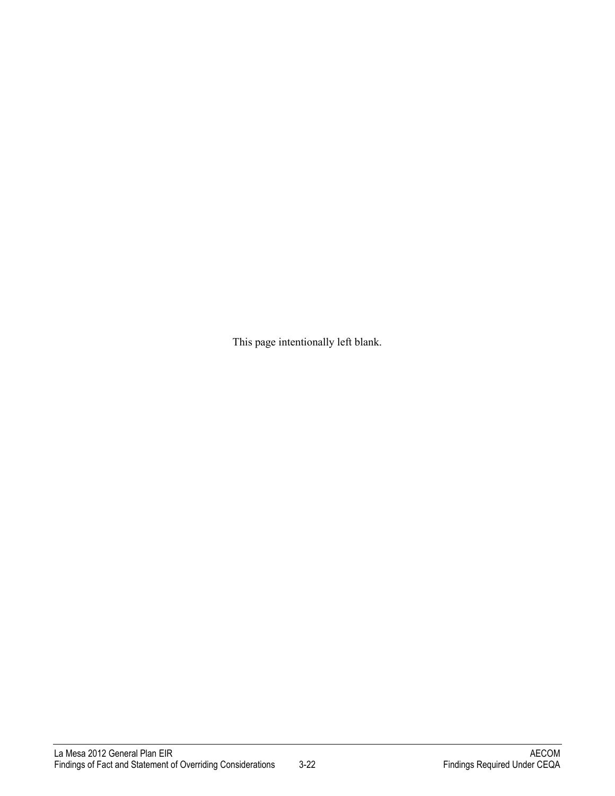This page intentionally left blank.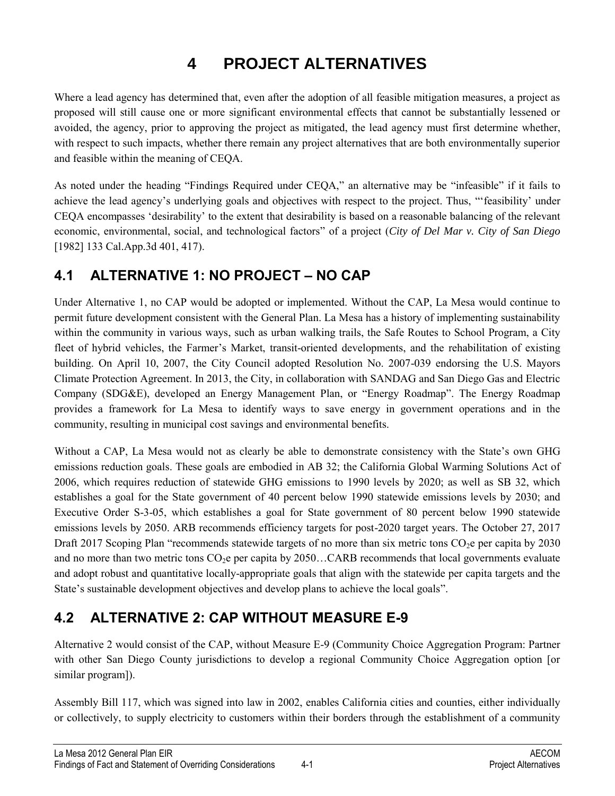# **4 PROJECT ALTERNATIVES**

<span id="page-36-0"></span>Where a lead agency has determined that, even after the adoption of all feasible mitigation measures, a project as proposed will still cause one or more significant environmental effects that cannot be substantially lessened or avoided, the agency, prior to approving the project as mitigated, the lead agency must first determine whether, with respect to such impacts, whether there remain any project alternatives that are both environmentally superior and feasible within the meaning of CEQA.

As noted under the heading "Findings Required under CEQA," an alternative may be "infeasible" if it fails to achieve the lead agency's underlying goals and objectives with respect to the project. Thus, "'feasibility' under CEQA encompasses 'desirability' to the extent that desirability is based on a reasonable balancing of the relevant economic, environmental, social, and technological factors" of a project (*City of Del Mar v. City of San Diego* [1982] 133 Cal.App.3d 401, 417).

## <span id="page-36-1"></span>**4.1 ALTERNATIVE 1: NO PROJECT – NO CAP**

Under Alternative 1, no CAP would be adopted or implemented. Without the CAP, La Mesa would continue to permit future development consistent with the General Plan. La Mesa has a history of implementing sustainability within the community in various ways, such as urban walking trails, the Safe Routes to School Program, a City fleet of hybrid vehicles, the Farmer's Market, transit-oriented developments, and the rehabilitation of existing building. On April 10, 2007, the City Council adopted Resolution No. 2007-039 endorsing the U.S. Mayors Climate Protection Agreement. In 2013, the City, in collaboration with SANDAG and San Diego Gas and Electric Company (SDG&E), developed an Energy Management Plan, or "Energy Roadmap". The Energy Roadmap provides a framework for La Mesa to identify ways to save energy in government operations and in the community, resulting in municipal cost savings and environmental benefits.

Without a CAP, La Mesa would not as clearly be able to demonstrate consistency with the State's own GHG emissions reduction goals. These goals are embodied in AB 32; the California Global Warming Solutions Act of 2006, which requires reduction of statewide GHG emissions to 1990 levels by 2020; as well as SB 32, which establishes a goal for the State government of 40 percent below 1990 statewide emissions levels by 2030; and Executive Order S-3-05, which establishes a goal for State government of 80 percent below 1990 statewide emissions levels by 2050. ARB recommends efficiency targets for post-2020 target years. The October 27, 2017 Draft 2017 Scoping Plan "recommends statewide targets of no more than six metric tons CO<sub>2</sub>e per capita by 2030 and no more than two metric tons  $CO<sub>2</sub>e$  per capita by 2050...CARB recommends that local governments evaluate and adopt robust and quantitative locally-appropriate goals that align with the statewide per capita targets and the State's sustainable development objectives and develop plans to achieve the local goals".

## <span id="page-36-2"></span>**4.2 ALTERNATIVE 2: CAP WITHOUT MEASURE E-9**

Alternative 2 would consist of the CAP, without Measure E-9 (Community Choice Aggregation Program: Partner with other San Diego County jurisdictions to develop a regional Community Choice Aggregation option [or similar program]).

Assembly Bill 117, which was signed into law in 2002, enables California cities and counties, either individually or collectively, to supply electricity to customers within their borders through the establishment of a community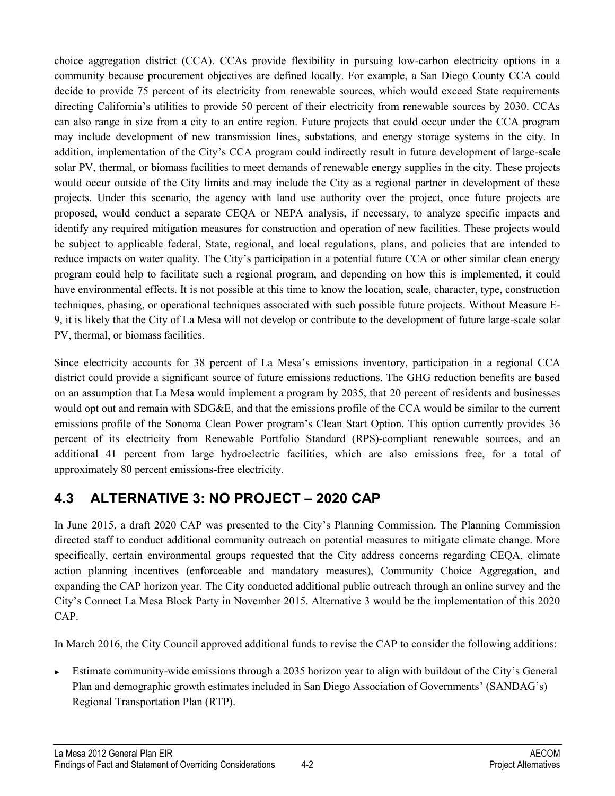choice aggregation district (CCA). CCAs provide flexibility in pursuing low-carbon electricity options in a community because procurement objectives are defined locally. For example, a San Diego County CCA could decide to provide 75 percent of its electricity from renewable sources, which would exceed State requirements directing California's utilities to provide 50 percent of their electricity from renewable sources by 2030. CCAs can also range in size from a city to an entire region. Future projects that could occur under the CCA program may include development of new transmission lines, substations, and energy storage systems in the city. In addition, implementation of the City's CCA program could indirectly result in future development of large-scale solar PV, thermal, or biomass facilities to meet demands of renewable energy supplies in the city. These projects would occur outside of the City limits and may include the City as a regional partner in development of these projects. Under this scenario, the agency with land use authority over the project, once future projects are proposed, would conduct a separate CEQA or NEPA analysis, if necessary, to analyze specific impacts and identify any required mitigation measures for construction and operation of new facilities. These projects would be subject to applicable federal, State, regional, and local regulations, plans, and policies that are intended to reduce impacts on water quality. The City's participation in a potential future CCA or other similar clean energy program could help to facilitate such a regional program, and depending on how this is implemented, it could have environmental effects. It is not possible at this time to know the location, scale, character, type, construction techniques, phasing, or operational techniques associated with such possible future projects. Without Measure E-9, it is likely that the City of La Mesa will not develop or contribute to the development of future large-scale solar PV, thermal, or biomass facilities.

Since electricity accounts for 38 percent of La Mesa's emissions inventory, participation in a regional CCA district could provide a significant source of future emissions reductions. The GHG reduction benefits are based on an assumption that La Mesa would implement a program by 2035, that 20 percent of residents and businesses would opt out and remain with SDG&E, and that the emissions profile of the CCA would be similar to the current emissions profile of the Sonoma Clean Power program's Clean Start Option. This option currently provides 36 percent of its electricity from Renewable Portfolio Standard (RPS)-compliant renewable sources, and an additional 41 percent from large hydroelectric facilities, which are also emissions free, for a total of approximately 80 percent emissions-free electricity.

## <span id="page-37-0"></span>**4.3 ALTERNATIVE 3: NO PROJECT – 2020 CAP**

In June 2015, a draft 2020 CAP was presented to the City's Planning Commission. The Planning Commission directed staff to conduct additional community outreach on potential measures to mitigate climate change. More specifically, certain environmental groups requested that the City address concerns regarding CEQA, climate action planning incentives (enforceable and mandatory measures), Community Choice Aggregation, and expanding the CAP horizon year. The City conducted additional public outreach through an online survey and the City's Connect La Mesa Block Party in November 2015. Alternative 3 would be the implementation of this 2020 CAP.

In March 2016, the City Council approved additional funds to revise the CAP to consider the following additions:

Estimate community-wide emissions through a 2035 horizon year to align with buildout of the City's General Plan and demographic growth estimates included in San Diego Association of Governments' (SANDAG's) Regional Transportation Plan (RTP).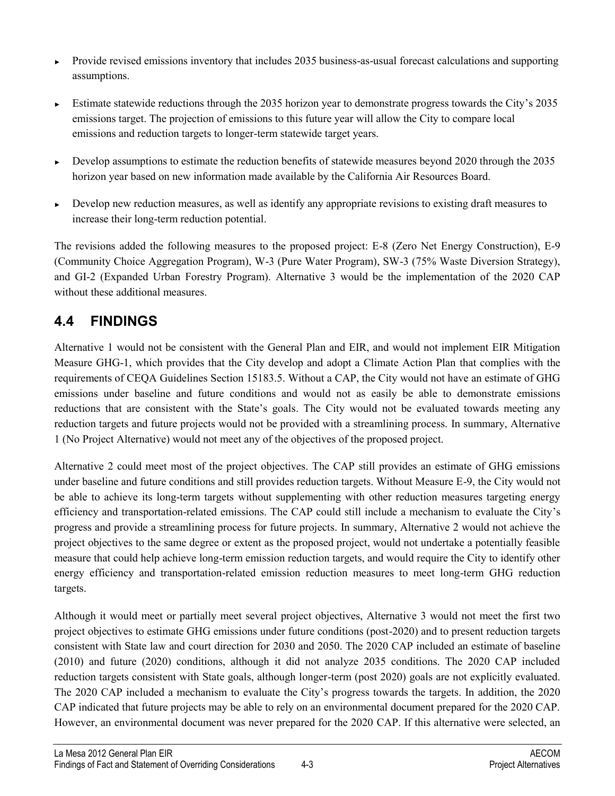- ► Provide revised emissions inventory that includes 2035 business-as-usual forecast calculations and supporting assumptions.
- Estimate statewide reductions through the 2035 horizon year to demonstrate progress towards the City's 2035 emissions target. The projection of emissions to this future year will allow the City to compare local emissions and reduction targets to longer-term statewide target years.
- Develop assumptions to estimate the reduction benefits of statewide measures beyond 2020 through the 2035 horizon year based on new information made available by the California Air Resources Board.
- Develop new reduction measures, as well as identify any appropriate revisions to existing draft measures to increase their long-term reduction potential.

The revisions added the following measures to the proposed project: E-8 (Zero Net Energy Construction), E-9 (Community Choice Aggregation Program), W-3 (Pure Water Program), SW-3 (75% Waste Diversion Strategy), and GI-2 (Expanded Urban Forestry Program). Alternative 3 would be the implementation of the 2020 CAP without these additional measures.

## <span id="page-38-0"></span>**4.4 FINDINGS**

Alternative 1 would not be consistent with the General Plan and EIR, and would not implement EIR Mitigation Measure GHG-1, which provides that the City develop and adopt a Climate Action Plan that complies with the requirements of CEQA Guidelines Section 15183.5. Without a CAP, the City would not have an estimate of GHG emissions under baseline and future conditions and would not as easily be able to demonstrate emissions reductions that are consistent with the State's goals. The City would not be evaluated towards meeting any reduction targets and future projects would not be provided with a streamlining process. In summary, Alternative 1 (No Project Alternative) would not meet any of the objectives of the proposed project.

Alternative 2 could meet most of the project objectives. The CAP still provides an estimate of GHG emissions under baseline and future conditions and still provides reduction targets. Without Measure E-9, the City would not be able to achieve its long-term targets without supplementing with other reduction measures targeting energy efficiency and transportation-related emissions. The CAP could still include a mechanism to evaluate the City's progress and provide a streamlining process for future projects. In summary, Alternative 2 would not achieve the project objectives to the same degree or extent as the proposed project, would not undertake a potentially feasible measure that could help achieve long-term emission reduction targets, and would require the City to identify other energy efficiency and transportation-related emission reduction measures to meet long-term GHG reduction targets.

Although it would meet or partially meet several project objectives, Alternative 3 would not meet the first two project objectives to estimate GHG emissions under future conditions (post-2020) and to present reduction targets consistent with State law and court direction for 2030 and 2050. The 2020 CAP included an estimate of baseline (2010) and future (2020) conditions, although it did not analyze 2035 conditions. The 2020 CAP included reduction targets consistent with State goals, although longer-term (post 2020) goals are not explicitly evaluated. The 2020 CAP included a mechanism to evaluate the City's progress towards the targets. In addition, the 2020 CAP indicated that future projects may be able to rely on an environmental document prepared for the 2020 CAP. However, an environmental document was never prepared for the 2020 CAP. If this alternative were selected, an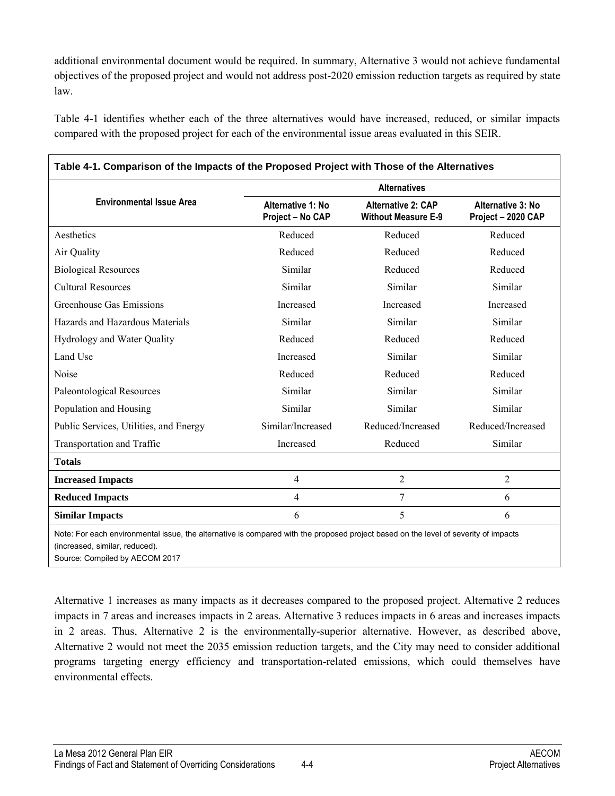additional environmental document would be required. In summary, Alternative 3 would not achieve fundamental objectives of the proposed project and would not address post-2020 emission reduction targets as required by state law.

Table 4-1 identifies whether each of the three alternatives would have increased, reduced, or similar impacts compared with the proposed project for each of the environmental issue areas evaluated in this SEIR.

<span id="page-39-0"></span>

|                                        | <b>Alternatives</b>                   |                                                         |                                         |  |
|----------------------------------------|---------------------------------------|---------------------------------------------------------|-----------------------------------------|--|
| <b>Environmental Issue Area</b>        | Alternative 1: No<br>Project - No CAP | <b>Alternative 2: CAP</b><br><b>Without Measure E-9</b> | Alternative 3: No<br>Project - 2020 CAP |  |
| Aesthetics                             | Reduced                               | Reduced                                                 | Reduced                                 |  |
| Air Quality                            | Reduced                               | Reduced                                                 | Reduced                                 |  |
| <b>Biological Resources</b>            | Similar                               | Reduced                                                 | Reduced                                 |  |
| <b>Cultural Resources</b>              | Similar                               | Similar                                                 | Similar                                 |  |
| Greenhouse Gas Emissions               | <b>Increased</b>                      | Increased                                               | Increased                               |  |
| Hazards and Hazardous Materials        | Similar                               | Similar                                                 | Similar                                 |  |
| Hydrology and Water Quality            | Reduced                               | Reduced                                                 | Reduced                                 |  |
| Land Use                               | Increased                             | Similar                                                 | Similar                                 |  |
| Noise                                  | Reduced                               | Reduced                                                 | Reduced                                 |  |
| Paleontological Resources              | Similar                               | Similar                                                 | Similar                                 |  |
| Population and Housing                 | Similar                               | Similar                                                 | Similar                                 |  |
| Public Services, Utilities, and Energy | Similar/Increased                     | Reduced/Increased                                       | Reduced/Increased                       |  |
| Transportation and Traffic             | Increased                             | Reduced                                                 | Similar                                 |  |
| <b>Totals</b>                          |                                       |                                                         |                                         |  |
| <b>Increased Impacts</b>               | $\overline{4}$                        | 2                                                       | $\overline{2}$                          |  |
| <b>Reduced Impacts</b>                 | $\overline{4}$                        | 7                                                       | 6                                       |  |
| <b>Similar Impacts</b>                 | 5<br>6<br>6                           |                                                         |                                         |  |

(increased, similar, reduced).

Source: Compiled by AECOM 2017

Alternative 1 increases as many impacts as it decreases compared to the proposed project. Alternative 2 reduces impacts in 7 areas and increases impacts in 2 areas. Alternative 3 reduces impacts in 6 areas and increases impacts in 2 areas. Thus, Alternative 2 is the environmentally-superior alternative. However, as described above, Alternative 2 would not meet the 2035 emission reduction targets, and the City may need to consider additional programs targeting energy efficiency and transportation-related emissions, which could themselves have environmental effects.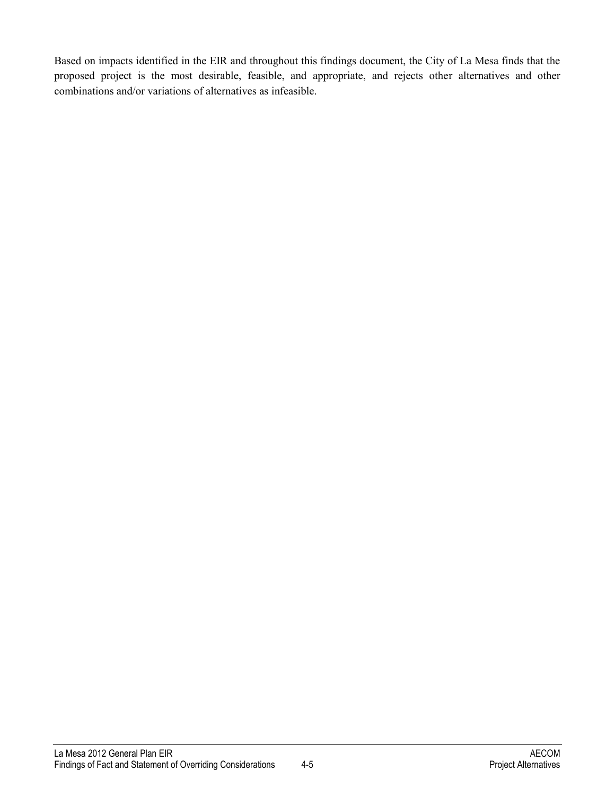Based on impacts identified in the EIR and throughout this findings document, the City of La Mesa finds that the proposed project is the most desirable, feasible, and appropriate, and rejects other alternatives and other combinations and/or variations of alternatives as infeasible.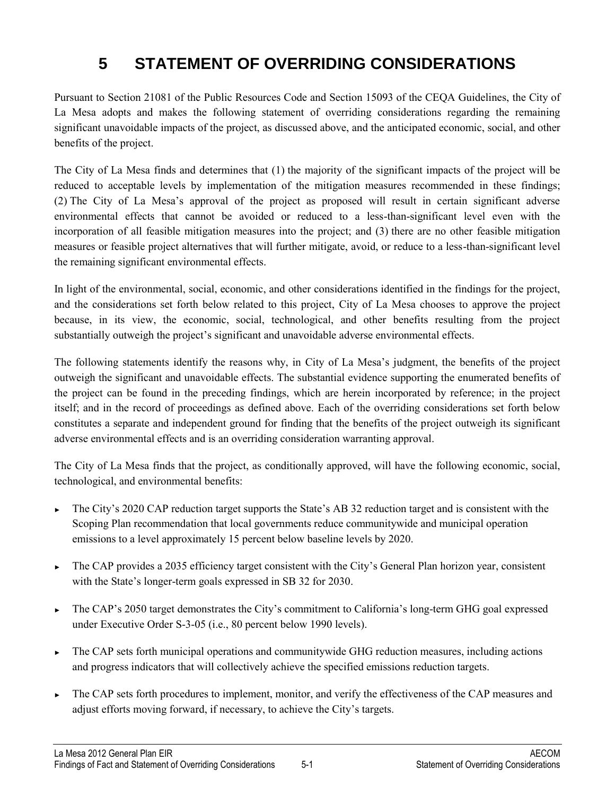# **5 STATEMENT OF OVERRIDING CONSIDERATIONS**

<span id="page-41-0"></span>Pursuant to Section 21081 of the Public Resources Code and Section 15093 of the CEQA Guidelines, the City of La Mesa adopts and makes the following statement of overriding considerations regarding the remaining significant unavoidable impacts of the project, as discussed above, and the anticipated economic, social, and other benefits of the project.

The City of La Mesa finds and determines that (1) the majority of the significant impacts of the project will be reduced to acceptable levels by implementation of the mitigation measures recommended in these findings; (2) The City of La Mesa's approval of the project as proposed will result in certain significant adverse environmental effects that cannot be avoided or reduced to a less-than-significant level even with the incorporation of all feasible mitigation measures into the project; and (3) there are no other feasible mitigation measures or feasible project alternatives that will further mitigate, avoid, or reduce to a less-than-significant level the remaining significant environmental effects.

In light of the environmental, social, economic, and other considerations identified in the findings for the project, and the considerations set forth below related to this project, City of La Mesa chooses to approve the project because, in its view, the economic, social, technological, and other benefits resulting from the project substantially outweigh the project's significant and unavoidable adverse environmental effects.

The following statements identify the reasons why, in City of La Mesa's judgment, the benefits of the project outweigh the significant and unavoidable effects. The substantial evidence supporting the enumerated benefits of the project can be found in the preceding findings, which are herein incorporated by reference; in the project itself; and in the record of proceedings as defined above. Each of the overriding considerations set forth below constitutes a separate and independent ground for finding that the benefits of the project outweigh its significant adverse environmental effects and is an overriding consideration warranting approval.

The City of La Mesa finds that the project, as conditionally approved, will have the following economic, social, technological, and environmental benefits:

- The City's 2020 CAP reduction target supports the State's AB 32 reduction target and is consistent with the Scoping Plan recommendation that local governments reduce communitywide and municipal operation emissions to a level approximately 15 percent below baseline levels by 2020.
- ► The CAP provides a 2035 efficiency target consistent with the City's General Plan horizon year, consistent with the State's longer-term goals expressed in SB 32 for 2030.
- ► The CAP's 2050 target demonstrates the City's commitment to California's long-term GHG goal expressed under Executive Order S-3-05 (i.e., 80 percent below 1990 levels).
- ► The CAP sets forth municipal operations and communitywide GHG reduction measures, including actions and progress indicators that will collectively achieve the specified emissions reduction targets.
- ► The CAP sets forth procedures to implement, monitor, and verify the effectiveness of the CAP measures and adjust efforts moving forward, if necessary, to achieve the City's targets.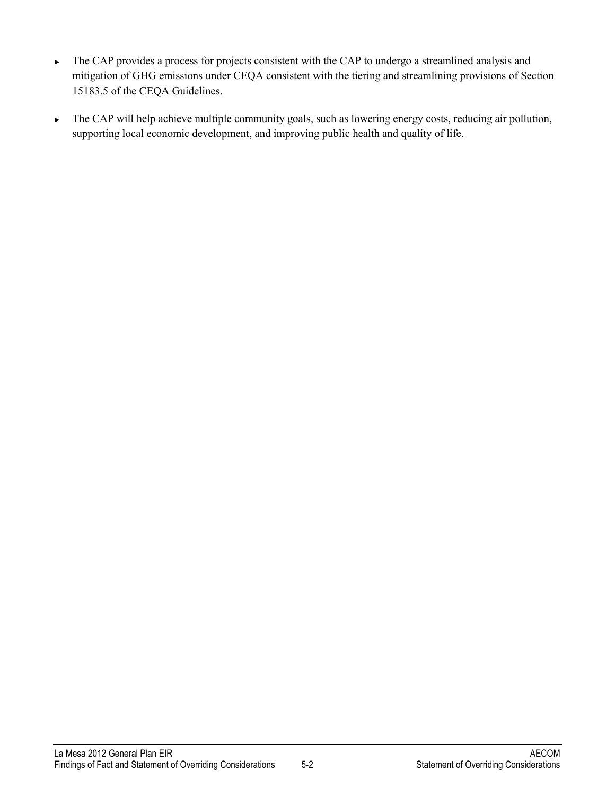- ► The CAP provides a process for projects consistent with the CAP to undergo a streamlined analysis and mitigation of GHG emissions under CEQA consistent with the tiering and streamlining provisions of Section 15183.5 of the CEQA Guidelines.
- ► The CAP will help achieve multiple community goals, such as lowering energy costs, reducing air pollution, supporting local economic development, and improving public health and quality of life.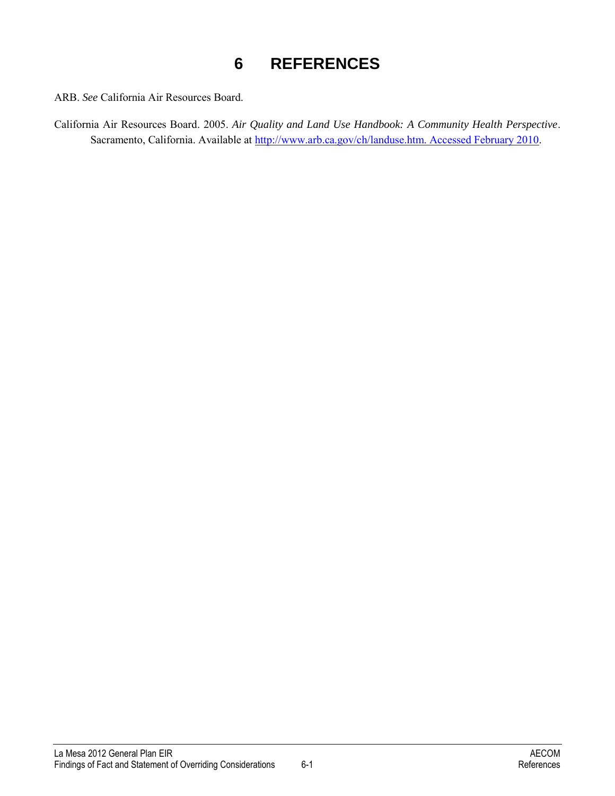## **6 REFERENCES**

<span id="page-43-0"></span>ARB. *See* California Air Resources Board.

California Air Resources Board. 2005. *Air Quality and Land Use Handbook: A Community Health Perspective*. Sacramento, California. Available at [http://www.arb.ca.gov/ch/landuse.htm. Accessed February 2010.](http://www.arb.ca.gov/ch/landuse.htm.%20Accessed%20February%202010)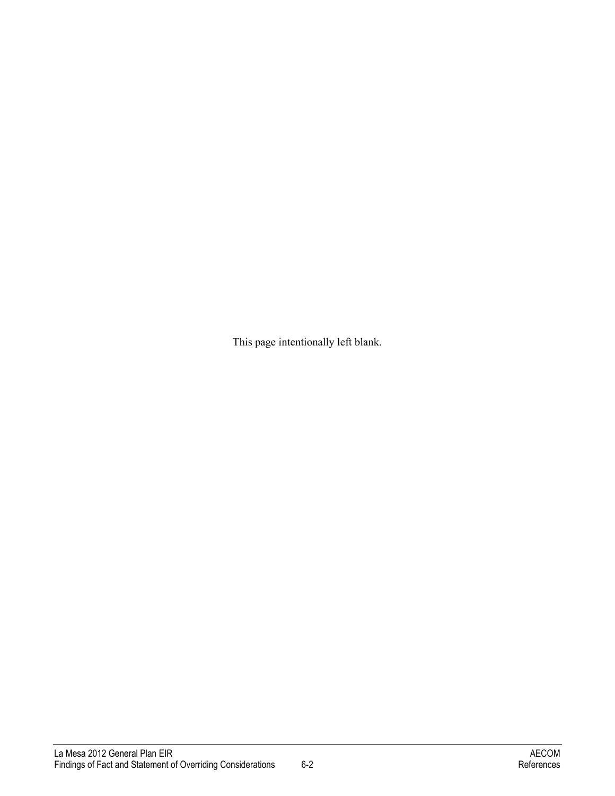This page intentionally left blank.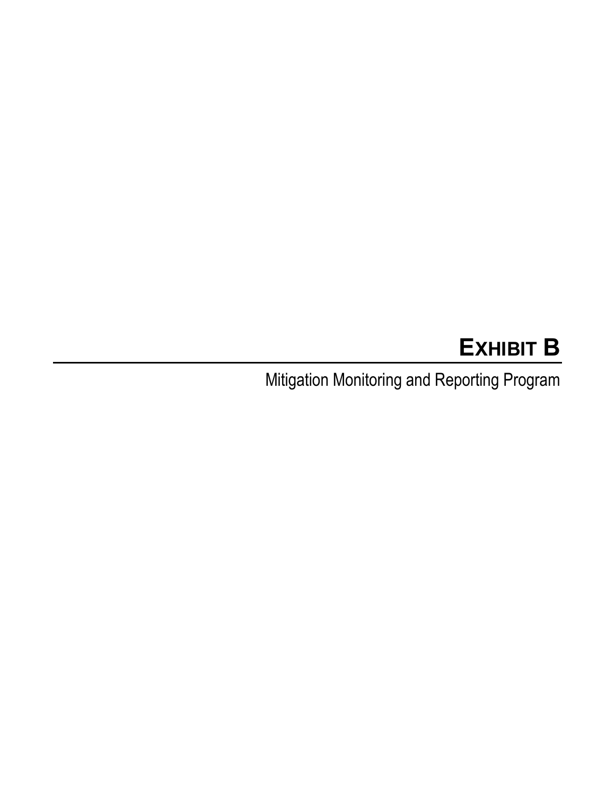# **EXHIBIT B**

Mitigation Monitoring and Reporting Program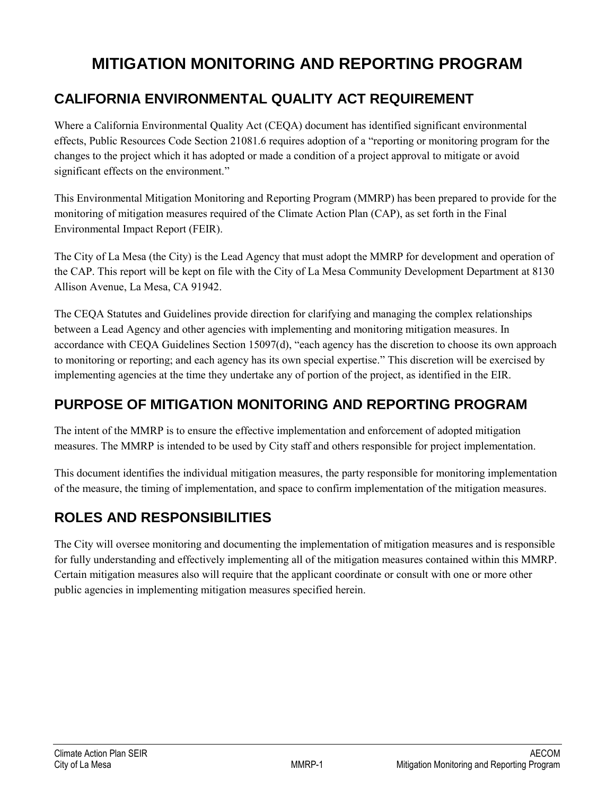## **MITIGATION MONITORING AND REPORTING PROGRAM**

## **CALIFORNIA ENVIRONMENTAL QUALITY ACT REQUIREMENT**

Where a California Environmental Quality Act (CEQA) document has identified significant environmental effects, Public Resources Code Section 21081.6 requires adoption of a "reporting or monitoring program for the changes to the project which it has adopted or made a condition of a project approval to mitigate or avoid significant effects on the environment."

This Environmental Mitigation Monitoring and Reporting Program (MMRP) has been prepared to provide for the monitoring of mitigation measures required of the Climate Action Plan (CAP), as set forth in the Final Environmental Impact Report (FEIR).

The City of La Mesa (the City) is the Lead Agency that must adopt the MMRP for development and operation of the CAP. This report will be kept on file with the City of La Mesa Community Development Department at 8130 Allison Avenue, La Mesa, CA 91942.

The CEQA Statutes and Guidelines provide direction for clarifying and managing the complex relationships between a Lead Agency and other agencies with implementing and monitoring mitigation measures. In accordance with CEQA Guidelines Section 15097(d), "each agency has the discretion to choose its own approach to monitoring or reporting; and each agency has its own special expertise." This discretion will be exercised by implementing agencies at the time they undertake any of portion of the project, as identified in the EIR.

## **PURPOSE OF MITIGATION MONITORING AND REPORTING PROGRAM**

The intent of the MMRP is to ensure the effective implementation and enforcement of adopted mitigation measures. The MMRP is intended to be used by City staff and others responsible for project implementation.

This document identifies the individual mitigation measures, the party responsible for monitoring implementation of the measure, the timing of implementation, and space to confirm implementation of the mitigation measures.

## **ROLES AND RESPONSIBILITIES**

The City will oversee monitoring and documenting the implementation of mitigation measures and is responsible for fully understanding and effectively implementing all of the mitigation measures contained within this MMRP. Certain mitigation measures also will require that the applicant coordinate or consult with one or more other public agencies in implementing mitigation measures specified herein.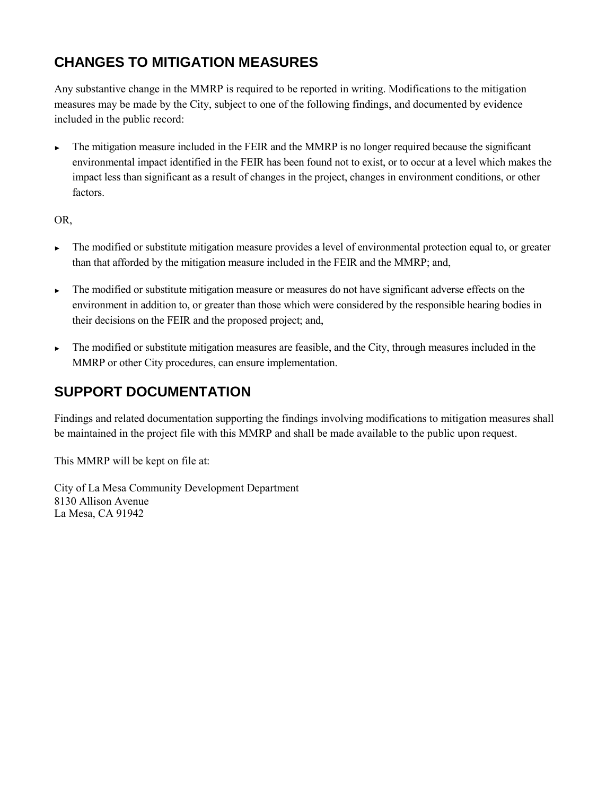## **CHANGES TO MITIGATION MEASURES**

Any substantive change in the MMRP is required to be reported in writing. Modifications to the mitigation measures may be made by the City, subject to one of the following findings, and documented by evidence included in the public record:

► The mitigation measure included in the FEIR and the MMRP is no longer required because the significant environmental impact identified in the FEIR has been found not to exist, or to occur at a level which makes the impact less than significant as a result of changes in the project, changes in environment conditions, or other factors.

OR,

- ► The modified or substitute mitigation measure provides a level of environmental protection equal to, or greater than that afforded by the mitigation measure included in the FEIR and the MMRP; and,
- ► The modified or substitute mitigation measure or measures do not have significant adverse effects on the environment in addition to, or greater than those which were considered by the responsible hearing bodies in their decisions on the FEIR and the proposed project; and,
- ► The modified or substitute mitigation measures are feasible, and the City, through measures included in the MMRP or other City procedures, can ensure implementation.

## **SUPPORT DOCUMENTATION**

Findings and related documentation supporting the findings involving modifications to mitigation measures shall be maintained in the project file with this MMRP and shall be made available to the public upon request.

This MMRP will be kept on file at:

City of La Mesa Community Development Department 8130 Allison Avenue La Mesa, CA 91942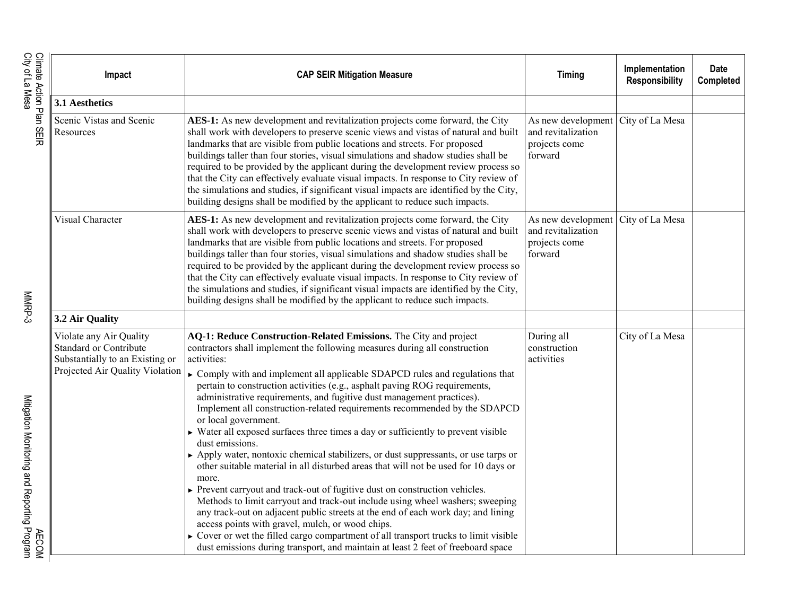| Impact                                                                                                                         | <b>CAP SEIR Mitigation Measure</b>                                                                                                                                                                                                                                                                                                                                                                                                                                                                                                                                                                                                                                                                                                                                                                                                                                                                                                                                                                                                                                                                                                                                                                                                                                                                                        | <b>Timing</b>                                                        | Implementation<br><b>Responsibility</b> | <b>Date</b><br>Completed |
|--------------------------------------------------------------------------------------------------------------------------------|---------------------------------------------------------------------------------------------------------------------------------------------------------------------------------------------------------------------------------------------------------------------------------------------------------------------------------------------------------------------------------------------------------------------------------------------------------------------------------------------------------------------------------------------------------------------------------------------------------------------------------------------------------------------------------------------------------------------------------------------------------------------------------------------------------------------------------------------------------------------------------------------------------------------------------------------------------------------------------------------------------------------------------------------------------------------------------------------------------------------------------------------------------------------------------------------------------------------------------------------------------------------------------------------------------------------------|----------------------------------------------------------------------|-----------------------------------------|--------------------------|
| 3.1 Aesthetics                                                                                                                 |                                                                                                                                                                                                                                                                                                                                                                                                                                                                                                                                                                                                                                                                                                                                                                                                                                                                                                                                                                                                                                                                                                                                                                                                                                                                                                                           |                                                                      |                                         |                          |
| Scenic Vistas and Scenic<br>Resources                                                                                          | AES-1: As new development and revitalization projects come forward, the City<br>shall work with developers to preserve scenic views and vistas of natural and built<br>landmarks that are visible from public locations and streets. For proposed<br>buildings taller than four stories, visual simulations and shadow studies shall be<br>required to be provided by the applicant during the development review process so<br>that the City can effectively evaluate visual impacts. In response to City review of<br>the simulations and studies, if significant visual impacts are identified by the City,<br>building designs shall be modified by the applicant to reduce such impacts.                                                                                                                                                                                                                                                                                                                                                                                                                                                                                                                                                                                                                             | As new development<br>and revitalization<br>projects come<br>forward | City of La Mesa                         |                          |
| Visual Character                                                                                                               | AES-1: As new development and revitalization projects come forward, the City<br>shall work with developers to preserve scenic views and vistas of natural and built<br>landmarks that are visible from public locations and streets. For proposed<br>buildings taller than four stories, visual simulations and shadow studies shall be<br>required to be provided by the applicant during the development review process so<br>that the City can effectively evaluate visual impacts. In response to City review of<br>the simulations and studies, if significant visual impacts are identified by the City,<br>building designs shall be modified by the applicant to reduce such impacts.                                                                                                                                                                                                                                                                                                                                                                                                                                                                                                                                                                                                                             | As new development<br>and revitalization<br>projects come<br>forward | City of La Mesa                         |                          |
| 3.2 Air Quality                                                                                                                |                                                                                                                                                                                                                                                                                                                                                                                                                                                                                                                                                                                                                                                                                                                                                                                                                                                                                                                                                                                                                                                                                                                                                                                                                                                                                                                           |                                                                      |                                         |                          |
| Violate any Air Quality<br><b>Standard or Contribute</b><br>Substantially to an Existing or<br>Projected Air Quality Violation | AQ-1: Reduce Construction-Related Emissions. The City and project<br>contractors shall implement the following measures during all construction<br>activities:<br>► Comply with and implement all applicable SDAPCD rules and regulations that<br>pertain to construction activities (e.g., asphalt paving ROG requirements,<br>administrative requirements, and fugitive dust management practices).<br>Implement all construction-related requirements recommended by the SDAPCD<br>or local government.<br>$\triangleright$ Water all exposed surfaces three times a day or sufficiently to prevent visible<br>dust emissions.<br>Apply water, nontoxic chemical stabilizers, or dust suppressants, or use tarps or<br>other suitable material in all disturbed areas that will not be used for 10 days or<br>more.<br>$\triangleright$ Prevent carryout and track-out of fugitive dust on construction vehicles.<br>Methods to limit carryout and track-out include using wheel washers; sweeping<br>any track-out on adjacent public streets at the end of each work day; and lining<br>access points with gravel, mulch, or wood chips.<br>► Cover or wet the filled cargo compartment of all transport trucks to limit visible<br>dust emissions during transport, and maintain at least 2 feet of freeboard space | During all<br>construction<br>activities                             | City of La Mesa                         |                          |

Climate Action Plan SEIR<br>City of La Mesa City of La Mesa Climate Action Plan SEIR

MMRP-3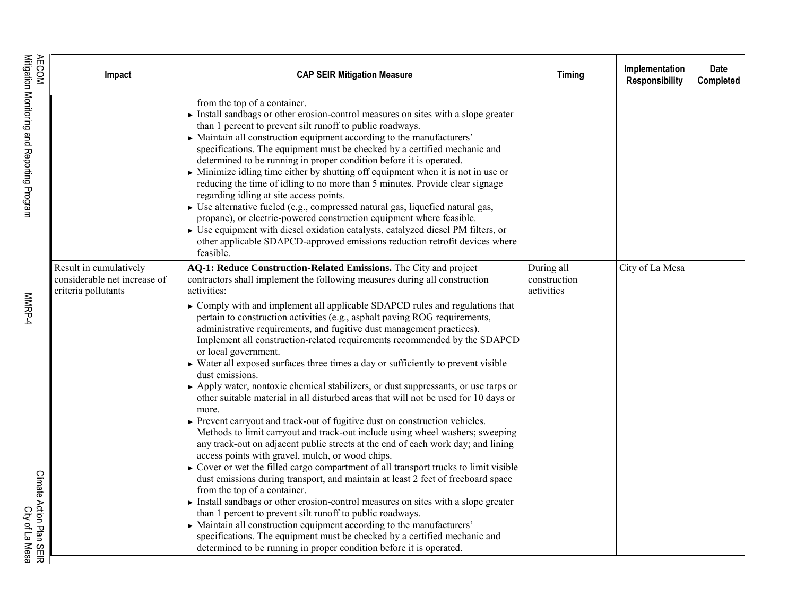| <b>AECOM</b>           | Impact                                                                        | <b>CAP SEIR Mitigation Measure</b>                                                                                                                                                                                                                                                                                                                                                                                                                                                                                                                                                                                                                                                                                                                                                                                                                                                                                                                                                                                                                                                                                                                                                                                                                                                                                                                                                                                                                                                                                                                                                                                                                                                                                                      | <b>Timing</b>                            | Implementation<br><b>Responsibility</b> | <b>Date</b><br>Completed |
|------------------------|-------------------------------------------------------------------------------|-----------------------------------------------------------------------------------------------------------------------------------------------------------------------------------------------------------------------------------------------------------------------------------------------------------------------------------------------------------------------------------------------------------------------------------------------------------------------------------------------------------------------------------------------------------------------------------------------------------------------------------------------------------------------------------------------------------------------------------------------------------------------------------------------------------------------------------------------------------------------------------------------------------------------------------------------------------------------------------------------------------------------------------------------------------------------------------------------------------------------------------------------------------------------------------------------------------------------------------------------------------------------------------------------------------------------------------------------------------------------------------------------------------------------------------------------------------------------------------------------------------------------------------------------------------------------------------------------------------------------------------------------------------------------------------------------------------------------------------------|------------------------------------------|-----------------------------------------|--------------------------|
|                        |                                                                               | from the top of a container.<br>Install sandbags or other erosion-control measures on sites with a slope greater<br>than 1 percent to prevent silt runoff to public roadways.<br>• Maintain all construction equipment according to the manufacturers'<br>specifications. The equipment must be checked by a certified mechanic and<br>determined to be running in proper condition before it is operated.<br>$\triangleright$ Minimize idling time either by shutting off equipment when it is not in use or<br>reducing the time of idling to no more than 5 minutes. Provide clear signage<br>regarding idling at site access points.<br>$\triangleright$ Use alternative fueled (e.g., compressed natural gas, liquefied natural gas,<br>propane), or electric-powered construction equipment where feasible.<br>► Use equipment with diesel oxidation catalysts, catalyzed diesel PM filters, or<br>other applicable SDAPCD-approved emissions reduction retrofit devices where<br>feasible.                                                                                                                                                                                                                                                                                                                                                                                                                                                                                                                                                                                                                                                                                                                                       |                                          |                                         |                          |
| Climate Action Plan SE | Result in cumulatively<br>considerable net increase of<br>criteria pollutants | AQ-1: Reduce Construction-Related Emissions. The City and project<br>contractors shall implement the following measures during all construction<br>activities:<br>Comply with and implement all applicable SDAPCD rules and regulations that<br>pertain to construction activities (e.g., asphalt paving ROG requirements,<br>administrative requirements, and fugitive dust management practices).<br>Implement all construction-related requirements recommended by the SDAPCD<br>or local government.<br>$\triangleright$ Water all exposed surfaces three times a day or sufficiently to prevent visible<br>dust emissions.<br>▶ Apply water, nontoxic chemical stabilizers, or dust suppressants, or use tarps or<br>other suitable material in all disturbed areas that will not be used for 10 days or<br>more.<br>► Prevent carryout and track-out of fugitive dust on construction vehicles.<br>Methods to limit carryout and track-out include using wheel washers; sweeping<br>any track-out on adjacent public streets at the end of each work day; and lining<br>access points with gravel, mulch, or wood chips.<br>$\triangleright$ Cover or wet the filled cargo compartment of all transport trucks to limit visible<br>dust emissions during transport, and maintain at least 2 feet of freeboard space<br>from the top of a container.<br>Install sandbags or other erosion-control measures on sites with a slope greater<br>than 1 percent to prevent silt runoff to public roadways.<br>• Maintain all construction equipment according to the manufacturers'<br>specifications. The equipment must be checked by a certified mechanic and<br>determined to be running in proper condition before it is operated. | During all<br>construction<br>activities | City of La Mesa                         |                          |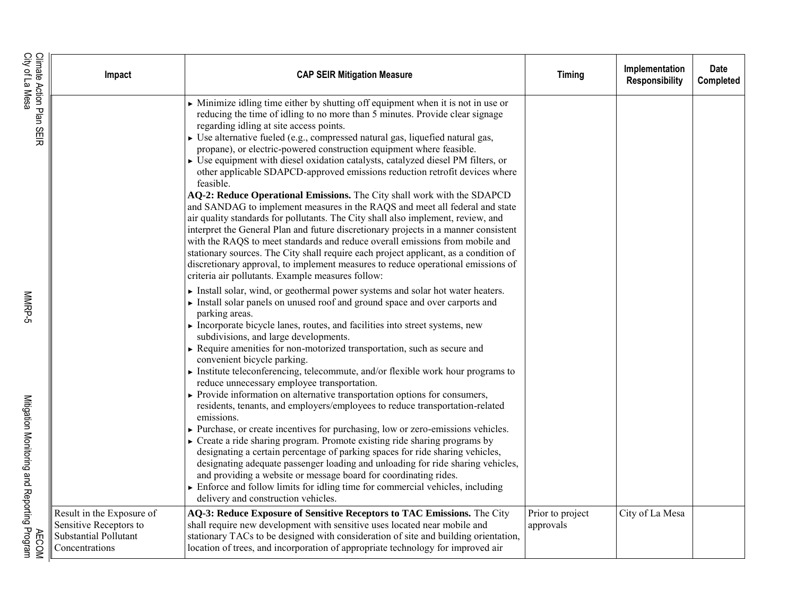|                          | Impact                                                                                         | <b>CAP SEIR Mitigation Measure</b>                                                                                                                                                                                                                                                                                                                                                                                                                                                                                                                                                                                                                                                                                                                                                                                                                                                                                                                                                                                                                                                                                                                                                                                                                                                                                                                                                                                                                                                                                                                                                                                                                                                                                                                                                                                                                                                                                                                                                                                                                                                                                                                                                                                                                                                                                                                                                                                                                                                                                                                        | Timing                        | Implementation<br><b>Responsibility</b> | <b>Date</b><br>Completed |
|--------------------------|------------------------------------------------------------------------------------------------|-----------------------------------------------------------------------------------------------------------------------------------------------------------------------------------------------------------------------------------------------------------------------------------------------------------------------------------------------------------------------------------------------------------------------------------------------------------------------------------------------------------------------------------------------------------------------------------------------------------------------------------------------------------------------------------------------------------------------------------------------------------------------------------------------------------------------------------------------------------------------------------------------------------------------------------------------------------------------------------------------------------------------------------------------------------------------------------------------------------------------------------------------------------------------------------------------------------------------------------------------------------------------------------------------------------------------------------------------------------------------------------------------------------------------------------------------------------------------------------------------------------------------------------------------------------------------------------------------------------------------------------------------------------------------------------------------------------------------------------------------------------------------------------------------------------------------------------------------------------------------------------------------------------------------------------------------------------------------------------------------------------------------------------------------------------------------------------------------------------------------------------------------------------------------------------------------------------------------------------------------------------------------------------------------------------------------------------------------------------------------------------------------------------------------------------------------------------------------------------------------------------------------------------------------------------|-------------------------------|-----------------------------------------|--------------------------|
| Climate Action Plan SEIR |                                                                                                | $\triangleright$ Minimize idling time either by shutting off equipment when it is not in use or<br>reducing the time of idling to no more than 5 minutes. Provide clear signage<br>regarding idling at site access points.<br>► Use alternative fueled (e.g., compressed natural gas, liquefied natural gas,<br>propane), or electric-powered construction equipment where feasible.<br>• Use equipment with diesel oxidation catalysts, catalyzed diesel PM filters, or<br>other applicable SDAPCD-approved emissions reduction retrofit devices where<br>feasible.<br>AQ-2: Reduce Operational Emissions. The City shall work with the SDAPCD<br>and SANDAG to implement measures in the RAQS and meet all federal and state<br>air quality standards for pollutants. The City shall also implement, review, and<br>interpret the General Plan and future discretionary projects in a manner consistent<br>with the RAQS to meet standards and reduce overall emissions from mobile and<br>stationary sources. The City shall require each project applicant, as a condition of<br>discretionary approval, to implement measures to reduce operational emissions of<br>criteria air pollutants. Example measures follow:<br>Install solar, wind, or geothermal power systems and solar hot water heaters.<br>Install solar panels on unused roof and ground space and over carports and<br>parking areas.<br>Incorporate bicycle lanes, routes, and facilities into street systems, new<br>subdivisions, and large developments.<br>Require amenities for non-motorized transportation, such as secure and<br>convenient bicycle parking.<br>$\triangleright$ Institute teleconferencing, telecommute, and/or flexible work hour programs to<br>reduce unnecessary employee transportation.<br>$\triangleright$ Provide information on alternative transportation options for consumers,<br>residents, tenants, and employers/employees to reduce transportation-related<br>emissions.<br>► Purchase, or create incentives for purchasing, low or zero-emissions vehicles.<br>$\triangleright$ Create a ride sharing program. Promote existing ride sharing programs by<br>designating a certain percentage of parking spaces for ride sharing vehicles,<br>designating adequate passenger loading and unloading for ride sharing vehicles,<br>and providing a website or message board for coordinating rides.<br>$\triangleright$ Enforce and follow limits for idling time for commercial vehicles, including<br>delivery and construction vehicles. |                               |                                         |                          |
| <b>AECON</b>             | Result in the Exposure of<br>Sensitive Receptors to<br>Substantial Pollutant<br>Concentrations | AQ-3: Reduce Exposure of Sensitive Receptors to TAC Emissions. The City<br>shall require new development with sensitive uses located near mobile and<br>stationary TACs to be designed with consideration of site and building orientation,<br>location of trees, and incorporation of appropriate technology for improved air                                                                                                                                                                                                                                                                                                                                                                                                                                                                                                                                                                                                                                                                                                                                                                                                                                                                                                                                                                                                                                                                                                                                                                                                                                                                                                                                                                                                                                                                                                                                                                                                                                                                                                                                                                                                                                                                                                                                                                                                                                                                                                                                                                                                                            | Prior to project<br>approvals | City of La Mesa                         |                          |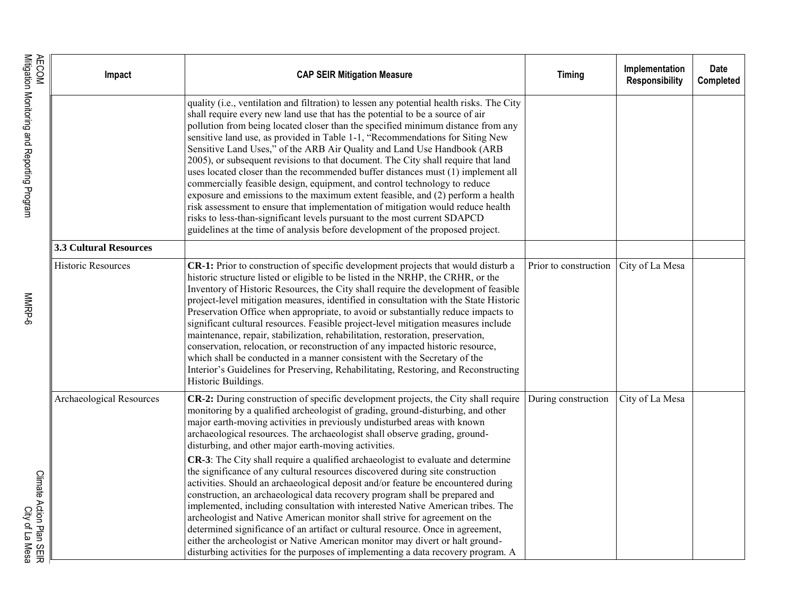| <b>AECOM</b>             | Impact                        | <b>CAP SEIR Mitigation Measure</b>                                                                                                                                                                                                                                                                                                                                                                                                                                                                                                                                                                                                                                                                                                                                                                                                                                                                                                                                                                                                                                                                                                                          | Timing                | Implementation<br><b>Responsibility</b> | <b>Date</b><br>Completed |
|--------------------------|-------------------------------|-------------------------------------------------------------------------------------------------------------------------------------------------------------------------------------------------------------------------------------------------------------------------------------------------------------------------------------------------------------------------------------------------------------------------------------------------------------------------------------------------------------------------------------------------------------------------------------------------------------------------------------------------------------------------------------------------------------------------------------------------------------------------------------------------------------------------------------------------------------------------------------------------------------------------------------------------------------------------------------------------------------------------------------------------------------------------------------------------------------------------------------------------------------|-----------------------|-----------------------------------------|--------------------------|
|                          |                               | quality (i.e., ventilation and filtration) to lessen any potential health risks. The City<br>shall require every new land use that has the potential to be a source of air<br>pollution from being located closer than the specified minimum distance from any<br>sensitive land use, as provided in Table 1-1, "Recommendations for Siting New<br>Sensitive Land Uses," of the ARB Air Quality and Land Use Handbook (ARB<br>2005), or subsequent revisions to that document. The City shall require that land<br>uses located closer than the recommended buffer distances must (1) implement all<br>commercially feasible design, equipment, and control technology to reduce<br>exposure and emissions to the maximum extent feasible, and (2) perform a health<br>risk assessment to ensure that implementation of mitigation would reduce health<br>risks to less-than-significant levels pursuant to the most current SDAPCD<br>guidelines at the time of analysis before development of the proposed project.                                                                                                                                       |                       |                                         |                          |
|                          | <b>3.3 Cultural Resources</b> |                                                                                                                                                                                                                                                                                                                                                                                                                                                                                                                                                                                                                                                                                                                                                                                                                                                                                                                                                                                                                                                                                                                                                             |                       |                                         |                          |
|                          | <b>Historic Resources</b>     | CR-1: Prior to construction of specific development projects that would disturb a<br>historic structure listed or eligible to be listed in the NRHP, the CRHR, or the<br>Inventory of Historic Resources, the City shall require the development of feasible<br>project-level mitigation measures, identified in consultation with the State Historic<br>Preservation Office when appropriate, to avoid or substantially reduce impacts to<br>significant cultural resources. Feasible project-level mitigation measures include<br>maintenance, repair, stabilization, rehabilitation, restoration, preservation,<br>conservation, relocation, or reconstruction of any impacted historic resource,<br>which shall be conducted in a manner consistent with the Secretary of the<br>Interior's Guidelines for Preserving, Rehabilitating, Restoring, and Reconstructing<br>Historic Buildings.                                                                                                                                                                                                                                                             | Prior to construction | City of La Mesa                         |                          |
| Climate Action Plan SEIR | Archaeological Resources      | CR-2: During construction of specific development projects, the City shall require<br>monitoring by a qualified archeologist of grading, ground-disturbing, and other<br>major earth-moving activities in previously undisturbed areas with known<br>archaeological resources. The archaeologist shall observe grading, ground-<br>disturbing, and other major earth-moving activities.<br>CR-3: The City shall require a qualified archaeologist to evaluate and determine<br>the significance of any cultural resources discovered during site construction<br>activities. Should an archaeological deposit and/or feature be encountered during<br>construction, an archaeological data recovery program shall be prepared and<br>implemented, including consultation with interested Native American tribes. The<br>archeologist and Native American monitor shall strive for agreement on the<br>determined significance of an artifact or cultural resource. Once in agreement,<br>either the archeologist or Native American monitor may divert or halt ground-<br>disturbing activities for the purposes of implementing a data recovery program. A | During construction   | City of La Mesa                         |                          |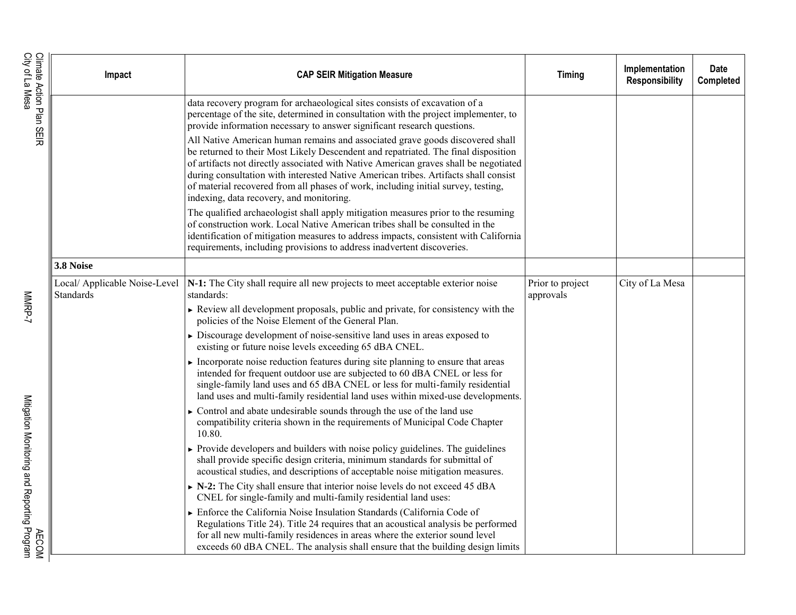| Climate Artion Plan SFIR | Impact                                     | <b>CAP SEIR Mitigation Measure</b>                                                                                                                                                                                                                                                                                                                                                                                                                                                  | <b>Timing</b>                 | Implementation<br><b>Responsibility</b> | <b>Date</b><br>Completed |
|--------------------------|--------------------------------------------|-------------------------------------------------------------------------------------------------------------------------------------------------------------------------------------------------------------------------------------------------------------------------------------------------------------------------------------------------------------------------------------------------------------------------------------------------------------------------------------|-------------------------------|-----------------------------------------|--------------------------|
|                          |                                            | data recovery program for archaeological sites consists of excavation of a<br>percentage of the site, determined in consultation with the project implementer, to<br>provide information necessary to answer significant research questions.                                                                                                                                                                                                                                        |                               |                                         |                          |
|                          |                                            | All Native American human remains and associated grave goods discovered shall<br>be returned to their Most Likely Descendent and repatriated. The final disposition<br>of artifacts not directly associated with Native American graves shall be negotiated<br>during consultation with interested Native American tribes. Artifacts shall consist<br>of material recovered from all phases of work, including initial survey, testing,<br>indexing, data recovery, and monitoring. |                               |                                         |                          |
|                          |                                            | The qualified archaeologist shall apply mitigation measures prior to the resuming<br>of construction work. Local Native American tribes shall be consulted in the<br>identification of mitigation measures to address impacts, consistent with California<br>requirements, including provisions to address inadvertent discoveries.                                                                                                                                                 |                               |                                         |                          |
|                          | 3.8 Noise                                  |                                                                                                                                                                                                                                                                                                                                                                                                                                                                                     |                               |                                         |                          |
|                          | Local/ Applicable Noise-Level<br>Standards | N-1: The City shall require all new projects to meet acceptable exterior noise<br>standards:<br>$\triangleright$ Review all development proposals, public and private, for consistency with the                                                                                                                                                                                                                                                                                     | Prior to project<br>approvals | City of La Mesa                         |                          |
|                          |                                            | policies of the Noise Element of the General Plan.<br>$\triangleright$ Discourage development of noise-sensitive land uses in areas exposed to<br>existing or future noise levels exceeding 65 dBA CNEL.                                                                                                                                                                                                                                                                            |                               |                                         |                          |
|                          |                                            | $\triangleright$ Incorporate noise reduction features during site planning to ensure that areas<br>intended for frequent outdoor use are subjected to 60 dBA CNEL or less for<br>single-family land uses and 65 dBA CNEL or less for multi-family residential<br>land uses and multi-family residential land uses within mixed-use developments.                                                                                                                                    |                               |                                         |                          |
|                          |                                            | $\triangleright$ Control and abate undesirable sounds through the use of the land use<br>compatibility criteria shown in the requirements of Municipal Code Chapter<br>10.80.                                                                                                                                                                                                                                                                                                       |                               |                                         |                          |
|                          |                                            | $\triangleright$ Provide developers and builders with noise policy guidelines. The guidelines<br>shall provide specific design criteria, minimum standards for submittal of<br>acoustical studies, and descriptions of acceptable noise mitigation measures.                                                                                                                                                                                                                        |                               |                                         |                          |
|                          |                                            | $\triangleright$ N-2: The City shall ensure that interior noise levels do not exceed 45 dBA<br>CNEL for single-family and multi-family residential land uses:                                                                                                                                                                                                                                                                                                                       |                               |                                         |                          |
| アコンコ                     |                                            | Enforce the California Noise Insulation Standards (California Code of<br>Regulations Title 24). Title 24 requires that an acoustical analysis be performed<br>for all new multi-family residences in areas where the exterior sound level<br>exceeds 60 dBA CNEL. The analysis shall ensure that the building design limits                                                                                                                                                         |                               |                                         |                          |

Cilmate Action Plan SEIR<br>City of La Mesa City of La Mesa Climate Action Plan SEIR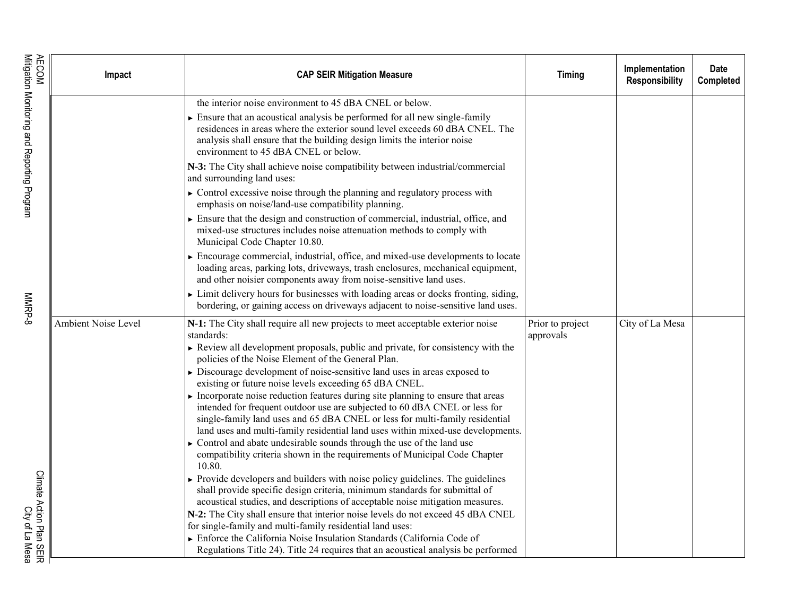| <b>AECOM</b>                | Impact              | <b>CAP SEIR Mitigation Measure</b>                                                                                                                                                                                                                                                                                                                                                                                                                                                                                                                                                                                                                                                                                                                                                                                                                                                                                                                                                                                                                                                                                                                                                                                                                                                                                                                                                                                                                                                                              | <b>Timing</b>                 | Implementation<br>Responsibility | <b>Date</b><br>Completed |
|-----------------------------|---------------------|-----------------------------------------------------------------------------------------------------------------------------------------------------------------------------------------------------------------------------------------------------------------------------------------------------------------------------------------------------------------------------------------------------------------------------------------------------------------------------------------------------------------------------------------------------------------------------------------------------------------------------------------------------------------------------------------------------------------------------------------------------------------------------------------------------------------------------------------------------------------------------------------------------------------------------------------------------------------------------------------------------------------------------------------------------------------------------------------------------------------------------------------------------------------------------------------------------------------------------------------------------------------------------------------------------------------------------------------------------------------------------------------------------------------------------------------------------------------------------------------------------------------|-------------------------------|----------------------------------|--------------------------|
|                             |                     | the interior noise environment to 45 dBA CNEL or below.<br>$\triangleright$ Ensure that an acoustical analysis be performed for all new single-family<br>residences in areas where the exterior sound level exceeds 60 dBA CNEL. The<br>analysis shall ensure that the building design limits the interior noise<br>environment to 45 dBA CNEL or below.                                                                                                                                                                                                                                                                                                                                                                                                                                                                                                                                                                                                                                                                                                                                                                                                                                                                                                                                                                                                                                                                                                                                                        |                               |                                  |                          |
|                             |                     | N-3: The City shall achieve noise compatibility between industrial/commercial<br>and surrounding land uses:                                                                                                                                                                                                                                                                                                                                                                                                                                                                                                                                                                                                                                                                                                                                                                                                                                                                                                                                                                                                                                                                                                                                                                                                                                                                                                                                                                                                     |                               |                                  |                          |
|                             |                     | $\triangleright$ Control excessive noise through the planning and regulatory process with<br>emphasis on noise/land-use compatibility planning.                                                                                                                                                                                                                                                                                                                                                                                                                                                                                                                                                                                                                                                                                                                                                                                                                                                                                                                                                                                                                                                                                                                                                                                                                                                                                                                                                                 |                               |                                  |                          |
|                             |                     | Ensure that the design and construction of commercial, industrial, office, and<br>mixed-use structures includes noise attenuation methods to comply with<br>Municipal Code Chapter 10.80.                                                                                                                                                                                                                                                                                                                                                                                                                                                                                                                                                                                                                                                                                                                                                                                                                                                                                                                                                                                                                                                                                                                                                                                                                                                                                                                       |                               |                                  |                          |
|                             |                     | Encourage commercial, industrial, office, and mixed-use developments to locate<br>loading areas, parking lots, driveways, trash enclosures, mechanical equipment,<br>and other noisier components away from noise-sensitive land uses.                                                                                                                                                                                                                                                                                                                                                                                                                                                                                                                                                                                                                                                                                                                                                                                                                                                                                                                                                                                                                                                                                                                                                                                                                                                                          |                               |                                  |                          |
|                             |                     | • Limit delivery hours for businesses with loading areas or docks fronting, siding,<br>bordering, or gaining access on driveways adjacent to noise-sensitive land uses.                                                                                                                                                                                                                                                                                                                                                                                                                                                                                                                                                                                                                                                                                                                                                                                                                                                                                                                                                                                                                                                                                                                                                                                                                                                                                                                                         |                               |                                  |                          |
| Climate Action Plan SE<br>ᆕ | Ambient Noise Level | N-1: The City shall require all new projects to meet acceptable exterior noise<br>standards:<br>Review all development proposals, public and private, for consistency with the<br>policies of the Noise Element of the General Plan.<br>$\triangleright$ Discourage development of noise-sensitive land uses in areas exposed to<br>existing or future noise levels exceeding 65 dBA CNEL.<br>$\triangleright$ Incorporate noise reduction features during site planning to ensure that areas<br>intended for frequent outdoor use are subjected to 60 dBA CNEL or less for<br>single-family land uses and 65 dBA CNEL or less for multi-family residential<br>land uses and multi-family residential land uses within mixed-use developments.<br>• Control and abate undesirable sounds through the use of the land use<br>compatibility criteria shown in the requirements of Municipal Code Chapter<br>10.80.<br>$\triangleright$ Provide developers and builders with noise policy guidelines. The guidelines<br>shall provide specific design criteria, minimum standards for submittal of<br>acoustical studies, and descriptions of acceptable noise mitigation measures.<br>N-2: The City shall ensure that interior noise levels do not exceed 45 dBA CNEL<br>for single-family and multi-family residential land uses:<br>$\triangleright$ Enforce the California Noise Insulation Standards (California Code of<br>Regulations Title 24). Title 24 requires that an acoustical analysis be performed | Prior to project<br>approvals | City of La Mesa                  |                          |

Mitigation Monitoring and Reporting Program Mitigation Monitoring and Reporting Program

MMRP-8

Action Plan SEIR<br>City of La Mesa City of La Mesa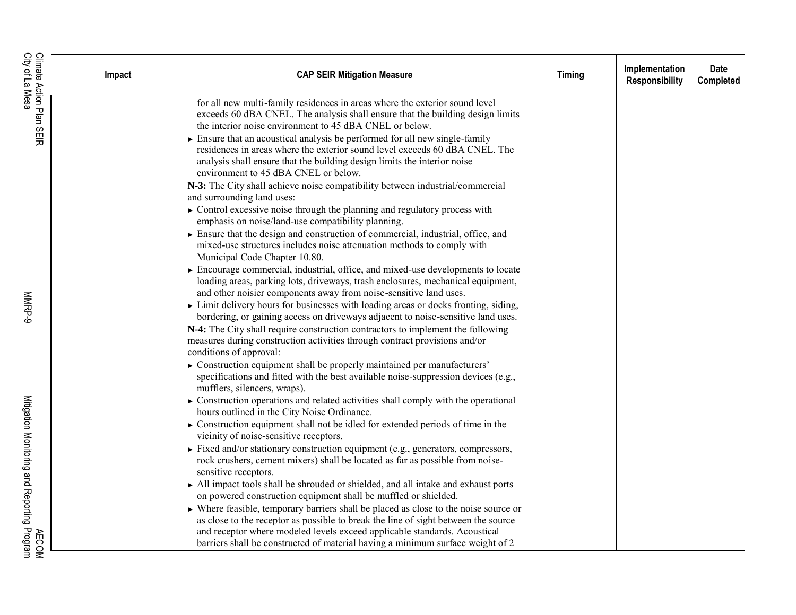| Impact | <b>CAP SEIR Mitigation Measure</b>                                                                                                                                                                                                                                                                                                                                                                                                                                                                                                                                                                                                                                                                                                                                                                                                                                                                                                                                                                                                                                                                                                                                                                                                                                                                                                                                                                                                                                                             | <b>Timing</b> | Implementation<br><b>Responsibility</b> | <b>Date</b><br>Completed |
|--------|------------------------------------------------------------------------------------------------------------------------------------------------------------------------------------------------------------------------------------------------------------------------------------------------------------------------------------------------------------------------------------------------------------------------------------------------------------------------------------------------------------------------------------------------------------------------------------------------------------------------------------------------------------------------------------------------------------------------------------------------------------------------------------------------------------------------------------------------------------------------------------------------------------------------------------------------------------------------------------------------------------------------------------------------------------------------------------------------------------------------------------------------------------------------------------------------------------------------------------------------------------------------------------------------------------------------------------------------------------------------------------------------------------------------------------------------------------------------------------------------|---------------|-----------------------------------------|--------------------------|
|        | for all new multi-family residences in areas where the exterior sound level<br>exceeds 60 dBA CNEL. The analysis shall ensure that the building design limits<br>the interior noise environment to 45 dBA CNEL or below.<br>$\triangleright$ Ensure that an acoustical analysis be performed for all new single-family<br>residences in areas where the exterior sound level exceeds 60 dBA CNEL. The<br>analysis shall ensure that the building design limits the interior noise<br>environment to 45 dBA CNEL or below.<br>N-3: The City shall achieve noise compatibility between industrial/commercial<br>and surrounding land uses:<br>• Control excessive noise through the planning and regulatory process with<br>emphasis on noise/land-use compatibility planning.<br>$\triangleright$ Ensure that the design and construction of commercial, industrial, office, and<br>mixed-use structures includes noise attenuation methods to comply with<br>Municipal Code Chapter 10.80.<br>Encourage commercial, industrial, office, and mixed-use developments to locate<br>loading areas, parking lots, driveways, trash enclosures, mechanical equipment,<br>and other noisier components away from noise-sensitive land uses.<br>• Limit delivery hours for businesses with loading areas or docks fronting, siding,                                                                                                                                                                    |               |                                         |                          |
|        | bordering, or gaining access on driveways adjacent to noise-sensitive land uses.<br>N-4: The City shall require construction contractors to implement the following<br>measures during construction activities through contract provisions and/or<br>conditions of approval:<br>• Construction equipment shall be properly maintained per manufacturers'<br>specifications and fitted with the best available noise-suppression devices (e.g.,<br>mufflers, silencers, wraps).<br>$\triangleright$ Construction operations and related activities shall comply with the operational<br>hours outlined in the City Noise Ordinance.<br>$\triangleright$ Construction equipment shall not be idled for extended periods of time in the<br>vicinity of noise-sensitive receptors.<br>$\triangleright$ Fixed and/or stationary construction equipment (e.g., generators, compressors,<br>rock crushers, cement mixers) shall be located as far as possible from noise-<br>sensitive receptors.<br>All impact tools shall be shrouded or shielded, and all intake and exhaust ports<br>on powered construction equipment shall be muffled or shielded.<br>• Where feasible, temporary barriers shall be placed as close to the noise source or<br>as close to the receptor as possible to break the line of sight between the source<br>and receptor where modeled levels exceed applicable standards. Acoustical<br>barriers shall be constructed of material having a minimum surface weight of 2 |               |                                         |                          |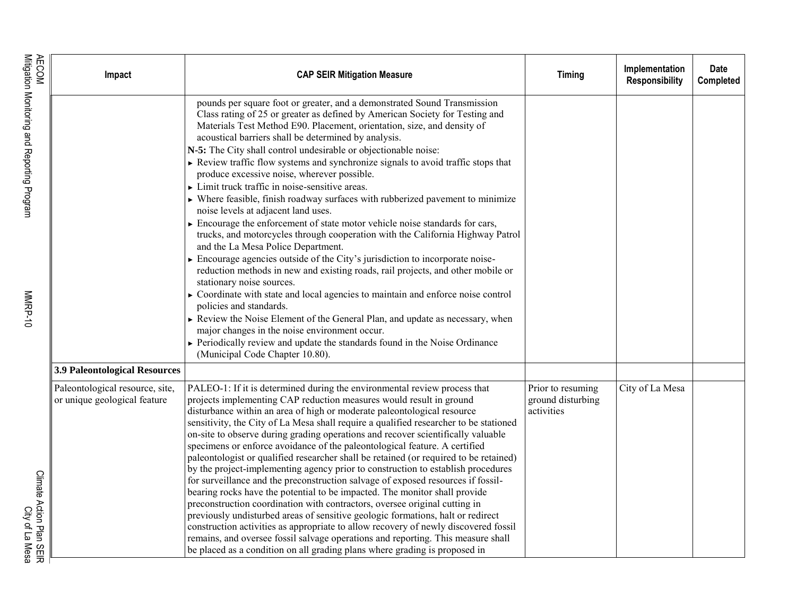| <b>AECOM</b>                | Impact                                                          | <b>CAP SEIR Mitigation Measure</b>                                                                                                                                                                                                                                                                                                                                                                                                                                                                                                                                                                                                                                                                                                                                                                                                                                                                                                                                                                                                                                                                                                                                                                                                                                                                                                                                                                                                                                                                | <b>Timing</b>                                        | Implementation<br><b>Responsibility</b> | <b>Date</b><br>Completed |
|-----------------------------|-----------------------------------------------------------------|---------------------------------------------------------------------------------------------------------------------------------------------------------------------------------------------------------------------------------------------------------------------------------------------------------------------------------------------------------------------------------------------------------------------------------------------------------------------------------------------------------------------------------------------------------------------------------------------------------------------------------------------------------------------------------------------------------------------------------------------------------------------------------------------------------------------------------------------------------------------------------------------------------------------------------------------------------------------------------------------------------------------------------------------------------------------------------------------------------------------------------------------------------------------------------------------------------------------------------------------------------------------------------------------------------------------------------------------------------------------------------------------------------------------------------------------------------------------------------------------------|------------------------------------------------------|-----------------------------------------|--------------------------|
|                             |                                                                 | pounds per square foot or greater, and a demonstrated Sound Transmission<br>Class rating of 25 or greater as defined by American Society for Testing and<br>Materials Test Method E90. Placement, orientation, size, and density of<br>acoustical barriers shall be determined by analysis.<br>N-5: The City shall control undesirable or objectionable noise:<br>$\triangleright$ Review traffic flow systems and synchronize signals to avoid traffic stops that<br>produce excessive noise, wherever possible.<br>$\triangleright$ Limit truck traffic in noise-sensitive areas.<br>> Where feasible, finish roadway surfaces with rubberized pavement to minimize<br>noise levels at adjacent land uses.<br>$\triangleright$ Encourage the enforcement of state motor vehicle noise standards for cars,<br>trucks, and motorcycles through cooperation with the California Highway Patrol<br>and the La Mesa Police Department.<br>Encourage agencies outside of the City's jurisdiction to incorporate noise-<br>reduction methods in new and existing roads, rail projects, and other mobile or<br>stationary noise sources.<br>Coordinate with state and local agencies to maintain and enforce noise control<br>policies and standards.<br>Review the Noise Element of the General Plan, and update as necessary, when<br>major changes in the noise environment occur.<br>► Periodically review and update the standards found in the Noise Ordinance<br>(Municipal Code Chapter 10.80). |                                                      |                                         |                          |
|                             | <b>3.9 Paleontological Resources</b>                            |                                                                                                                                                                                                                                                                                                                                                                                                                                                                                                                                                                                                                                                                                                                                                                                                                                                                                                                                                                                                                                                                                                                                                                                                                                                                                                                                                                                                                                                                                                   |                                                      |                                         |                          |
| Climate Action Plan SE<br>ヵ | Paleontological resource, site,<br>or unique geological feature | PALEO-1: If it is determined during the environmental review process that<br>projects implementing CAP reduction measures would result in ground<br>disturbance within an area of high or moderate paleontological resource<br>sensitivity, the City of La Mesa shall require a qualified researcher to be stationed<br>on-site to observe during grading operations and recover scientifically valuable<br>specimens or enforce avoidance of the paleontological feature. A certified<br>paleontologist or qualified researcher shall be retained (or required to be retained)<br>by the project-implementing agency prior to construction to establish procedures<br>for surveillance and the preconstruction salvage of exposed resources if fossil-<br>bearing rocks have the potential to be impacted. The monitor shall provide<br>preconstruction coordination with contractors, oversee original cutting in<br>previously undisturbed areas of sensitive geologic formations, halt or redirect<br>construction activities as appropriate to allow recovery of newly discovered fossil<br>remains, and oversee fossil salvage operations and reporting. This measure shall<br>be placed as a condition on all grading plans where grading is proposed in                                                                                                                                                                                                                                   | Prior to resuming<br>ground disturbing<br>activities | City of La Mesa                         |                          |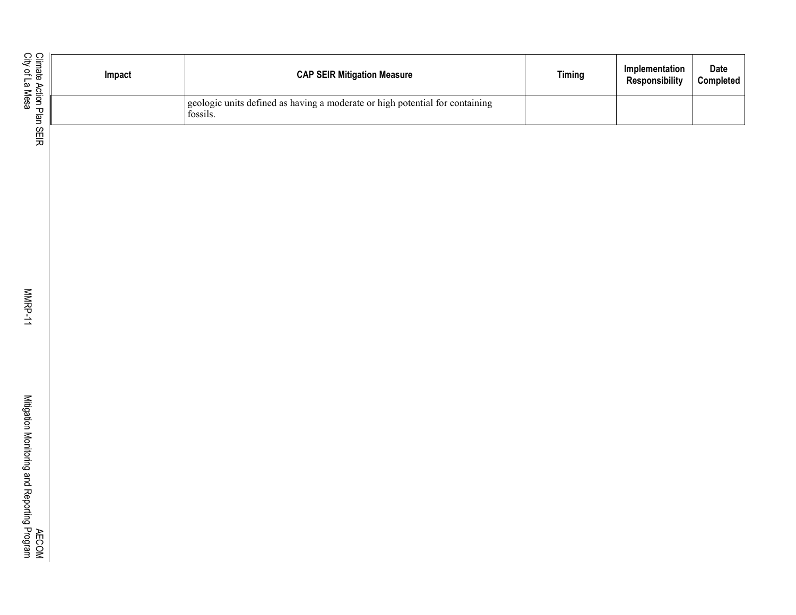| <b>Impact</b> | <b>CAP SEIR Mitigation Measure</b>                                                       | <b>Timing</b> | Implementation<br>Responsibility | <b>Date</b><br>Completed |
|---------------|------------------------------------------------------------------------------------------|---------------|----------------------------------|--------------------------|
|               | geologic units defined as having a moderate or high potential for containing<br>fossils. |               |                                  |                          |